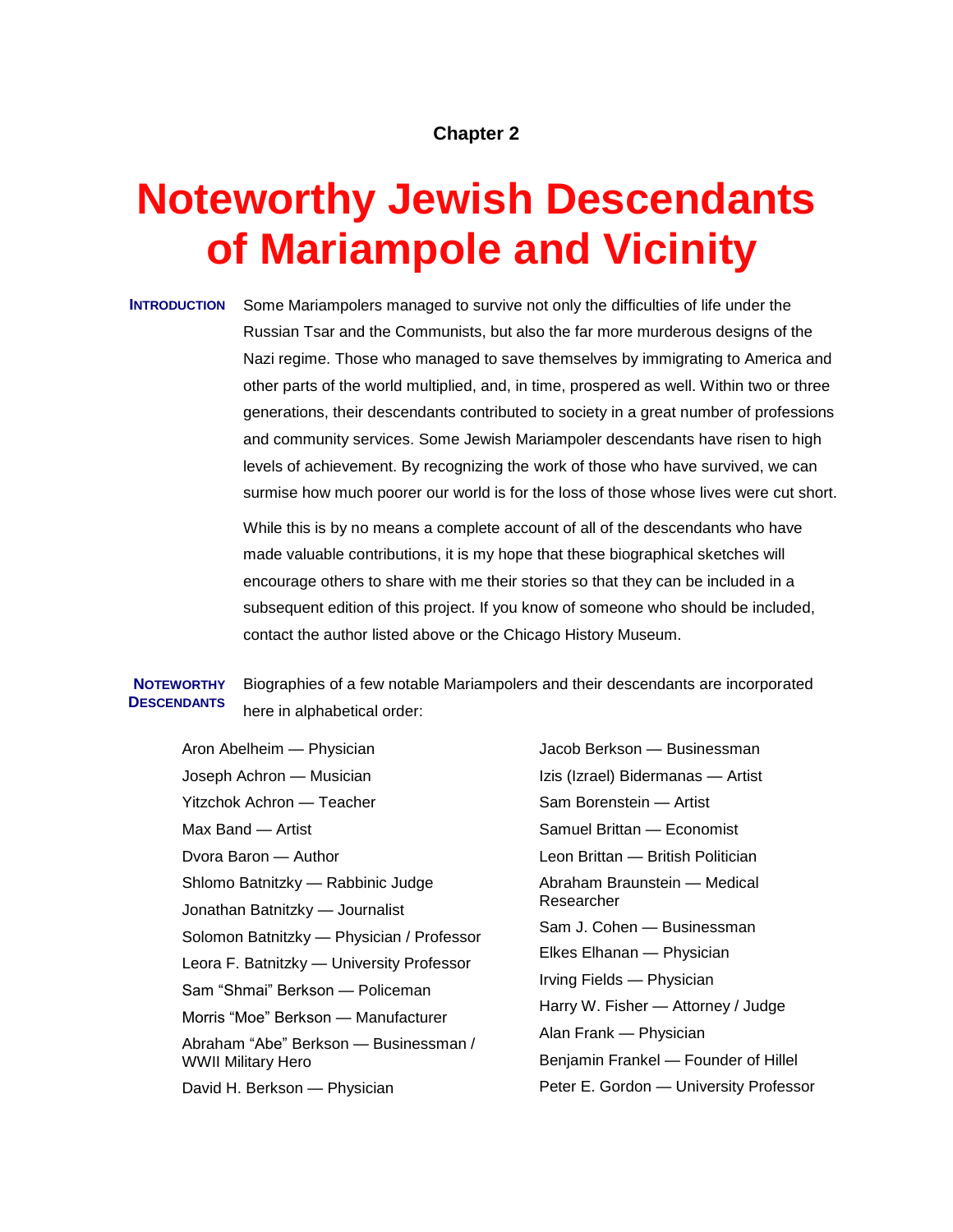# **Chapter 2**

# **Noteworthy Jewish Descendants of Mariampole and Vicinity**

**INTRODUCTION** Some Mariampolers managed to survive not only the difficulties of life under the Russian Tsar and the Communists, but also the far more murderous designs of the Nazi regime. Those who managed to save themselves by immigrating to America and other parts of the world multiplied, and, in time, prospered as well. Within two or three generations, their descendants contributed to society in a great number of professions and community services. Some Jewish Mariampoler descendants have risen to high levels of achievement. By recognizing the work of those who have survived, we can surmise how much poorer our world is for the loss of those whose lives were cut short.

> While this is by no means a complete account of all of the descendants who have made valuable contributions, it is my hope that these biographical sketches will encourage others to share with me their stories so that they can be included in a subsequent edition of this project. If you know of someone who should be included, contact the author listed above or the Chicago History Museum.

#### **NOTEWORTHY DESCENDANTS** Biographies of a few notable Mariampolers and their descendants are incorporated here in alphabetical order:

Aron Abelheim — Physician Joseph Achron — Musician Yitzchok Achron — Teacher Max Band — Artist Dvora Baron — Author Shlomo Batnitzky — Rabbinic Judge Jonathan Batnitzky — Journalist Solomon Batnitzky — Physician / Professor Leora F. Batnitzky — University Professor Sam "Shmai" Berkson — Policeman Morris "Moe" Berkson — Manufacturer Abraham "Abe" Berkson — Businessman / WWII Military Hero David H. Berkson — Physician

Jacob Berkson — Businessman Izis (Izrael) Bidermanas — Artist Sam Borenstein — Artist Samuel Brittan — Economist Leon Brittan — British Politician Abraham Braunstein — Medical Researcher Sam J. Cohen — Businessman Elkes Elhanan — Physician Irving Fields — Physician Harry W. Fisher — Attorney / Judge Alan Frank — Physician Benjamin Frankel — Founder of Hillel Peter E. Gordon — University Professor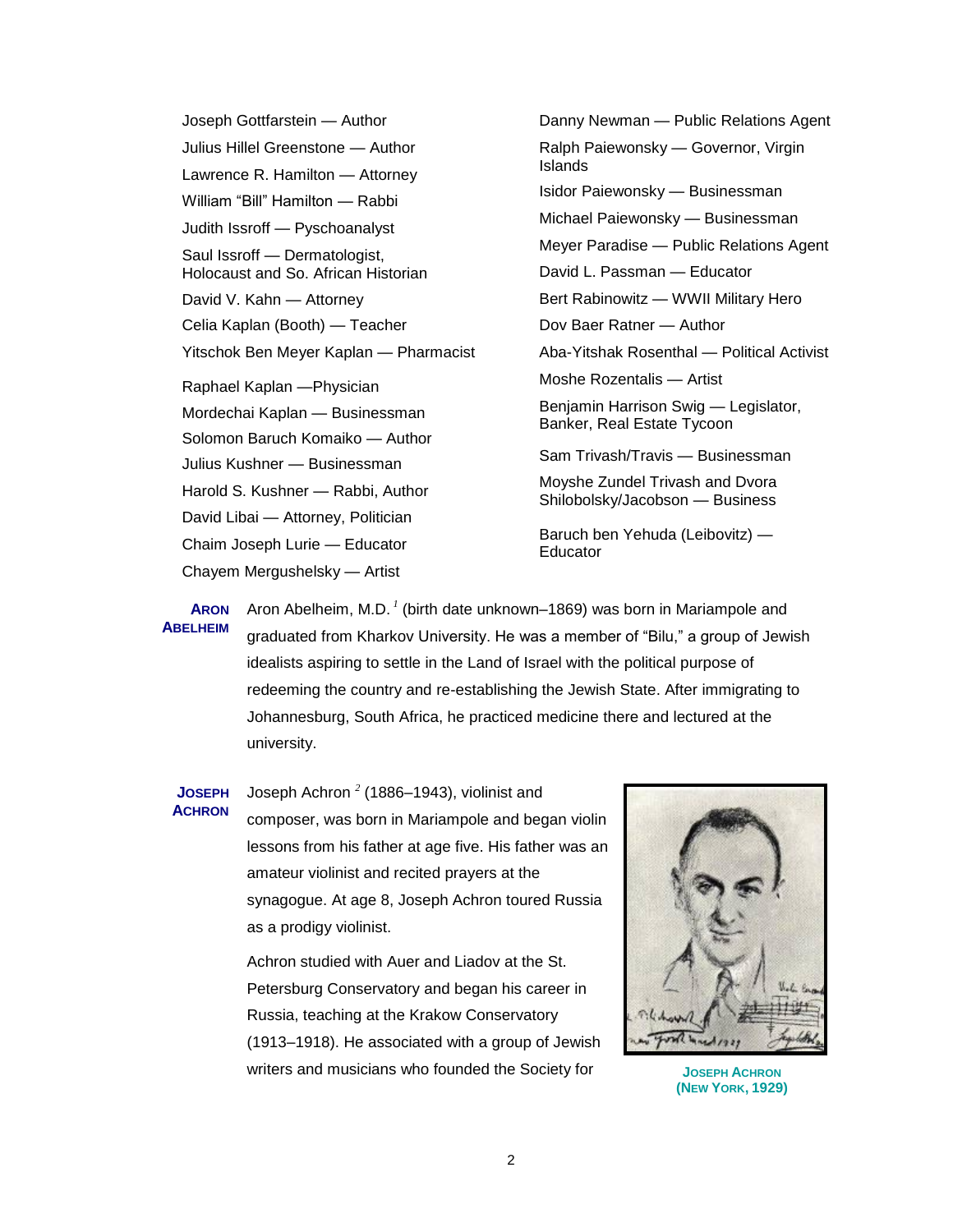Joseph Gottfarstein — Author Julius Hillel Greenstone — Author Lawrence R. Hamilton — Attorney William "Bill" Hamilton — Rabbi Judith Issroff — Pyschoanalyst Saul Issroff — Dermatologist, Holocaust and So. African Historian David V. Kahn — Attorney Celia Kaplan (Booth) — Teacher Yitschok Ben Meyer Kaplan — Pharmacist Raphael Kaplan —Physician Mordechai Kaplan — Businessman Solomon Baruch Komaiko — Author Julius Kushner — Businessman Harold S. Kushner — Rabbi, Author David Libai — Attorney, Politician Chaim Joseph Lurie — Educator Chayem Mergushelsky — Artist

Danny Newman — Public Relations Agent Ralph Paiewonsky — Governor, Virgin Islands Isidor Paiewonsky — Businessman Michael Paiewonsky — Businessman Meyer Paradise — Public Relations Agent David L. Passman — Educator Bert Rabinowitz — WWII Military Hero Dov Baer Ratner — Author Aba-Yitshak Rosenthal — Political Activist Moshe Rozentalis — Artist Benjamin Harrison Swig — Legislator, Banker, Real Estate Tycoon Sam Trivash/Travis — Businessman Moyshe Zundel Trivash and Dvora Shilobolsky/Jacobson — Business Baruch ben Yehuda (Leibovitz) — **Educator** 

**ARON ABELHEIM** Aron Abelheim, M.D.<sup>1</sup> (birth date unknown–1869) was born in Mariampole and graduated from Kharkov University. He was a member of "Bilu," a group of [Jewish](http://en.wikipedia.org/wiki/Jew) [idealists](http://en.wikipedia.org/wiki/Idealist) aspiring to [settle](http://en.wikipedia.org/wiki/Israeli_settlement) in the [Land of Israel](http://en.wikipedia.org/wiki/Land_of_Israel) with the [political](http://en.wikipedia.org/wiki/Political) purpose of redeeming [the](http://en.wikipedia.org/wiki/Eretz_Yisrael) country and re-establishing the [Jewish State.](http://en.wikipedia.org/wiki/Jewish_State) After immigrating to Johannesburg, South Africa, he practiced medicine there and lectured at the university.

**JOSEPH ACHRON**

Joseph Achron *<sup>2</sup>* (1886–1943), violinist and composer, was born in Mariampole and began violin lessons from his father at age five. His father was an amateur violinist and recited prayers at the synagogue. At age 8, Joseph Achron toured Russia as a prodigy violinist.

Achron studied with Auer and Liadov at the St. Petersburg Conservatory and began his career in Russia, teaching at the Krakow Conservatory (1913–1918). He associated with a group of Jewish writers and musicians who founded the Society for **JOSEPH ACHRON**



**(NEW YORK, 1929)**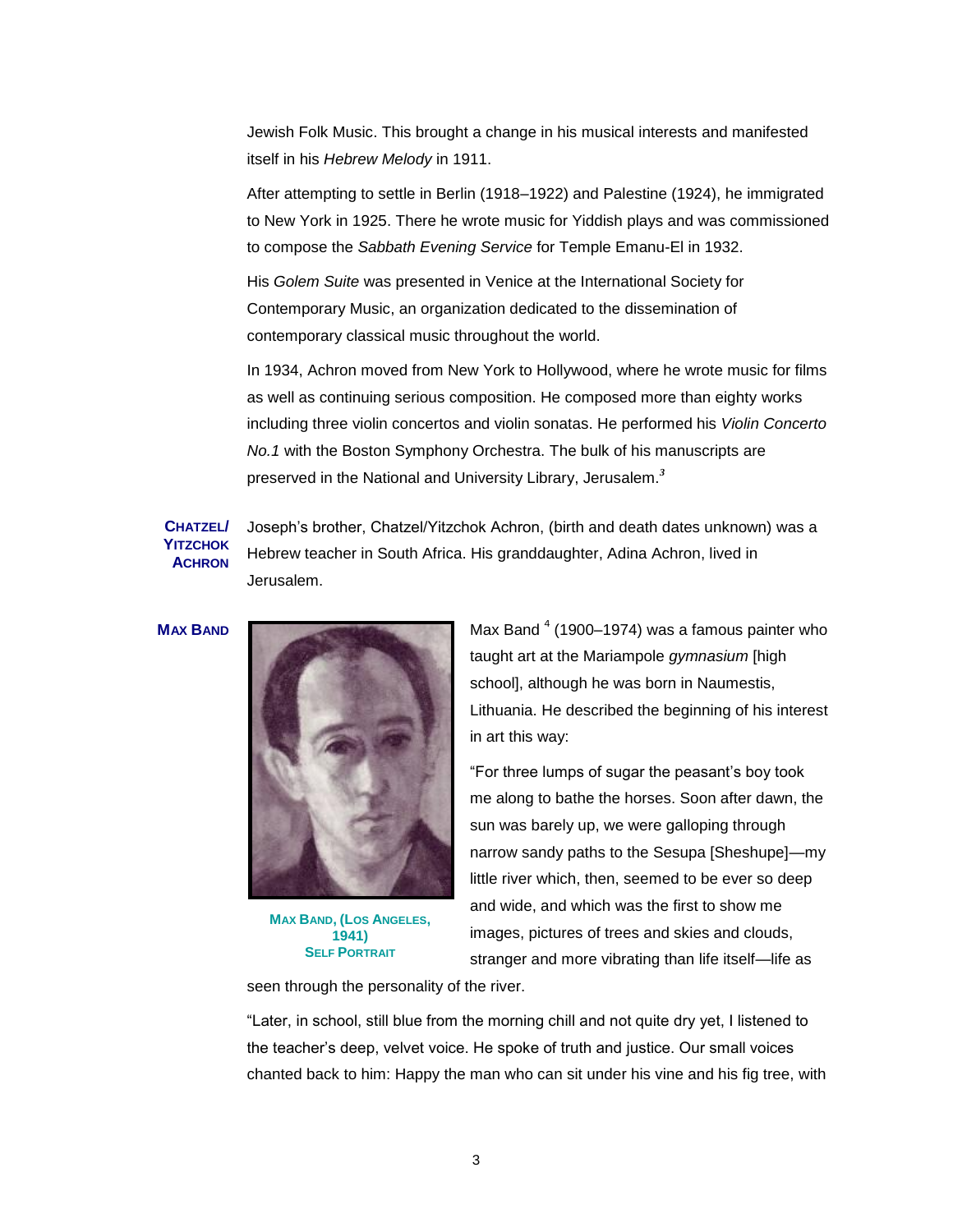Jewish Folk Music. This brought a change in his musical interests and manifested itself in his *Hebrew Melody* in 1911.

After attempting to settle in Berlin (1918–1922) and Palestine (1924), he immigrated to New York in 1925. There he wrote music for Yiddish plays and was commissioned to compose the *Sabbath Evening Service* for Temple Emanu-El in 1932.

His *Golem Suite* was presented in Venice at the International Society for Contemporary Music, an organization dedicated to the dissemination of contemporary classical music throughout the world.

In 1934, Achron moved from New York to Hollywood, where he wrote music for films as well as continuing serious composition. He composed more than eighty works including three violin concertos and violin sonatas. He performed his *Violin Concerto No.1* with the Boston Symphony Orchestra. The bulk of his manuscripts are preserved in the National and University Library, Jerusalem.*<sup>3</sup>*

# **CHATZEL/ YITZCHOK ACHRON**

Joseph's brother, Chatzel/Yitzchok Achron, (birth and death dates unknown) was a Hebrew teacher in South Africa. His granddaughter, Adina Achron, lived in Jerusalem.



**MAX BAND, (LOS ANGELES, 1941) SELF PORTRAIT** 

**MAX BAND** Max Band <sup>4</sup> (1900–1974) was a famous painter who taught art at the Mariampole *gymnasium* [high school], although he was born in Naumestis, Lithuania. He described the beginning of his interest in art this way:

> ―For three lumps of sugar the peasant's boy took me along to bathe the horses. Soon after dawn, the sun was barely up, we were galloping through narrow sandy paths to the Sesupa [Sheshupe]—my little river which, then, seemed to be ever so deep and wide, and which was the first to show me images, pictures of trees and skies and clouds, stranger and more vibrating than life itself—life as

seen through the personality of the river.

―Later, in school, still blue from the morning chill and not quite dry yet, I listened to the teacher's deep, velvet voice. He spoke of truth and justice. Our small voices chanted back to him: Happy the man who can sit under his vine and his fig tree, with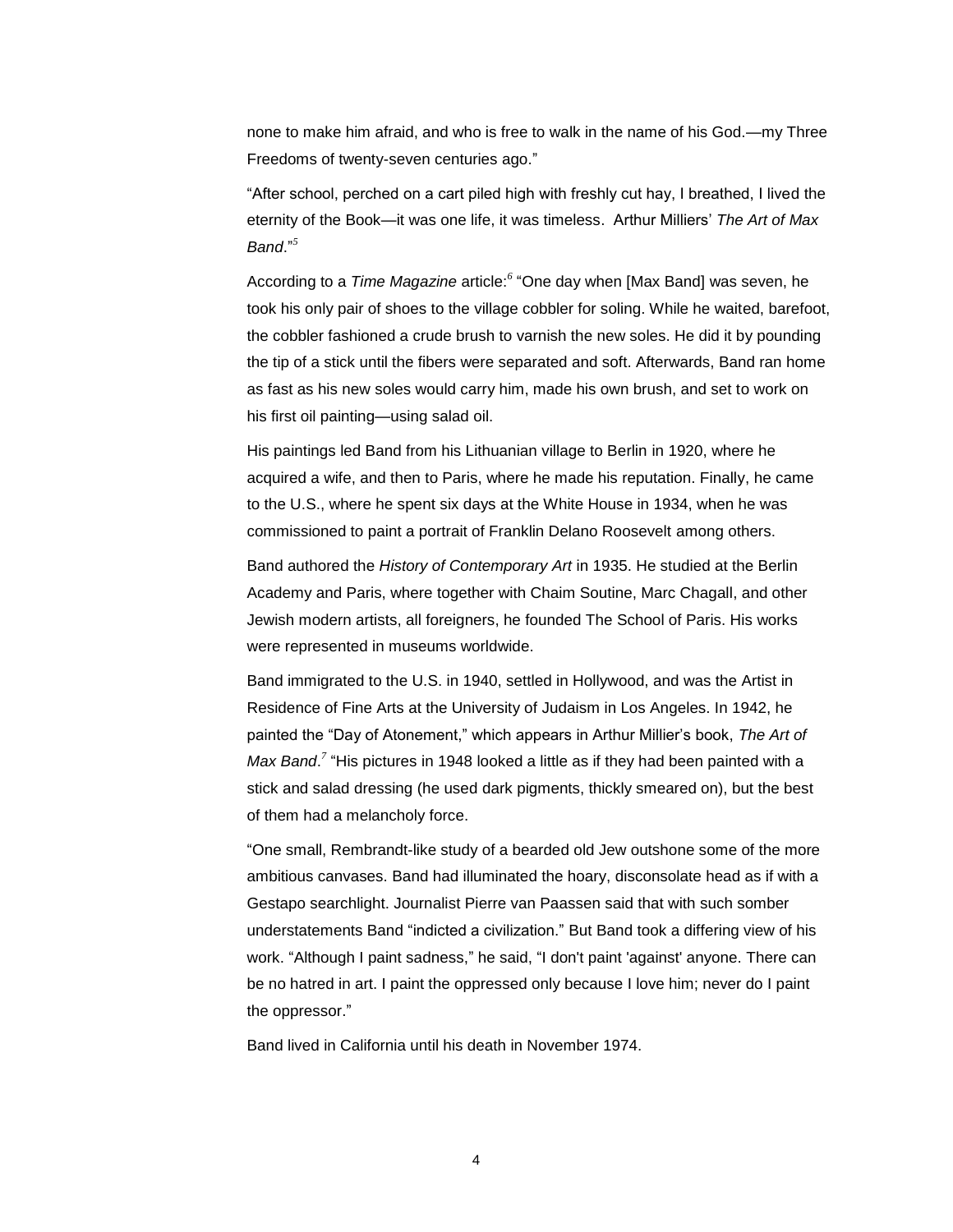none to make him afraid, and who is free to walk in the name of his God.—my Three Freedoms of twenty-seven centuries ago."

"After school, perched on a cart piled high with freshly cut hay, I breathed, I lived the eternity of the Book—it was one life, it was timeless. Arthur Milliers' *The Art of Max Band*.‖ *5*

According to a *Time Magazine* article:<sup>6</sup> "One day when [Max Band] was seven, he took his only pair of shoes to the village cobbler for soling. While he waited, barefoot, the cobbler fashioned a crude brush to varnish the new soles. He did it by pounding the tip of a stick until the fibers were separated and soft. Afterwards, Band ran home as fast as his new soles would carry him, made his own brush, and set to work on his first oil painting—using salad oil.

His paintings led Band from his Lithuanian village to Berlin in 1920, where he acquired a wife, and then to Paris, where he made his reputation. Finally, he came to the U.S., where he spent six days at the White House in 1934, when he was commissioned to paint a portrait of Franklin Delano Roosevelt among others.

Band authored the *History of Contemporary Art* in 1935. He studied at the Berlin Academy and Paris, where together with Chaim Soutine, Marc Chagall, and other Jewish modern artists, all foreigners, he founded The School of Paris. His works were represented in museums worldwide.

Band immigrated to the U.S. in 1940, settled in Hollywood, and was the Artist in Residence of Fine Arts at the University of Judaism in Los Angeles. In 1942, he painted the "Day of Atonement," which appears in Arthur Millier's book, The Art of Max Band.<sup>7</sup> "His pictures in 1948 looked a little as if they had been painted with a stick and salad dressing (he used dark pigments, thickly smeared on), but the best of them had a melancholy force.

―One small, Rembrandt-like study of a bearded old Jew outshone some of the more ambitious canvases. Band had illuminated the hoary, disconsolate head as if with a Gestapo searchlight. Journalist Pierre van Paassen said that with such somber understatements Band "indicted a civilization." But Band took a differing view of his work. "Although I paint sadness," he said, "I don't paint 'against' anyone. There can be no hatred in art. I paint the oppressed only because I love him; never do I paint the oppressor."

Band lived in California until his death in November 1974.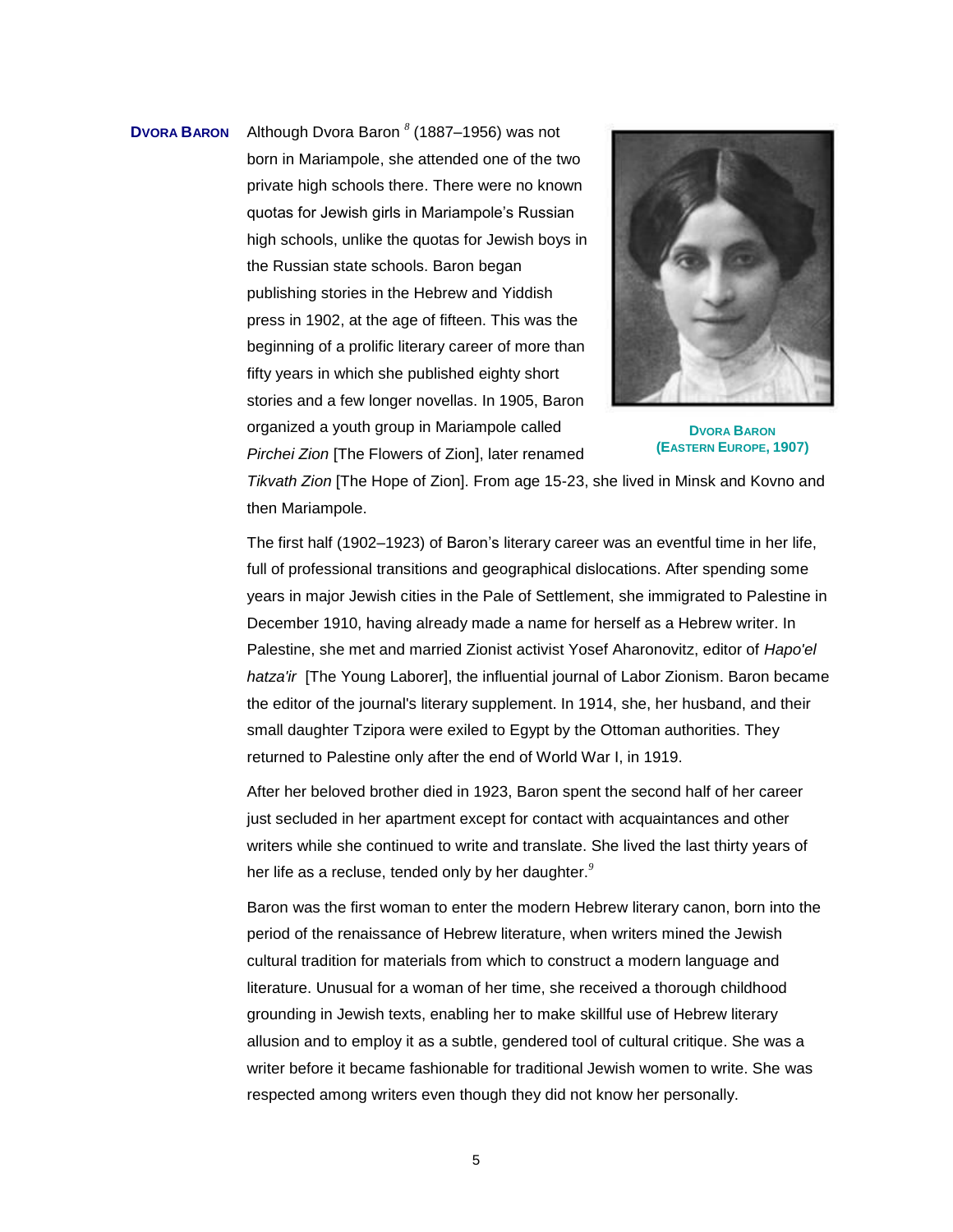**DVORA BARON** Although Dvora Baron *<sup>8</sup>* (1887–1956) was not born in Mariampole, she attended one of the two private high schools there. There were no known quotas for Jewish girls in Mariampole's Russian high schools, unlike the quotas for Jewish boys in the Russian state schools. Baron began publishing stories in the Hebrew and Yiddish press in 1902, at the age of fifteen. This was the beginning of a prolific literary career of more than fifty years in which she published eighty short stories and a few longer novellas. In 1905, Baron organized a youth group in Mariampole called *Pirchei Zion* [The Flowers of Zion], later renamed



**DVORA BARON (EASTERN EUROPE, 1907)**

*Tikvath Zion* [The Hope of Zion]. From age 15-23, she lived in Minsk and Kovno and then Mariampole.

The first half (1902–1923) of Baron's literary career was an eventful time in her life, full of professional transitions and geographical dislocations. After spending some years in major Jewish cities in the Pale of Settlement, she immigrated to Palestine in December 1910, having already made a name for herself as a Hebrew writer. In Palestine, she met and married Zionist activist Yosef Aharonovitz, editor of *Hapo'el hatza'ir* [The Young Laborer], the influential journal of Labor Zionism. Baron became the editor of the journal's literary supplement. In 1914, she, her husband, and their small daughter Tzipora were exiled to Egypt by the Ottoman authorities. They returned to Palestine only after the end of World War I, in 1919.

After her beloved brother died in 1923, Baron spent the second half of her career just secluded in her apartment except for contact with acquaintances and other writers while she continued to write and translate. She lived the last thirty years of her life as a recluse, tended only by her daughter.*<sup>9</sup>*

Baron was the first woman to enter the modern Hebrew literary canon, born into the period of the renaissance of Hebrew literature, when writers mined the Jewish cultural tradition for materials from which to construct a modern language and literature. Unusual for a woman of her time, she received a thorough childhood grounding in Jewish texts, enabling her to make skillful use of Hebrew literary allusion and to employ it as a subtle, gendered tool of cultural critique. She was a writer before it became fashionable for traditional Jewish women to write. She was respected among writers even though they did not know her personally.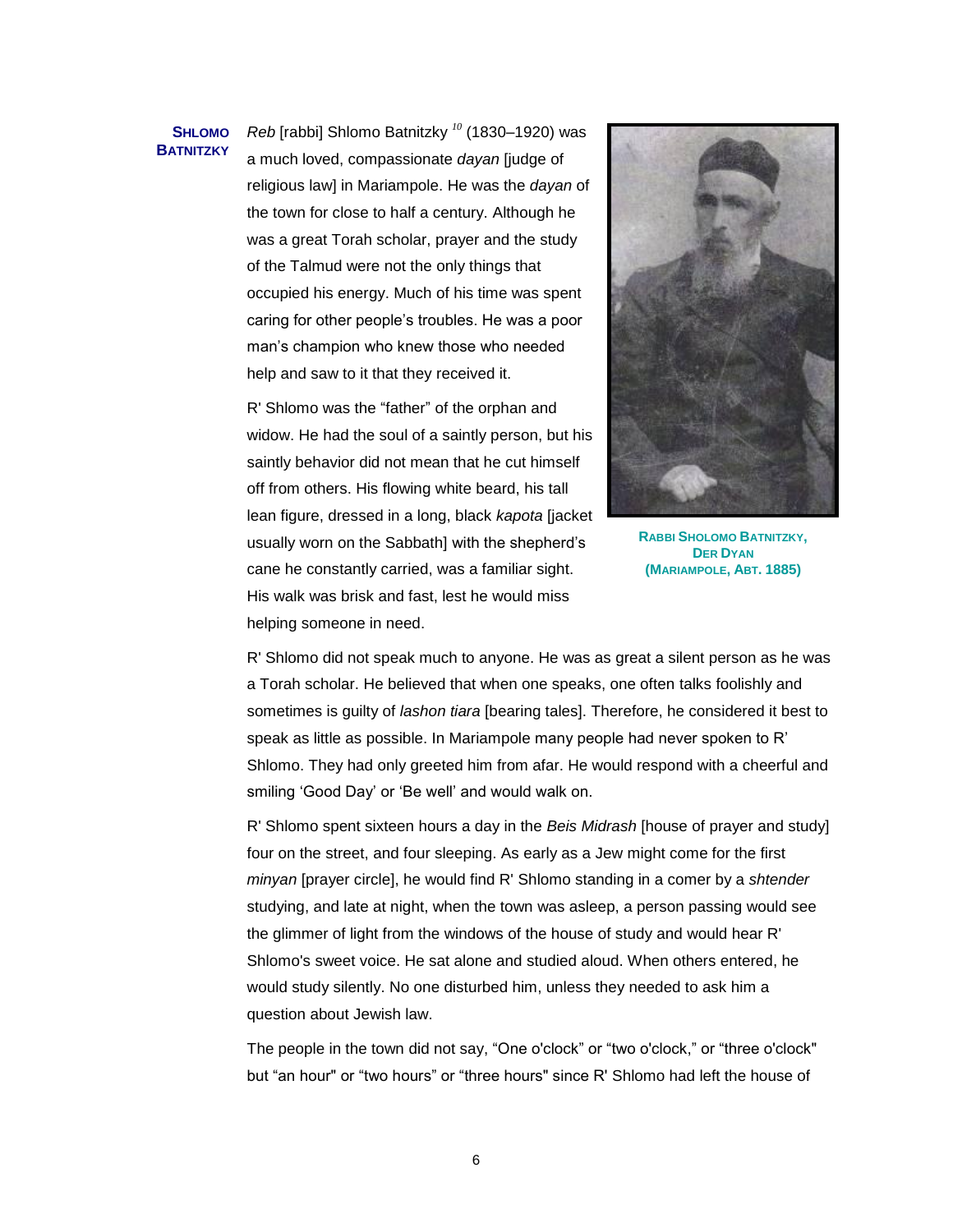#### **SHLOMO BATNITZKY**

*Reb* [rabbi] Shlomo Batnitzky *<sup>10</sup>* (1830–1920) was a much loved, compassionate *dayan* [judge of religious law] in Mariampole. He was the *dayan* of the town for close to half a century. Although he was a great Torah scholar, prayer and the study of the Talmud were not the only things that occupied his energy. Much of his time was spent caring for other people's troubles. He was a poor man's champion who knew those who needed help and saw to it that they received it.

R' Shlomo was the "father" of the orphan and widow. He had the soul of a saintly person, but his saintly behavior did not mean that he cut himself off from others. His flowing white beard, his tall lean figure, dressed in a long, black *kapota* [jacket usually worn on the Sabbath] with the shepherd's cane he constantly carried, was a familiar sight. His walk was brisk and fast, lest he would miss helping someone in need.



**RABBI SHOLOMO BATNITZKY, DER DYAN (MARIAMPOLE, ABT. 1885)**

R' Shlomo did not speak much to anyone. He was as great a silent person as he was a Torah scholar. He believed that when one speaks, one often talks foolishly and sometimes is guilty of *lashon tiara* [bearing tales]. Therefore, he considered it best to speak as little as possible. In Mariampole many people had never spoken to R' Shlomo. They had only greeted him from afar. He would respond with a cheerful and smiling 'Good Day' or 'Be well' and would walk on.

R' Shlomo spent sixteen hours a day in the *Beis Midrash* [house of prayer and study] four on the street, and four sleeping. As early as a Jew might come for the first *minyan* [prayer circle], he would find R' Shlomo standing in a comer by a *shtender* studying, and late at night, when the town was asleep, a person passing would see the glimmer of light from the windows of the house of study and would hear R' Shlomo's sweet voice. He sat alone and studied aloud. When others entered, he would study silently. No one disturbed him, unless they needed to ask him a question about Jewish law.

The people in the town did not say, "One o'clock" or "two o'clock," or "three o'clock" but "an hour" or "two hours" or "three hours" since R' Shlomo had left the house of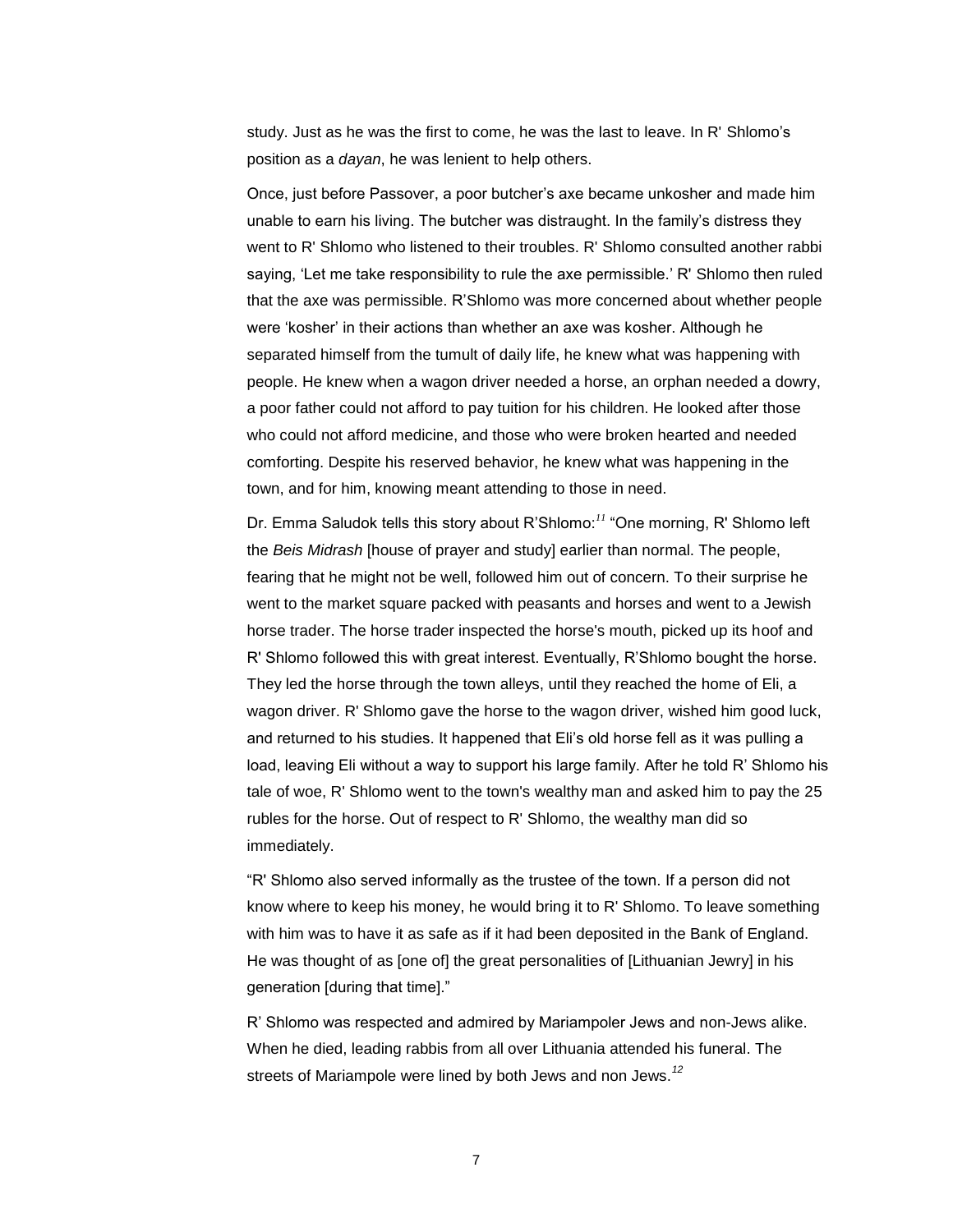study. Just as he was the first to come, he was the last to leave. In R' Shlomo's position as a *dayan*, he was lenient to help others.

Once, just before Passover, a poor butcher's axe became unkosher and made him unable to earn his living. The butcher was distraught. In the family's distress they went to R' Shlomo who listened to their troubles. R' Shlomo consulted another rabbi saying, 'Let me take responsibility to rule the axe permissible.' R' Shlomo then ruled that the axe was permissible. R'Shlomo was more concerned about whether people were 'kosher' in their actions than whether an axe was kosher. Although he separated himself from the tumult of daily life, he knew what was happening with people. He knew when a wagon driver needed a horse, an orphan needed a dowry, a poor father could not afford to pay tuition for his children. He looked after those who could not afford medicine, and those who were broken hearted and needed comforting. Despite his reserved behavior, he knew what was happening in the town, and for him, knowing meant attending to those in need.

Dr. Emma Saludok tells this story about R'Shlomo:<sup>11</sup> "One morning, R' Shlomo left the *Beis Midrash* [house of prayer and study] earlier than normal. The people, fearing that he might not be well, followed him out of concern. To their surprise he went to the market square packed with peasants and horses and went to a Jewish horse trader. The horse trader inspected the horse's mouth, picked up its hoof and R' Shlomo followed this with great interest. Eventually, R'Shlomo bought the horse. They led the horse through the town alleys, until they reached the home of Eli, a wagon driver. R' Shlomo gave the horse to the wagon driver, wished him good luck, and returned to his studies. It happened that Eli's old horse fell as it was pulling a load, leaving Eli without a way to support his large family. After he told R' Shlomo his tale of woe, R' Shlomo went to the town's wealthy man and asked him to pay the 25 rubles for the horse. Out of respect to R' Shlomo, the wealthy man did so immediately.

"R' Shlomo also served informally as the trustee of the town. If a person did not know where to keep his money, he would bring it to R' Shlomo. To leave something with him was to have it as safe as if it had been deposited in the Bank of England. He was thought of as [one of] the great personalities of [Lithuanian Jewry] in his generation [during that time]."

R' Shlomo was respected and admired by Mariampoler Jews and non-Jews alike. When he died, leading rabbis from all over Lithuania attended his funeral. The streets of Mariampole were lined by both Jews and non Jews.*<sup>12</sup>*

7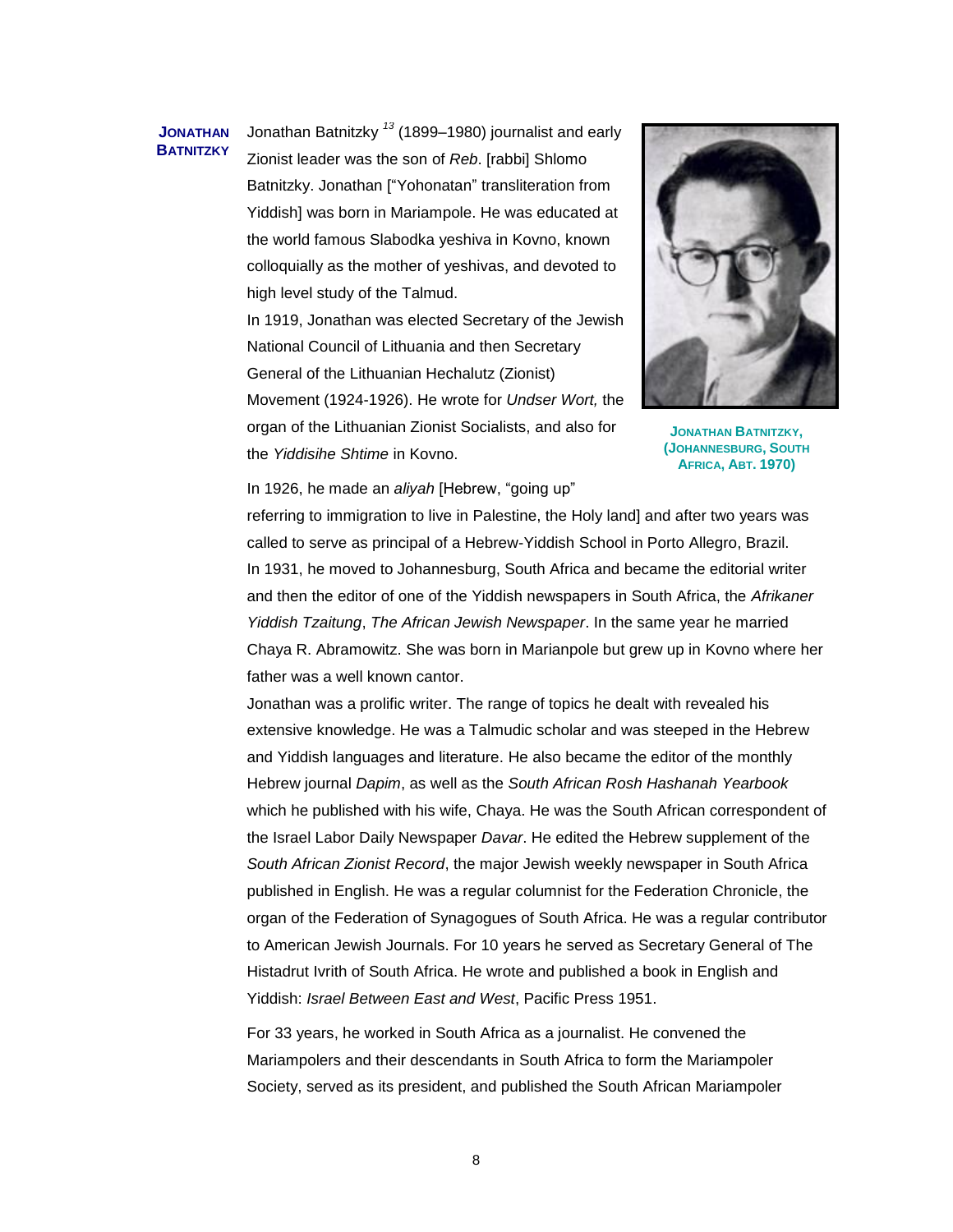#### **JONATHAN BATNITZKY**

Jonathan Batnitzky *<sup>13</sup>* (1899–1980) journalist and early Zionist leader was the son of *Reb*. [rabbi] Shlomo Batnitzky. Jonathan ["Yohonatan" transliteration from Yiddish] was born in Mariampole. He was educated at the world famous Slabodka yeshiva in Kovno, known colloquially as the mother of yeshivas, and devoted to high level study of the Talmud.

In 1919, Jonathan was elected Secretary of the Jewish National Council of Lithuania and then Secretary General of the Lithuanian Hechalutz (Zionist) Movement (1924-1926). He wrote for *Undser Wort,* the organ of the Lithuanian Zionist Socialists, and also for the *Yiddisihe Shtime* in Kovno.



**JONATHAN BATNITZKY, (JOHANNESBURG, SOUTH AFRICA, ABT. 1970)**

In 1926, he made an *aliyah* [Hebrew, "going up"

referring to immigration to live in Palestine, the Holy land] and after two years was called to serve as principal of a Hebrew-Yiddish School in Porto Allegro, Brazil. In 1931, he moved to Johannesburg, South Africa and became the editorial writer and then the editor of one of the Yiddish newspapers in South Africa, the *Afrikaner Yiddish Tzaitung*, *The African Jewish Newspaper*. In the same year he married Chaya R. Abramowitz. She was born in Marianpole but grew up in Kovno where her father was a well known cantor.

Jonathan was a prolific writer. The range of topics he dealt with revealed his extensive knowledge. He was a Talmudic scholar and was steeped in the Hebrew and Yiddish languages and literature. He also became the editor of the monthly Hebrew journal *Dapim*, as well as the *South African Rosh Hashanah Yearbook* which he published with his wife, Chaya. He was the South African correspondent of the Israel Labor Daily Newspaper *Davar*. He edited the Hebrew supplement of the *South African Zionist Record*, the major Jewish weekly newspaper in South Africa published in English. He was a regular columnist for the Federation Chronicle, the organ of the Federation of Synagogues of South Africa. He was a regular contributor to American Jewish Journals. For 10 years he served as Secretary General of The Histadrut Ivrith of South Africa. He wrote and published a book in English and Yiddish: *Israel Between East and West*, Pacific Press 1951.

For 33 years, he worked in South Africa as a journalist. He convened the Mariampolers and their descendants in South Africa to form the Mariampoler Society, served as its president, and published the South African Mariampoler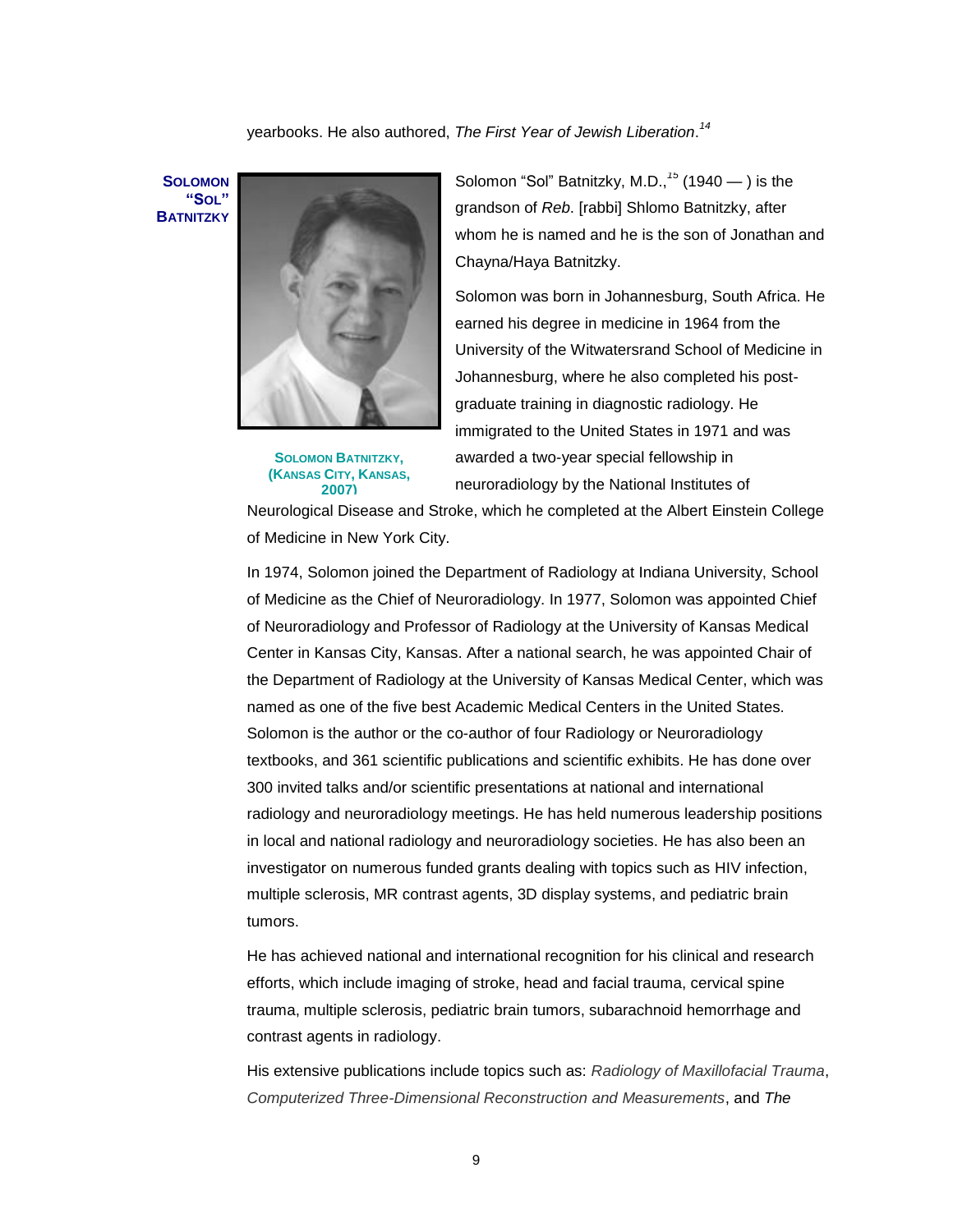# yearbooks. He also authored, *The First Year of Jewish Liberation*. *14*

**SOLOMON "SOL" BATNITZKY**



**SOLOMON BATNITZKY, (KANSAS CITY, KANSAS, 2007)**

Solomon "Sol" Batnitzky, M.D.,  $15$  (1940 — ) is the grandson of *Reb*. [rabbi] Shlomo Batnitzky, after whom he is named and he is the son of Jonathan and Chayna/Haya Batnitzky.

Solomon was born in Johannesburg, South Africa. He earned his degree in medicine in 1964 from the University of the Witwatersrand School of Medicine in Johannesburg, where he also completed his postgraduate training in diagnostic radiology. He immigrated to the United States in 1971 and was awarded a two-year special fellowship in neuroradiology by the National Institutes of

Neurological Disease and Stroke, which he completed at the Albert Einstein College of Medicine in New York City.

In 1974, Solomon joined the Department of Radiology at Indiana University, School of Medicine as the Chief of Neuroradiology. In 1977, Solomon was appointed Chief of Neuroradiology and Professor of Radiology at the University of Kansas Medical Center in Kansas City, Kansas. After a national search, he was appointed Chair of the Department of Radiology at the University of Kansas Medical Center, which was named as one of the five best Academic Medical Centers in the United States. Solomon is the author or the co-author of four Radiology or Neuroradiology textbooks, and 361 scientific publications and scientific exhibits. He has done over 300 invited talks and/or scientific presentations at national and international radiology and neuroradiology meetings. He has held numerous leadership positions in local and national radiology and neuroradiology societies. He has also been an investigator on numerous funded grants dealing with topics such as HIV infection, multiple sclerosis, MR contrast agents, 3D display systems, and pediatric brain tumors.

He has achieved national and international recognition for his clinical and research efforts, which include imaging of stroke, head and facial trauma, cervical spine trauma, multiple sclerosis, pediatric brain tumors, subarachnoid hemorrhage and contrast agents in radiology.

His extensive publications include topics such as: *[Radiology of Maxillofacial Trauma](http://uwashington.worldcat.org/oclc/12831326&referer=brief_results)*, *[Computerized Three-Dimensional Reconstruction and Measurements](http://uwashington.worldcat.org/oclc/8004227&referer=brief_results)*, and *The*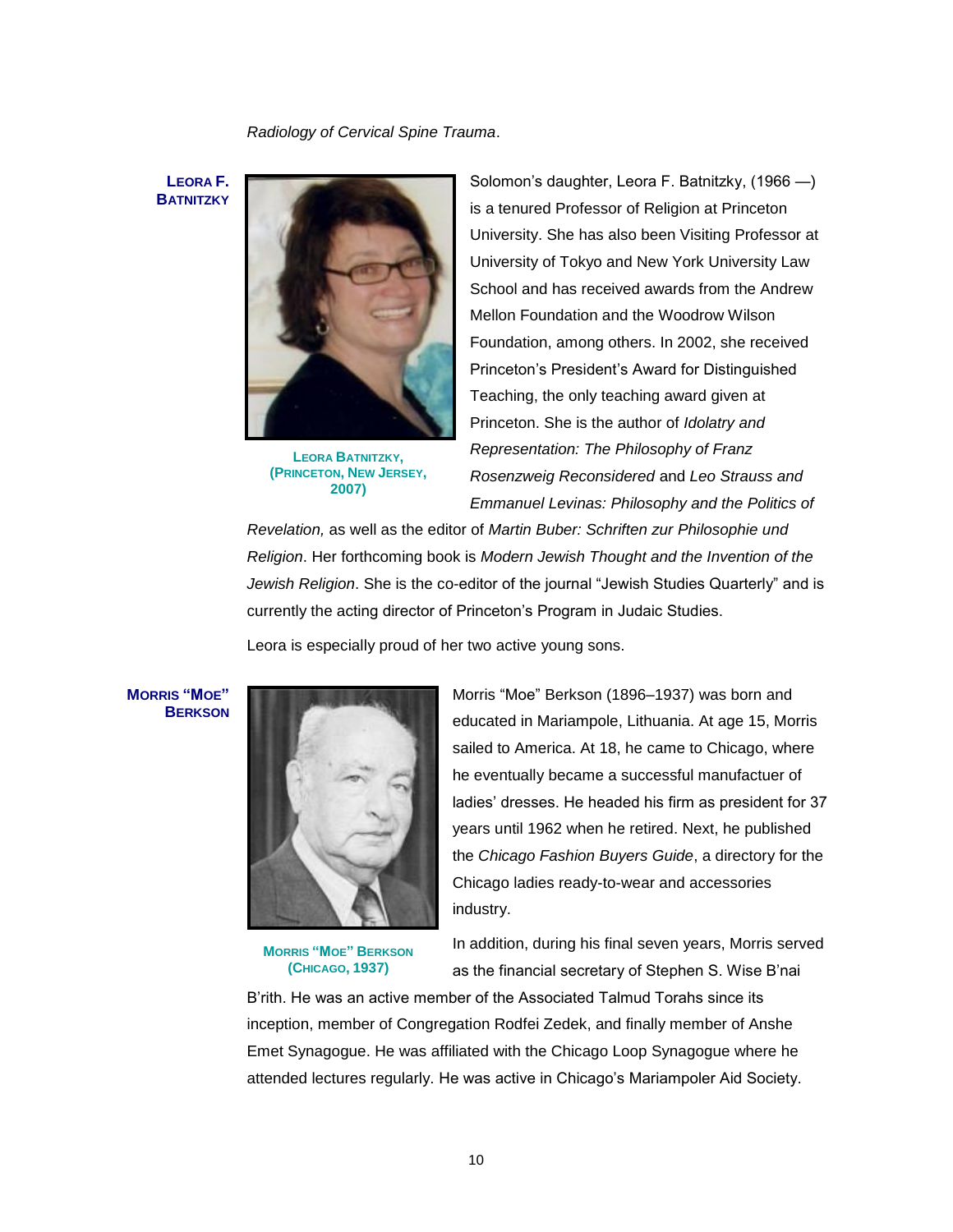*Radiology of Cervical Spine Trauma*.

**LEORA F. BATNITZKY**



**LEORA BATNITZKY, (PRINCETON, NEW JERSEY, 2007)**

Solomon's daughter, Leora F. Batnitzky, (1966 —) is a tenured Professor of Religion at Princeton University. She has also been Visiting Professor at University of Tokyo and New York University Law School and has received awards from the Andrew Mellon Foundation and the Woodrow Wilson Foundation, among others. In 2002, she received Princeton's President's Award for Distinguished Teaching, the only teaching award given at Princeton. She is the author of *Idolatry and Representation: The Philosophy of Franz Rosenzweig Reconsidered* and *Leo Strauss and Emmanuel Levinas: Philosophy and the Politics of* 

*Revelation,* as well as the editor of *Martin Buber: Schriften zur Philosophie und Religion*. Her forthcoming book is *Modern Jewish Thought and the Invention of the*  Jewish Religion. She is the co-editor of the journal "Jewish Studies Quarterly" and is currently the acting director of Princeton's Program in Judaic Studies.

Leora is especially proud of her two active young sons.

**MORRIS "MOE" BERKSON**



**MORRIS "MOE" BERKSON (CHICAGO, 1937)**

Morris "Moe" Berkson (1896–1937) was born and educated in Mariampole, Lithuania. At age 15, Morris sailed to America. At 18, he came to Chicago, where he eventually became a successful manufactuer of ladies' dresses. He headed his firm as president for 37 years until 1962 when he retired. Next, he published the *Chicago Fashion Buyers Guide*, a directory for the Chicago ladies ready-to-wear and accessories industry.

In addition, during his final seven years, Morris served as the financial secretary of Stephen S. Wise B'nai

B'rith. He was an active member of the Associated Talmud Torahs since its inception, member of Congregation Rodfei Zedek, and finally member of Anshe Emet Synagogue. He was affiliated with the Chicago Loop Synagogue where he attended lectures regularly. He was active in Chicago's Mariampoler Aid Society.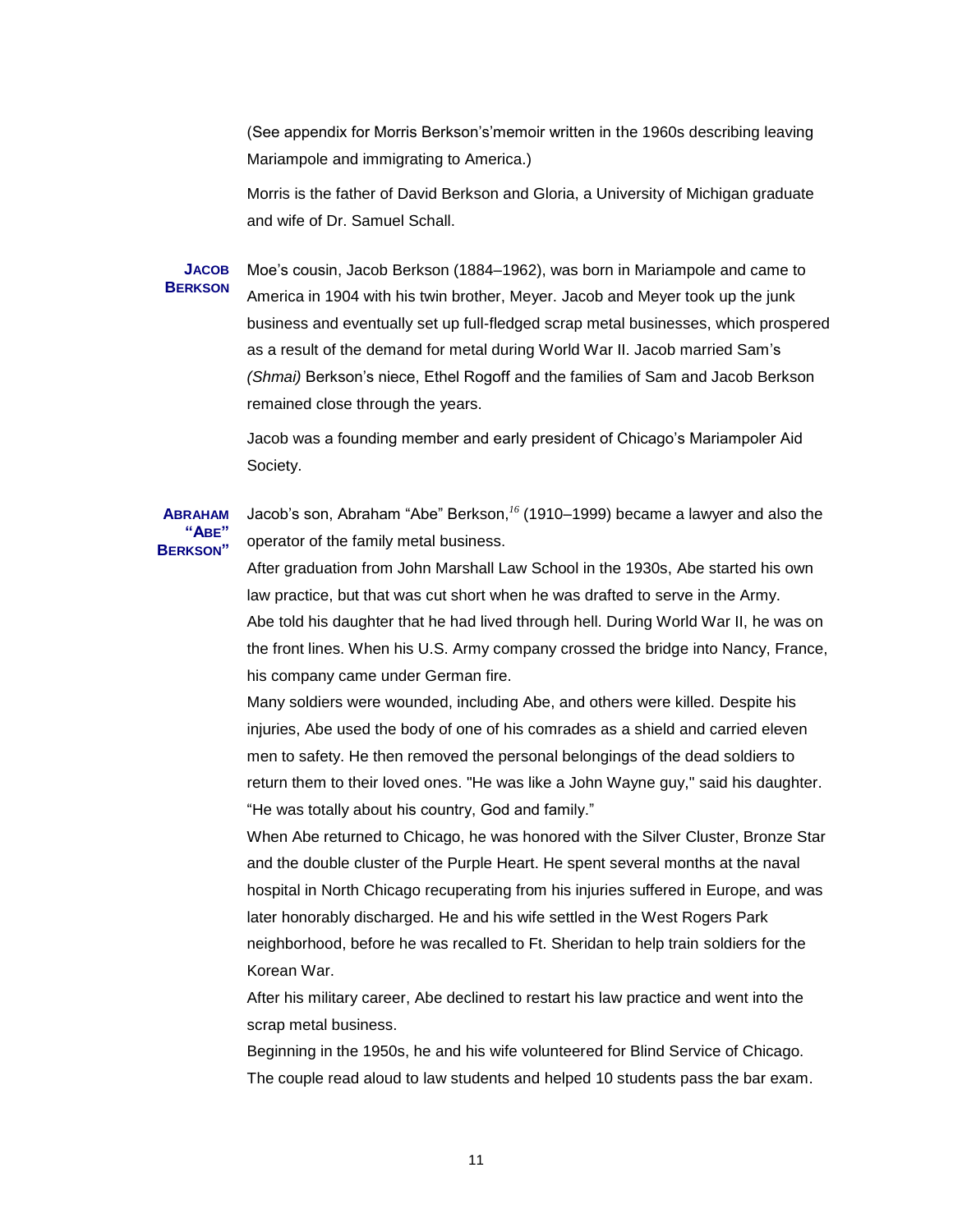(See appendix for Morris Berkson's'memoir written in the 1960s describing leaving Mariampole and immigrating to America.)

Morris is the father of David Berkson and Gloria, a University of Michigan graduate and wife of Dr. Samuel Schall.

**JACOB BERKSON** Moe's cousin, Jacob Berkson (1884–1962), was born in Mariampole and came to America in 1904 with his twin brother, Meyer. Jacob and Meyer took up the junk business and eventually set up full-fledged scrap metal businesses, which prospered as a result of the demand for metal during World War II. Jacob married Sam's *(Shmai)* Berkson's niece, Ethel Rogoff and the families of Sam and Jacob Berkson remained close through the years.

> Jacob was a founding member and early president of Chicago's Mariampoler Aid Society.

#### **ABRAHAM "ABE" BERKSON"** Jacob's son, Abraham "Abe" Berkson,<sup>16</sup> (1910–1999) became a lawyer and also the operator of the family metal business.

After graduation from John Marshall Law School in the 1930s, Abe started his own law practice, but that was cut short when he was drafted to serve in the Army. Abe told his daughter that he had lived through hell. During World War II, he was on the front lines. When his U.S. Army company crossed the bridge into Nancy, France, his company came under German fire.

Many soldiers were wounded, including Abe, and others were killed. Despite his injuries, Abe used the body of one of his comrades as a shield and carried eleven men to safety. He then removed the personal belongings of the dead soldiers to return them to their loved ones. "He was like a John Wayne guy," said his daughter. "He was totally about his country, God and family."

When Abe returned to Chicago, he was honored with the Silver Cluster, Bronze Star and the double cluster of the Purple Heart. He spent several months at the naval hospital in North Chicago recuperating from his injuries suffered in Europe, and was later honorably discharged. He and his wife settled in the West Rogers Park neighborhood, before he was recalled to Ft. Sheridan to help train soldiers for the Korean War.

After his military career, Abe declined to restart his law practice and went into the scrap metal business.

Beginning in the 1950s, he and his wife volunteered for Blind Service of Chicago. The couple read aloud to law students and helped 10 students pass the bar exam.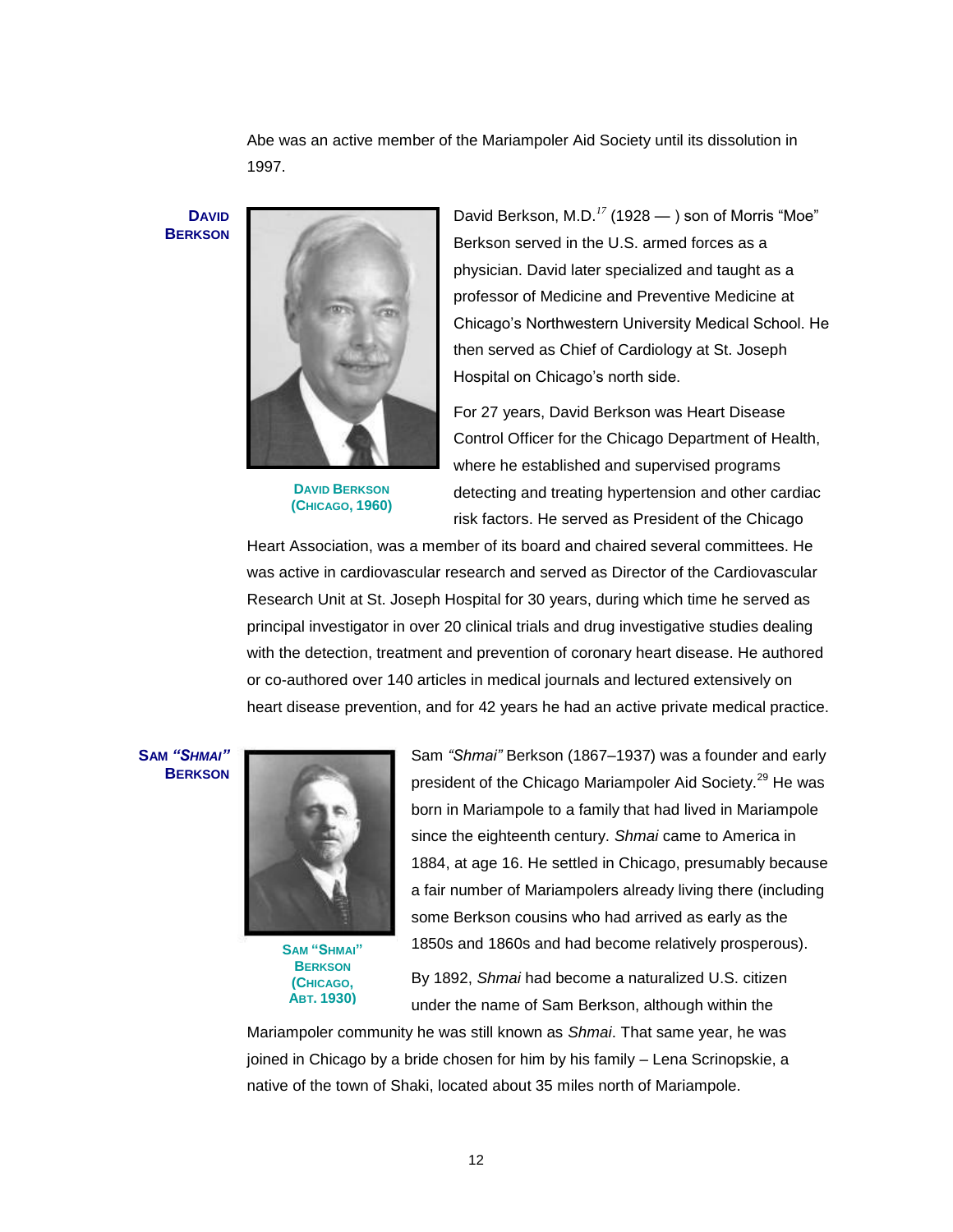Abe was an active member of the Mariampoler Aid Society until its dissolution in 1997.

**DAVID BERKSON**



**DAVID BERKSON (CHICAGO, 1960)**

David Berkson, M.D.<sup>17</sup> (1928  $-$  ) son of Morris "Moe" Berkson served in the U.S. armed forces as a physician. David later specialized and taught as a professor of Medicine and Preventive Medicine at Chicago's Northwestern University Medical School. He then served as Chief of Cardiology at St. Joseph Hospital on Chicago's north side.

For 27 years, David Berkson was Heart Disease Control Officer for the Chicago Department of Health, where he established and supervised programs detecting and treating hypertension and other cardiac risk factors. He served as President of the Chicago

Heart Association, was a member of its board and chaired several committees. He was active in cardiovascular research and served as Director of the Cardiovascular Research Unit at St. Joseph Hospital for 30 years, during which time he served as principal investigator in over 20 clinical trials and drug investigative studies dealing with the detection, treatment and prevention of coronary heart disease. He authored or co-authored over 140 articles in medical journals and lectured extensively on heart disease prevention, and for 42 years he had an active private medical practice.

**SAM** *"SHMAI"* **BERKSON**



**SAM "SHMAI" BERKSON (CHICAGO, ABT. 1930)**

Sam *"Shmai"* Berkson (1867–1937) was a founder and early president of the Chicago Mariampoler Aid Society.<sup>29</sup> He was born in Mariampole to a family that had lived in Mariampole since the eighteenth century. *Shmai* came to America in 1884, at age 16. He settled in Chicago, presumably because a fair number of Mariampolers already living there (including some Berkson cousins who had arrived as early as the 1850s and 1860s and had become relatively prosperous).

By 1892, *Shmai* had become a naturalized U.S. citizen under the name of Sam Berkson, although within the

Mariampoler community he was still known as *Shmai*. That same year, he was joined in Chicago by a bride chosen for him by his family – Lena Scrinopskie, a native of the town of Shaki, located about 35 miles north of Mariampole.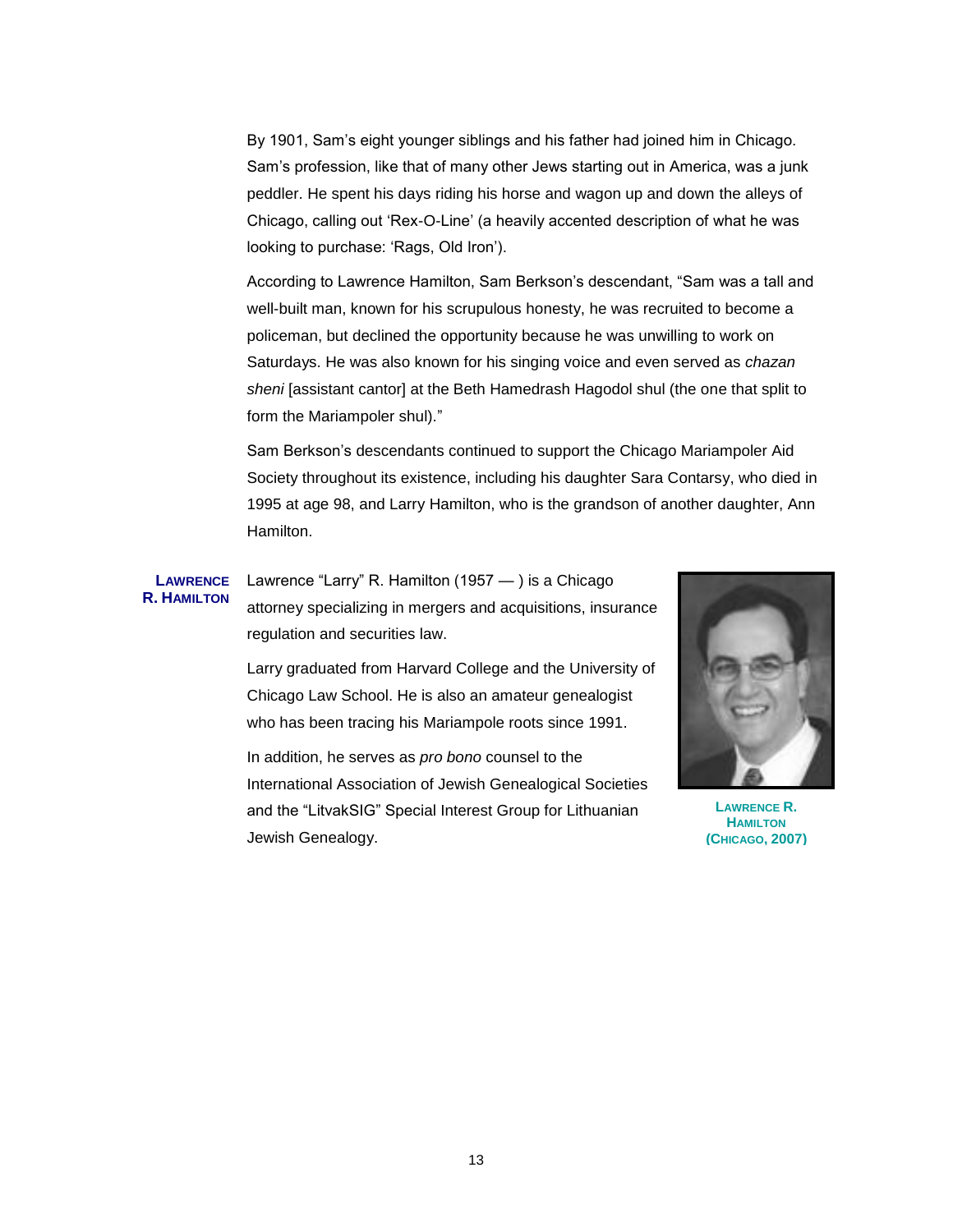By 1901, Sam's eight younger siblings and his father had joined him in Chicago. Sam's profession, like that of many other Jews starting out in America, was a junk peddler. He spent his days riding his horse and wagon up and down the alleys of Chicago, calling out 'Rex-O-Line' (a heavily accented description of what he was looking to purchase: 'Rags, Old Iron').

According to Lawrence Hamilton, Sam Berkson's descendant, "Sam was a tall and well-built man, known for his scrupulous honesty, he was recruited to become a policeman, but declined the opportunity because he was unwilling to work on Saturdays. He was also known for his singing voice and even served as *chazan sheni* [assistant cantor] at the Beth Hamedrash Hagodol shul (the one that split to form the Mariampoler shul)."

Sam Berkson's descendants continued to support the Chicago Mariampoler Aid Society throughout its existence, including his daughter Sara Contarsy, who died in 1995 at age 98, and Larry Hamilton, who is the grandson of another daughter, Ann Hamilton.

### **LAWRENCE R. HAMILTON**

Lawrence "Larry" R. Hamilton  $(1957 - )$  is a Chicago attorney specializing in mergers and acquisitions, insurance regulation and securities law.

Larry graduated from Harvard College and the University of Chicago Law School. He is also an amateur genealogist who has been tracing his Mariampole roots since 1991.

In addition, he serves as *pro bono* counsel to the International Association of Jewish Genealogical Societies and the "LitvakSIG" Special Interest Group for Lithuanian Jewish Genealogy.



**LAWRENCE R. HAMILTON (CHICAGO, 2007)**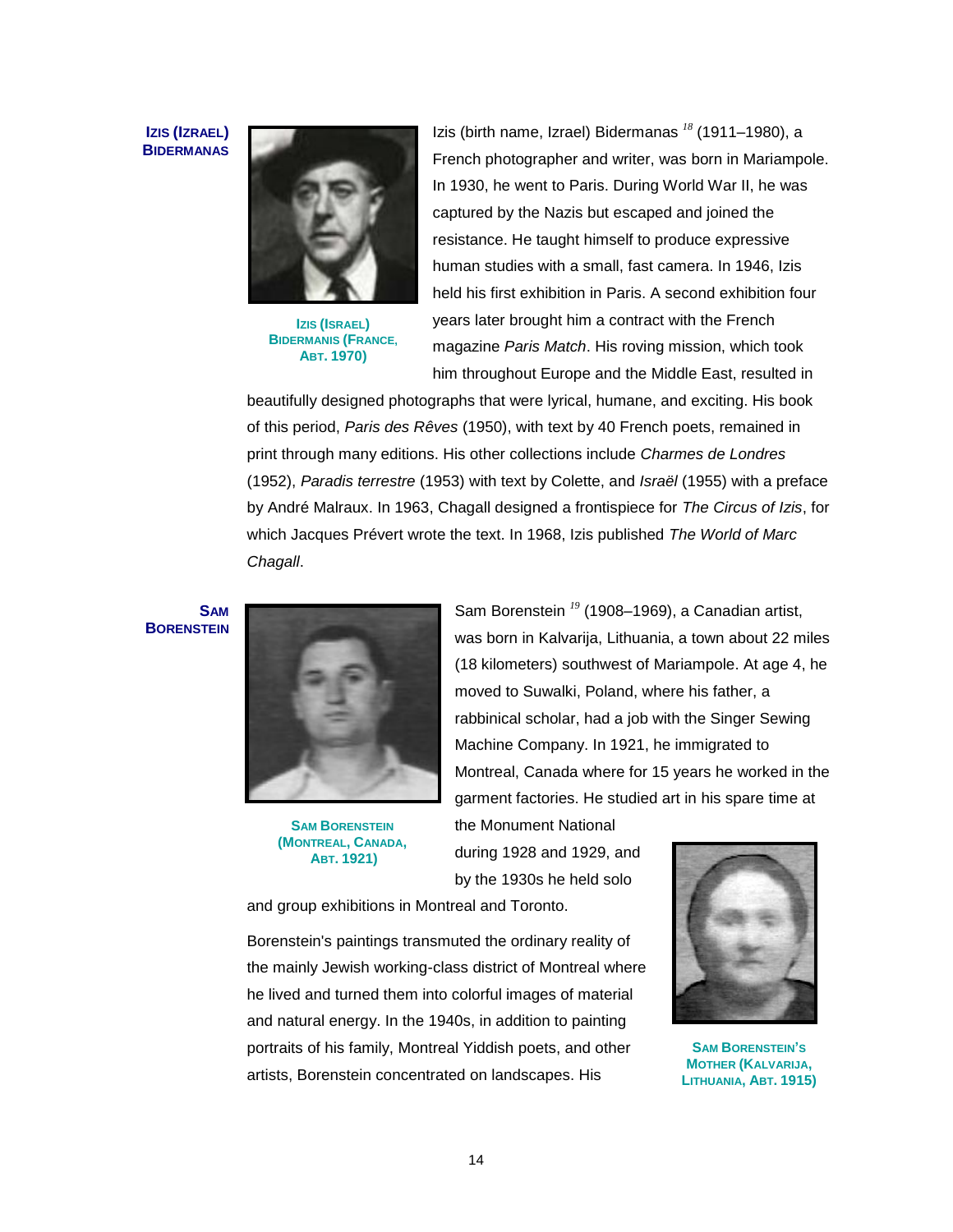### **IZIS (IZRAEL) BIDERMANAS**



**IZIS (ISRAEL) BIDERMANIS (FRANCE, ABT. 1970)**

Izis (birth name, Izrael) Bidermanas *<sup>18</sup>* (1911–1980), a French photographer and writer, was born in Mariampole. In 1930, he went to Paris. During World War II, he was captured by the Nazis but escaped and joined the resistance. He taught himself to produce expressive human studies with a small, fast camera. In 1946, Izis held his first exhibition in Paris. A second exhibition four years later brought him a contract with the French magazine *Paris Match*. His roving mission, which took him throughout Europe and the Middle East, resulted in

beautifully designed photographs that were lyrical, humane, and exciting. His book of this period, *Paris des Rêves* (1950), with text by 40 French poets, remained in print through many editions. His other collections include *Charmes de Londres* (1952), *Paradis terrestre* (1953) with text by Colette, and *Israël* (1955) with a preface by André Malraux. In 1963, Chagall designed a frontispiece for *The Circus of Izis*, for which Jacques Prévert wrote the text. In 1968, Izis published *The World of Marc Chagall*.

**SAM BORENSTEIN**



**SAM BORENSTEIN (MONTREAL, CANADA, ABT. 1921)**

Sam Borenstein *<sup>19</sup>* (1908–1969), a Canadian artist, was born in Kalvarija, Lithuania, a town about 22 miles (18 kilometers) southwest of Mariampole. At age 4, he moved to Suwalki, Poland, where his father, a rabbinical scholar, had a job with the Singer Sewing Machine Company. In 1921, he immigrated to Montreal, Canada where for 15 years he worked in the garment factories. He studied art in his spare time at

the Monument National during 1928 and 1929, and by the 1930s he held solo

and group exhibitions in Montreal and Toronto.

Borenstein's paintings transmuted the ordinary reality of the mainly Jewish working-class district of Montreal where he lived and turned them into colorful images of material and natural energy. In the 1940s, in addition to painting portraits of his family, Montreal Yiddish poets, and other artists, Borenstein concentrated on landscapes. His



**SAM BORENSTEIN'S MOTHER (KALVARIJA, LITHUANIA, ABT. 1915)**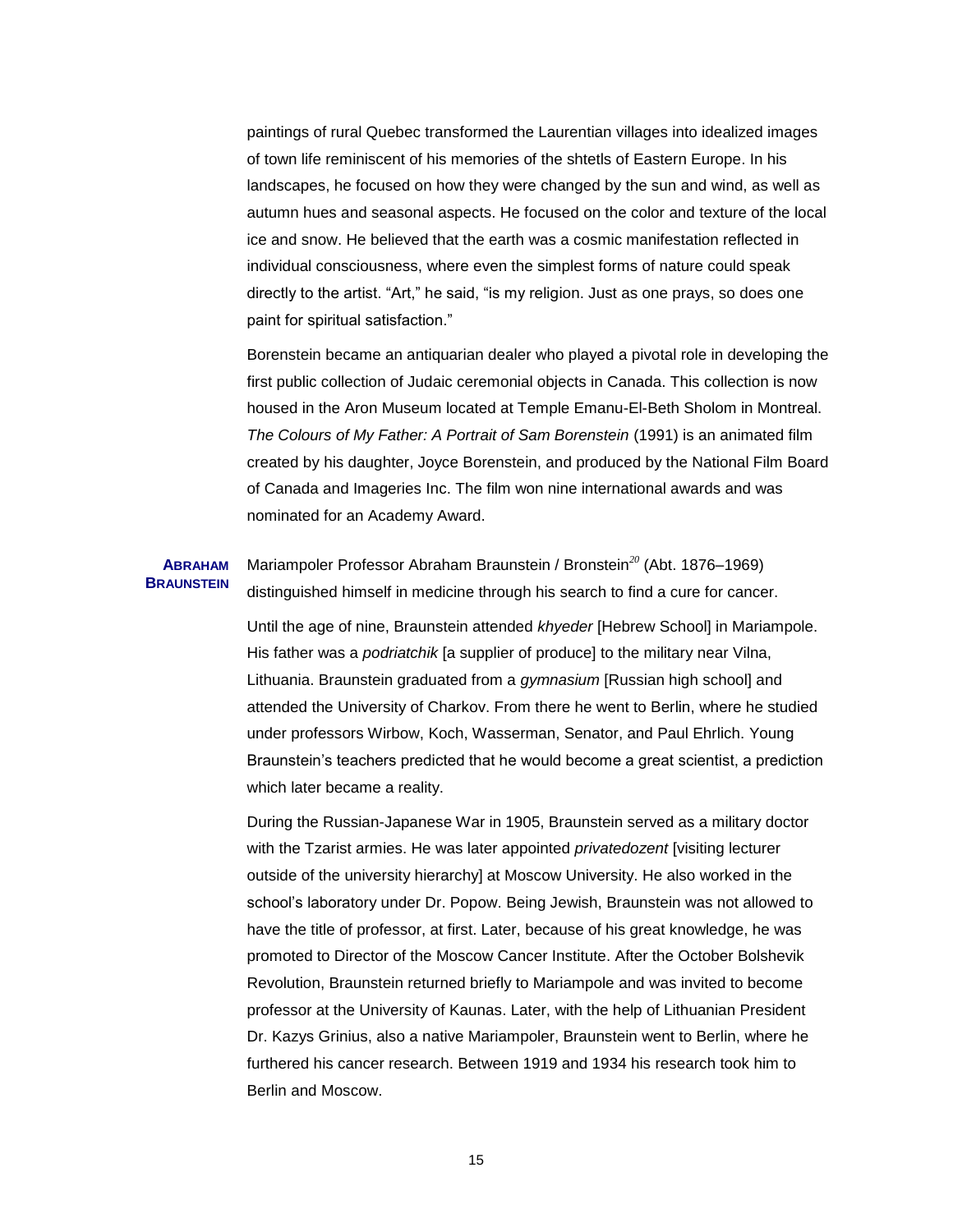paintings of rural Quebec transformed the Laurentian villages into idealized images of town life reminiscent of his memories of the shtetls of Eastern Europe. In his landscapes, he focused on how they were changed by the sun and wind, as well as autumn hues and seasonal aspects. He focused on the color and texture of the local ice and snow. He believed that the earth was a cosmic manifestation reflected in individual consciousness, where even the simplest forms of nature could speak directly to the artist. "Art," he said, "is my religion. Just as one prays, so does one paint for spiritual satisfaction."

Borenstein became an antiquarian dealer who played a pivotal role in developing the first public collection of Judaic ceremonial objects in Canada. This collection is now housed in the Aron Museum located at Temple Emanu-El-Beth Sholom in Montreal. *The Colours of My Father: A Portrait of Sam Borenstein* (1991) is an animated film created by his daughter, Joyce Borenstein, and produced by the National Film Board of Canada and Imageries Inc. The film won nine international awards and was nominated for an Academy Award.

#### **ABRAHAM BRAUNSTEIN**

Mariampoler Professor Abraham Braunstein / Bronstein*<sup>20</sup>* (Abt. 1876–1969) distinguished himself in medicine through his search to find a cure for cancer.

Until the age of nine, Braunstein attended *khyeder* [Hebrew School] in Mariampole. His father was a *podriatchik* [a supplier of produce] to the military near Vilna, Lithuania. Braunstein graduated from a *gymnasium* [Russian high school] and attended the University of Charkov. From there he went to Berlin, where he studied under professors Wirbow, Koch, Wasserman, Senator, and Paul Ehrlich. Young Braunstein's teachers predicted that he would become a great scientist, a prediction which later became a reality.

During the Russian-Japanese War in 1905, Braunstein served as a military doctor with the Tzarist armies. He was later appointed *privatedozent* [visiting lecturer outside of the university hierarchy] at Moscow University. He also worked in the school's laboratory under Dr. Popow. Being Jewish, Braunstein was not allowed to have the title of professor, at first. Later, because of his great knowledge, he was promoted to Director of the Moscow Cancer Institute. After the October Bolshevik Revolution, Braunstein returned briefly to Mariampole and was invited to become professor at the University of Kaunas. Later, with the help of Lithuanian President Dr. Kazys Grinius, also a native Mariampoler, Braunstein went to Berlin, where he furthered his cancer research. Between 1919 and 1934 his research took him to Berlin and Moscow.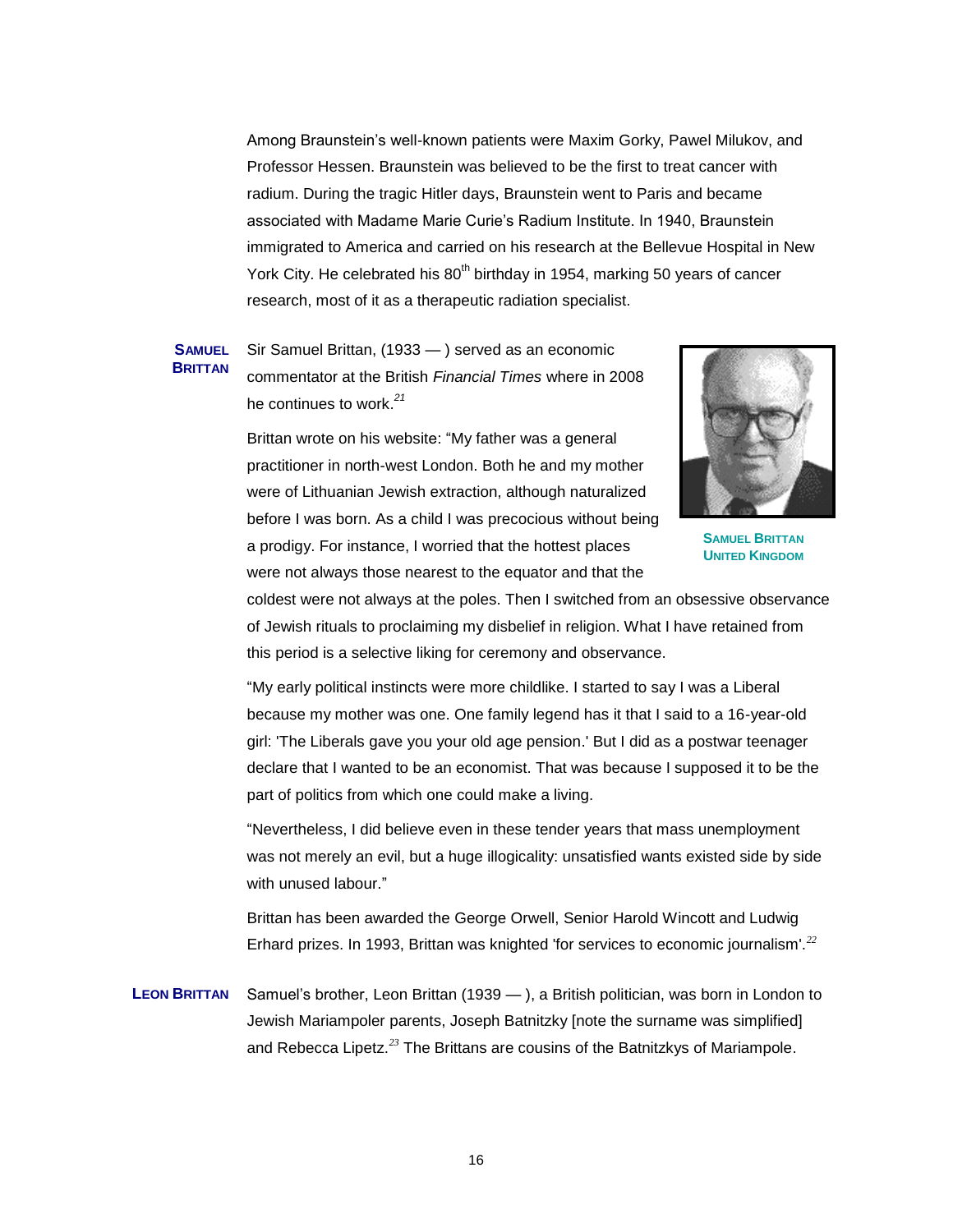Among Braunstein's well-known patients were Maxim Gorky, Pawel Milukov, and Professor Hessen. Braunstein was believed to be the first to treat cancer with radium. During the tragic Hitler days, Braunstein went to Paris and became associated with Madame Marie Curie's Radium Institute. In 1940, Braunstein immigrated to America and carried on his research at the Bellevue Hospital in New York City. He celebrated his 80<sup>th</sup> birthday in 1954, marking 50 years of cancer research, most of it as a therapeutic radiation specialist.

**SAMUEL BRITTAN** Sir Samuel Brittan, (1933 — ) served as an economic commentator at the British *Financial Times* where in 2008 he continues to work. *21*

> Brittan wrote on his website: "My father was a general practitioner in north-west London. Both he and my mother were of Lithuanian Jewish extraction, although naturalized before I was born. As a child I was precocious without being a prodigy. For instance, I worried that the hottest places were not always those nearest to the equator and that the



**SAMUEL BRITTAN UNITED KINGDOM**

coldest were not always at the poles. Then I switched from an obsessive observance of Jewish rituals to proclaiming my disbelief in religion. What I have retained from this period is a selective liking for ceremony and observance.

―My early political instincts were more childlike. I started to say I was a Liberal because my mother was one. One family legend has it that I said to a 16-year-old girl: 'The Liberals gave you your old age pension.' But I did as a postwar teenager declare that I wanted to be an economist. That was because I supposed it to be the part of politics from which one could make a living.

―Nevertheless, I did believe even in these tender years that mass unemployment was not merely an evil, but a huge illogicality: unsatisfied wants existed side by side with unused labour."

Brittan has been awarded the [George Orwell,](http://en.wikipedia.org/wiki/George_Orwell) Senior [Harold Wincott](http://en.wikipedia.org/wiki/Harold_Wincott) and [Ludwig](http://en.wikipedia.org/wiki/Ludwig_Erhard)  [Erhard](http://en.wikipedia.org/wiki/Ludwig_Erhard) prizes. In 1993, Brittan was knighted 'for services to economic journalism'.*<sup>22</sup>*

**LEON BRITTAN** Samuel's brother, Leon Brittan (1939 — ), a British politician, was born in London to Jewish Mariampoler parents, Joseph Batnitzky [note the surname was simplified] and Rebecca Lipetz.*<sup>23</sup>* The Brittans are cousins of the Batnitzkys of Mariampole.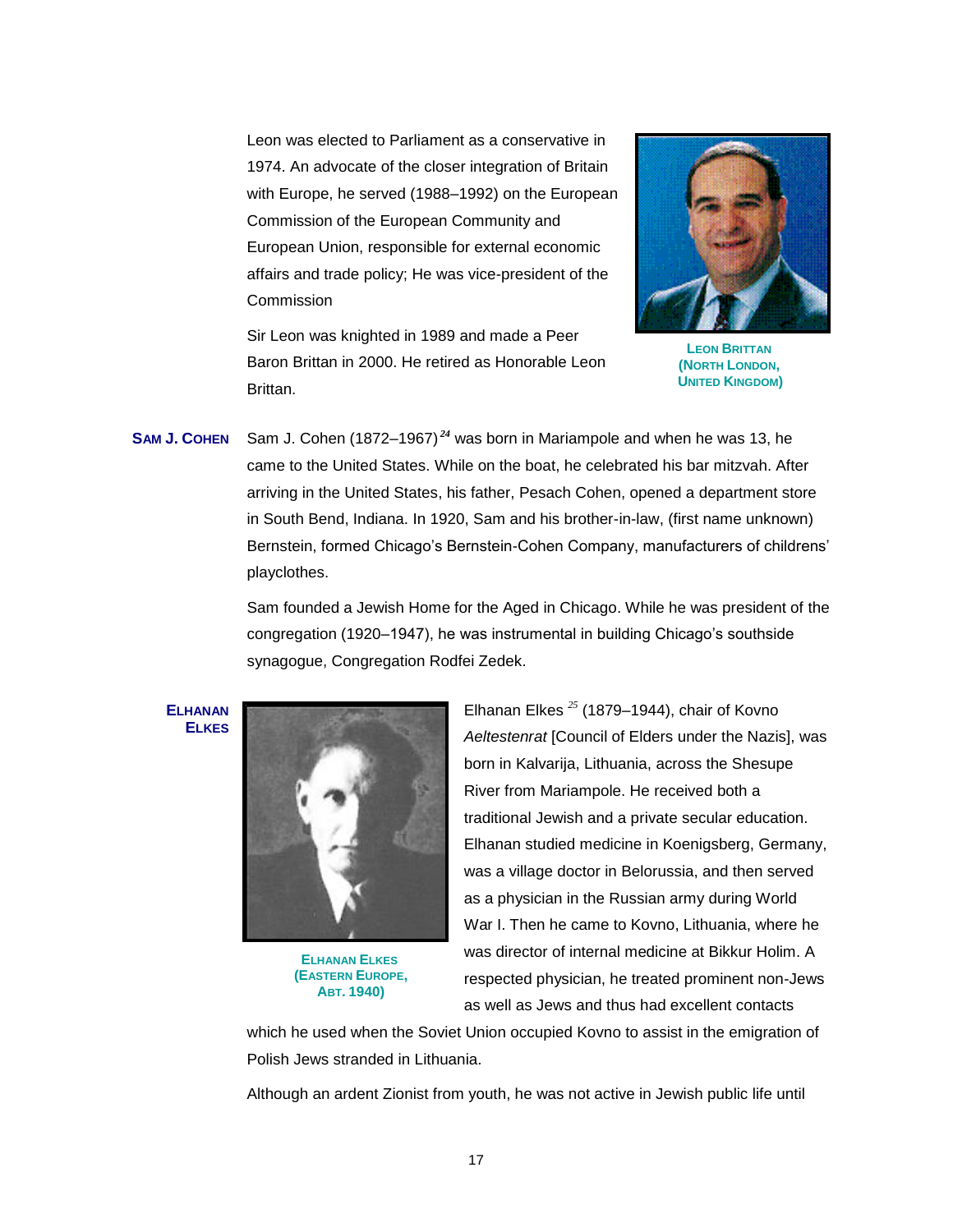Leon was elected to Parliament as a conservative in 1974. An advocate of the closer integration of Britain with Europe, he served (1988–1992) on the European Commission of the European Community and European Union, responsible for external economic affairs and trade policy; He was vice-president of the Commission





**LEON BRITTAN (NORTH LONDON, UNITED KINGDOM)**

**SAM J. COHEN** Sam J. Cohen (1872–1967) *<sup>24</sup>* was born in Mariampole and when he was 13, he came to the United States. While on the boat, he celebrated his bar mitzvah. After arriving in the United States, his father, Pesach Cohen, opened a department store in South Bend, Indiana. In 1920, Sam and his brother-in-law, (first name unknown) Bernstein, formed Chicago's Bernstein-Cohen Company, manufacturers of childrens' playclothes.

> Sam founded a Jewish Home for the Aged in Chicago. While he was president of the congregation (1920–1947), he was instrumental in building Chicago's southside synagogue, Congregation Rodfei Zedek.

**ELHANAN ELKES** 



**ELHANAN ELKES (EASTERN EUROPE, ABT. 1940)**

Elhanan Elkes *<sup>25</sup>* (1879–1944), chair of Kovno *Aeltestenrat* [Council of Elders under the Nazis], was born in Kalvarija, Lithuania, across the Shesupe River from Mariampole. He received both a traditional Jewish and a private secular education. Elhanan studied medicine in Koenigsberg, Germany, was a village doctor in Belorussia, and then served as a physician in the Russian army during World War I. Then he came to Kovno, Lithuania, where he was director of internal medicine at Bikkur Holim. A respected physician, he treated prominent non-Jews as well as Jews and thus had excellent contacts

which he used when the Soviet Union occupied Kovno to assist in the emigration of Polish Jews stranded in Lithuania.

Although an ardent Zionist from youth, he was not active in Jewish public life until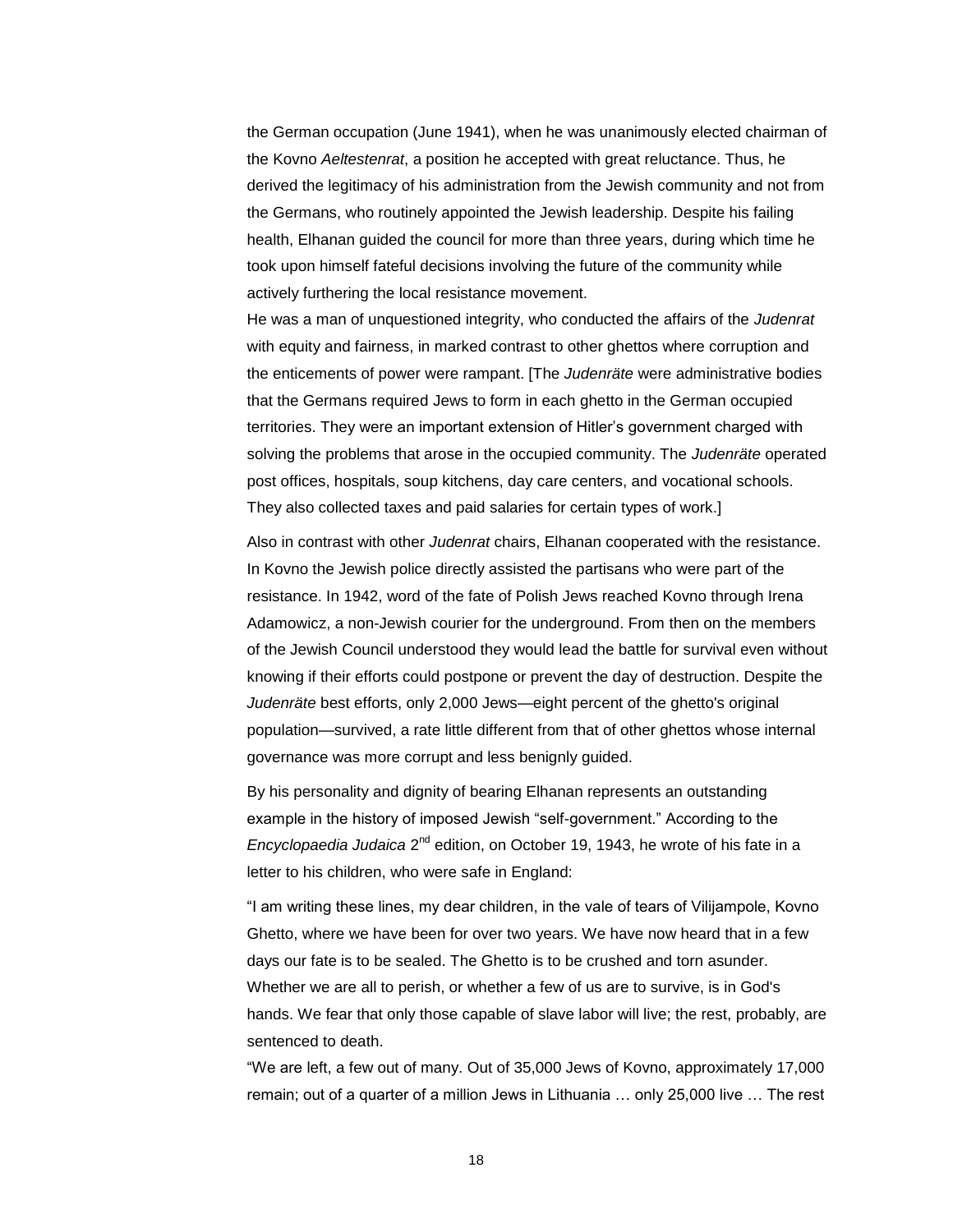the German occupation (June 1941), when he was unanimously elected chairman of the Kovno *Aeltestenrat*, a position he accepted with great reluctance. Thus, he derived the legitimacy of his administration from the Jewish community and not from the Germans, who routinely appointed the Jewish leadership. Despite his failing health, Elhanan guided the council for more than three years, during which time he took upon himself fateful decisions involving the future of the community while actively furthering the local resistance movement.

He was a man of unquestioned integrity, who conducted the affairs of the *Judenrat*  with equity and fairness, in marked contrast to other ghettos where corruption and the enticements of power were rampant. [The *Judenräte* were administrative bodies that the [Germans](http://en.wikipedia.org/wiki/Germany) required [Jews](http://en.wikipedia.org/wiki/Jew) to form in each ghetto in the German occupied territories. They were an important extension of Hitler's government charged with solving the problems that arose in the occupied community. The *Judenräte* operated post offices, hospitals, soup kitchens, day care centers, and vocational schools. They also collected taxes and paid salaries for certain types of work.]

Also in contrast with other *Judenrat* chairs, Elhanan cooperated with the resistance. In Kovno the Jewish police directly assisted the partisans who were part of the resistance. In 1942, word of the fate of Polish Jews reached Kovno through Irena Adamowicz, a non-Jewish courier for the underground. From then on the members of the Jewish Council understood they would lead the battle for survival even without knowing if their efforts could postpone or prevent the day of destruction. Despite the *Judenräte* best efforts, only 2,000 Jews—eight percent of the ghetto's original population—survived, a rate little different from that of other ghettos whose internal governance was more corrupt and less benignly guided.

By his personality and dignity of bearing Elhanan represents an outstanding example in the history of imposed Jewish "self-government." According to the *Encyclopaedia Judaica* 2<sup>nd</sup> edition, on October 19, 1943, he wrote of his fate in a letter to his children, who were safe in England:

"I am writing these lines, my dear children, in the vale of tears of Vilijampole, Kovno Ghetto, where we have been for over two years. We have now heard that in a few days our fate is to be sealed. The Ghetto is to be crushed and torn asunder. Whether we are all to perish, or whether a few of us are to survive, is in God's hands. We fear that only those capable of slave labor will live; the rest, probably, are sentenced to death.

―We are left, a few out of many. Out of 35,000 Jews of Kovno, approximately 17,000 remain; out of a quarter of a million Jews in Lithuania … only 25,000 live … The rest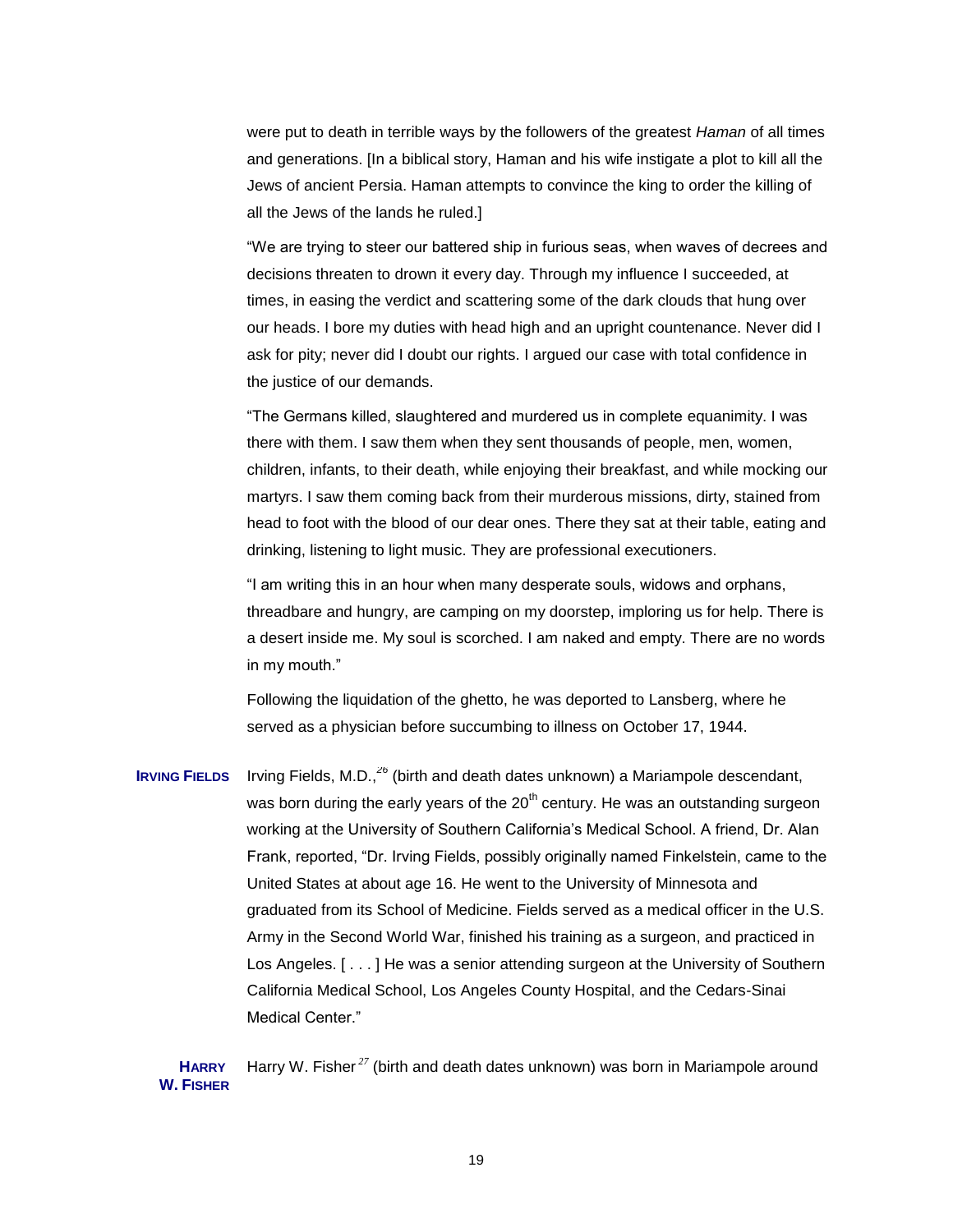were put to death in terrible ways by the followers of the greatest *Haman* of all times and generations. [In a biblical story, Haman and his wife instigate a plot to kill all the [Jews](http://en.wikipedia.org/wiki/Jew) of ancient Persia. Haman attempts to convince the king to order the killing of all the Jews of the lands he ruled.]

"We are trying to steer our battered ship in furious seas, when waves of decrees and decisions threaten to drown it every day. Through my influence I succeeded, at times, in easing the verdict and scattering some of the dark clouds that hung over our heads. I bore my duties with head high and an upright countenance. Never did I ask for pity; never did I doubt our rights. I argued our case with total confidence in the justice of our demands.

―The Germans killed, slaughtered and murdered us in complete equanimity. I was there with them. I saw them when they sent thousands of people, men, women, children, infants, to their death, while enjoying their breakfast, and while mocking our martyrs. I saw them coming back from their murderous missions, dirty, stained from head to foot with the blood of our dear ones. There they sat at their table, eating and drinking, listening to light music. They are professional executioners.

"I am writing this in an hour when many desperate souls, widows and orphans, threadbare and hungry, are camping on my doorstep, imploring us for help. There is a desert inside me. My soul is scorched. I am naked and empty. There are no words in my mouth."

Following the liquidation of the ghetto, he was deported to Lansberg, where he served as a physician before succumbing to illness on October 17, 1944.

**IRVING FIELDS** Irving Fields, M.D.,*<sup>26</sup>* (birth and death dates unknown) a Mariampole descendant, was born during the early years of the  $20<sup>th</sup>$  century. He was an outstanding surgeon working at the University of Southern California's Medical School. A friend, Dr. Alan Frank, reported, "Dr. Irving Fields, possibly originally named Finkelstein, came to the United States at about age 16. He went to the University of Minnesota and graduated from its School of Medicine. Fields served as a medical officer in the U.S. Army in the Second World War, finished his training as a surgeon, and practiced in Los Angeles. [ . . . ] He was a senior attending surgeon at the University of Southern California Medical School, Los Angeles County Hospital, and the Cedars-Sinai Medical Center."

**HARRY W. FISHER** Harry W. Fisher *<sup>27</sup>* (birth and death dates unknown) was born in Mariampole around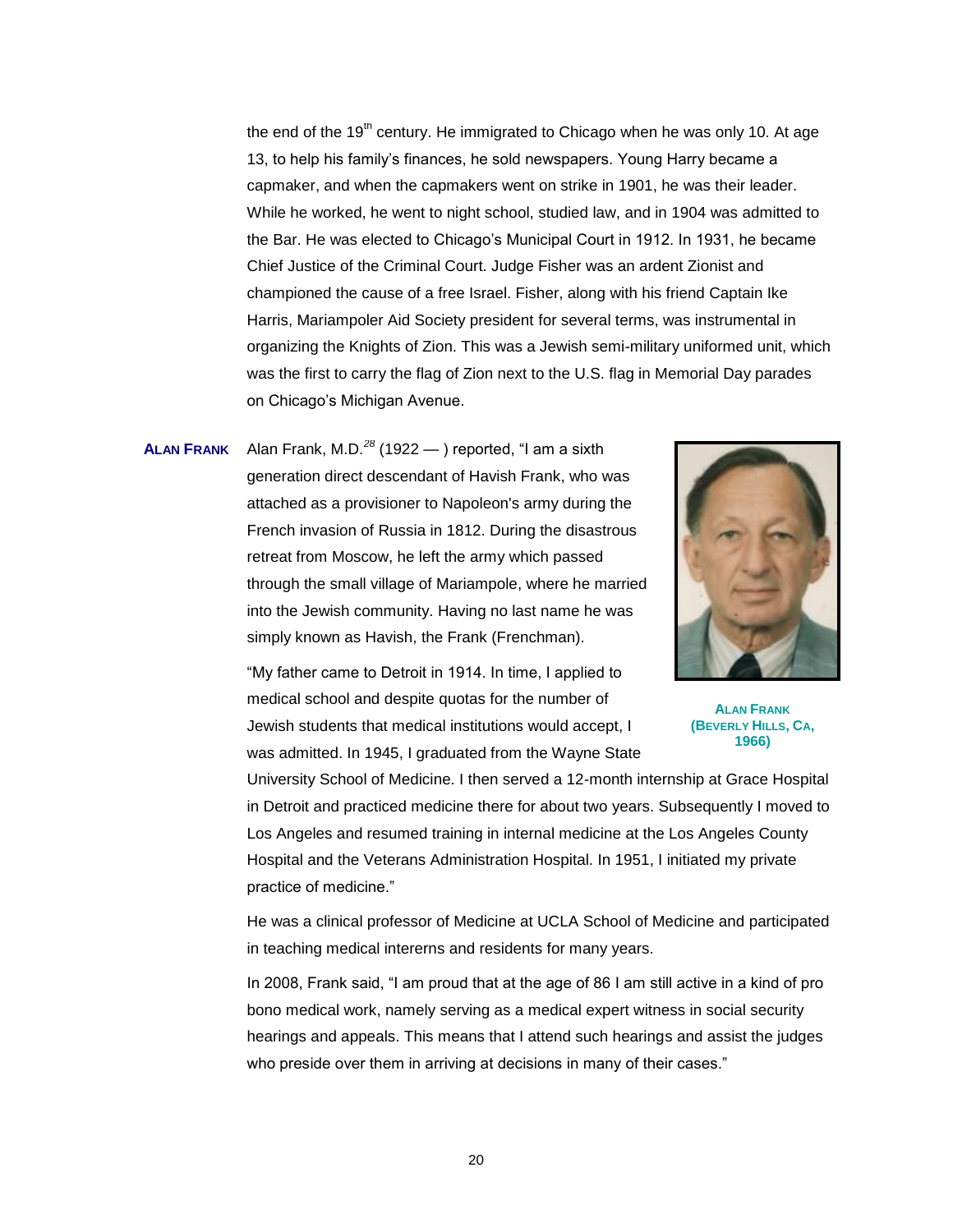the end of the  $19<sup>th</sup>$  century. He immigrated to Chicago when he was only 10. At age 13, to help his family's finances, he sold newspapers. Young Harry became a capmaker, and when the capmakers went on strike in 1901, he was their leader. While he worked, he went to night school, studied law, and in 1904 was admitted to the Bar. He was elected to Chicago's Municipal Court in 1912. In 1931, he became Chief Justice of the Criminal Court. Judge Fisher was an ardent Zionist and championed the cause of a free Israel. Fisher, along with his friend Captain Ike Harris, Mariampoler Aid Society president for several terms, was instrumental in organizing the Knights of Zion. This was a Jewish semi-military uniformed unit, which was the first to carry the flag of Zion next to the U.S. flag in Memorial Day parades on Chicago's Michigan Avenue.

**ALAN FRANK** Alan Frank, M.D.<sup>28</sup> (1922 — ) reported, "I am a sixth generation direct descendant of Havish Frank, who was attached as a provisioner to Napoleon's army during the French invasion of Russia in 1812. During the disastrous retreat from Moscow, he left the army which passed through the small village of Mariampole, where he married into the Jewish community. Having no last name he was simply known as Havish, the Frank (Frenchman).

> "My father came to Detroit in 1914. In time, I applied to medical school and despite quotas for the number of Jewish students that medical institutions would accept, I was admitted. In 1945, I graduated from the Wayne State



**ALAN FRANK (BEVERLY HILLS, CA, 1966)**

University School of Medicine. I then served a 12-month internship at Grace Hospital in Detroit and practiced medicine there for about two years. Subsequently I moved to Los Angeles and resumed training in internal medicine at the Los Angeles County Hospital and the Veterans Administration Hospital. In 1951, I initiated my private practice of medicine."

He was a clinical professor of Medicine at UCLA School of Medicine and participated in teaching medical intererns and residents for many years.

In 2008, Frank said, "I am proud that at the age of 86 I am still active in a kind of pro bono medical work, namely serving as a medical expert witness in social security hearings and appeals. This means that I attend such hearings and assist the judges who preside over them in arriving at decisions in many of their cases."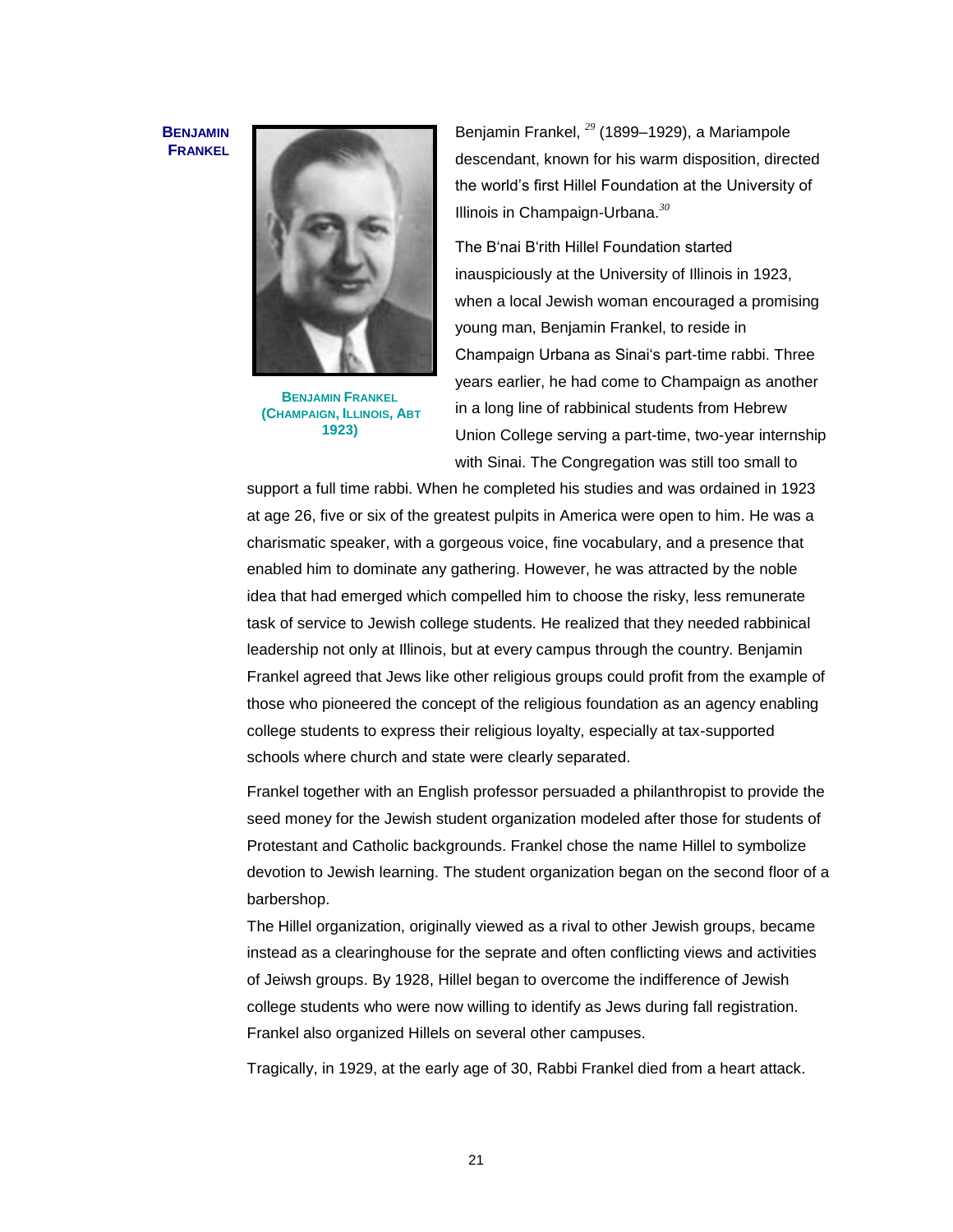#### **BENJAMIN FRANKEL**



**BENJAMIN FRANKEL (CHAMPAIGN, ILLINOIS, ABT 1923)**

Benjamin Frankel, *<sup>29</sup>* (1899–1929), a Mariampole descendant, known for his warm disposition, directed the world's first Hillel Foundation at the University of Illinois in Champaign-Urbana. *30*

The B'nai B'rith Hillel Foundation started inauspiciously at the University of Illinois in 1923, when a local Jewish woman encouraged a promising young man, Benjamin Frankel, to reside in Champaign Urbana as Sinai's part-time rabbi. Three years earlier, he had come to Champaign as another in a long line of rabbinical students from Hebrew Union College serving a part-time, two-year internship with Sinai. The Congregation was still too small to

support a full time rabbi. When he completed his studies and was ordained in 1923 at age 26, five or six of the greatest pulpits in America were open to him. He was a charismatic speaker, with a gorgeous voice, fine vocabulary, and a presence that enabled him to dominate any gathering. However, he was attracted by the noble idea that had emerged which compelled him to choose the risky, less remunerate task of service to Jewish college students. He realized that they needed rabbinical leadership not only at Illinois, but at every campus through the country. Benjamin Frankel agreed that Jews like other religious groups could profit from the example of those who pioneered the concept of the religious foundation as an agency enabling college students to express their religious loyalty, especially at tax-supported schools where church and state were clearly separated.

Frankel together with an English professor persuaded a philanthropist to provide the seed money for the Jewish student organization modeled after those for students of Protestant and Catholic backgrounds. Frankel chose the name Hillel to symbolize devotion to Jewish learning. The student organization began on the second floor of a barbershop.

The Hillel organization, originally viewed as a rival to other Jewish groups, became instead as a clearinghouse for the seprate and often conflicting views and activities of Jeiwsh groups. By 1928, Hillel began to overcome the indifference of Jewish college students who were now willing to identify as Jews during fall registration. Frankel also organized Hillels on several other campuses.

Tragically, in 1929, at the early age of 30, Rabbi Frankel died from a heart attack.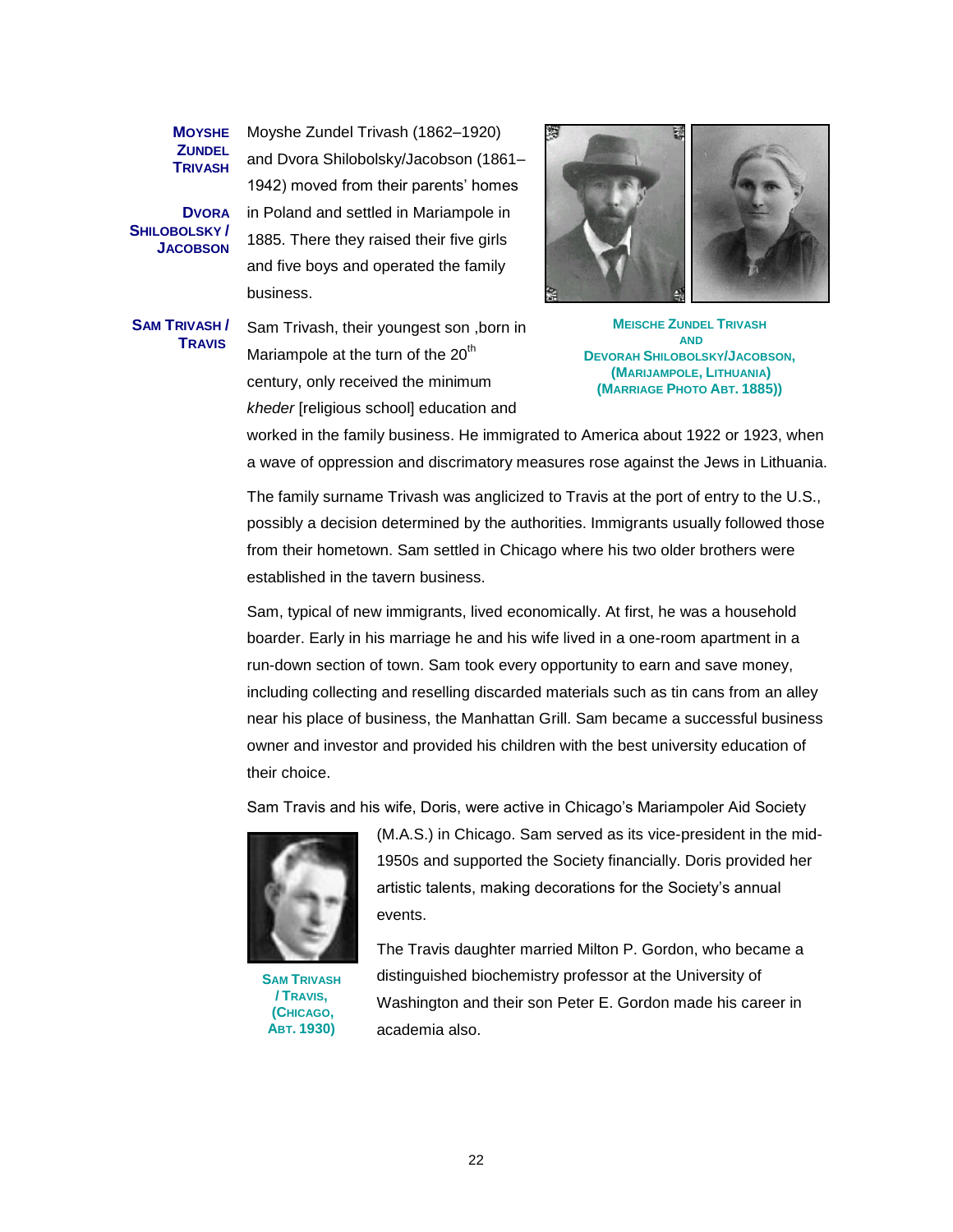**MOYSHE ZUNDEL TRIVASH**

**DVORA SHILOBOLSKY / JACOBSON** Moyshe Zundel Trivash (1862–1920) and Dvora Shilobolsky/Jacobson (1861– 1942) moved from their parents' homes in Poland and settled in Mariampole in 1885. There they raised their five girls and five boys and operated the family business.

**SAM TRIVASH / TRAVIS** 

Sam Trivash, their youngest son ,born in Mariampole at the turn of the 20<sup>th</sup> century, only received the minimum *kheder* [religious school] education and



**MEISCHE ZUNDEL TRIVASH AND DEVORAH SHILOBOLSKY/JACOBSON, (MARIJAMPOLE, LITHUANIA) (MARRIAGE PHOTO ABT. 1885))**

worked in the family business. He immigrated to America about 1922 or 1923, when a wave of oppression and discrimatory measures rose against the Jews in Lithuania.

The family surname Trivash was anglicized to Travis at the port of entry to the U.S., possibly a decision determined by the authorities. Immigrants usually followed those from their hometown. Sam settled in Chicago where his two older brothers were established in the tavern business.

Sam, typical of new immigrants, lived economically. At first, he was a household boarder. Early in his marriage he and his wife lived in a one-room apartment in a run-down section of town. Sam took every opportunity to earn and save money, including collecting and reselling discarded materials such as tin cans from an alley near his place of business, the Manhattan Grill. Sam became a successful business owner and investor and provided his children with the best university education of their choice.

Sam Travis and his wife, Doris, were active in Chicago's Mariampoler Aid Society



**SAM TRIVASH / TRAVIS, (CHICAGO, ABT. 1930)**

(M.A.S.) in Chicago. Sam served as its vice-president in the mid-1950s and supported the Society financially. Doris provided her artistic talents, making decorations for the Society's annual events.

The Travis daughter married Milton P. Gordon, who became a distinguished biochemistry professor at the University of Washington and their son Peter E. Gordon made his career in academia also.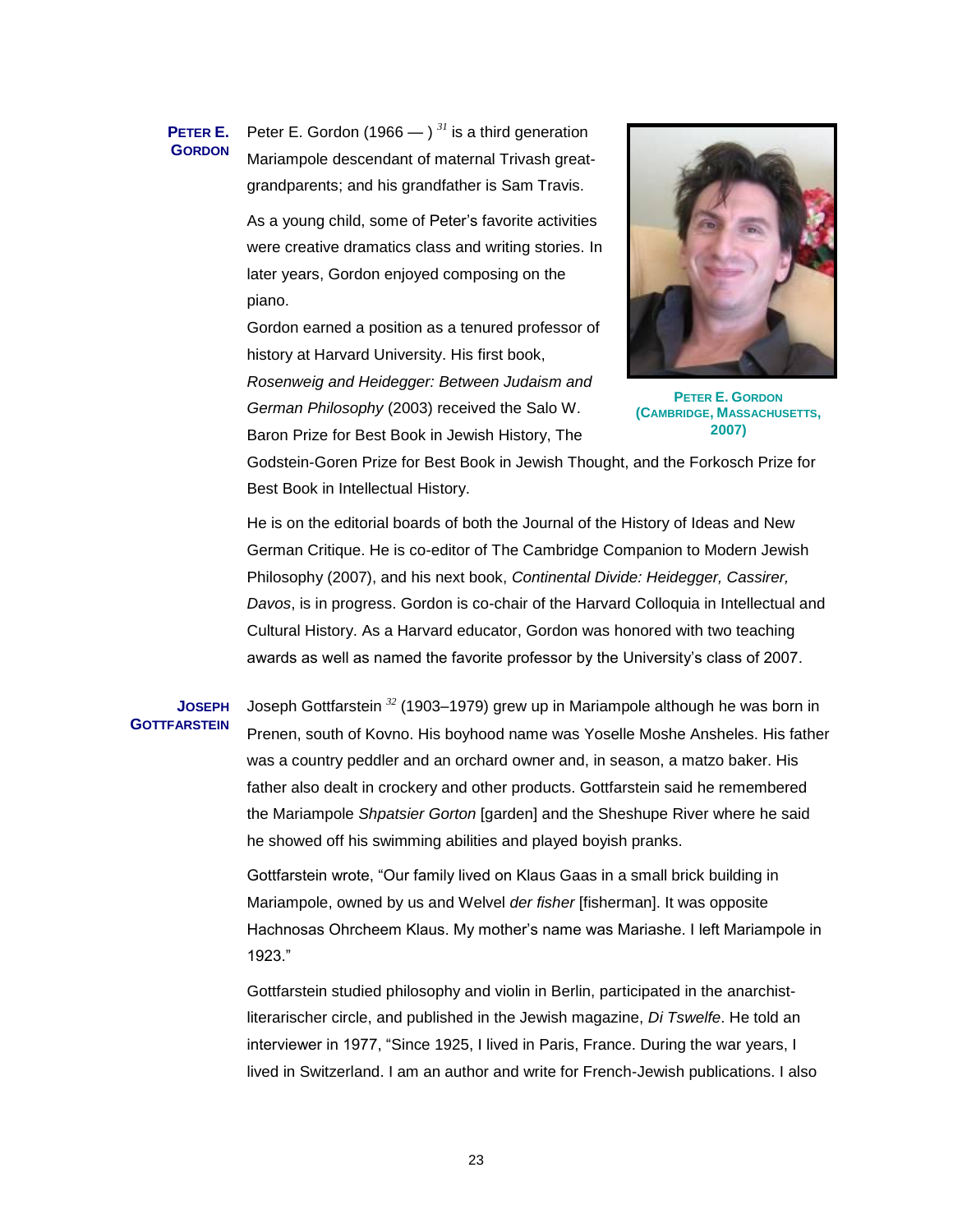#### **PETER E. GORDON** Peter E. Gordon (1966  $-$  )<sup>31</sup> is a third generation Mariampole descendant of maternal Trivash greatgrandparents; and his grandfather is Sam Travis.

As a young child, some of Peter's favorite activities were creative dramatics class and writing stories. In later years, Gordon enjoyed composing on the piano.

Gordon earned a position as a tenured professor of history at Harvard University. His first book, *Rosenweig and Heidegger: Between Judaism and German Philosophy* (2003) received the Salo W. Baron Prize for Best Book in Jewish History, The



**PETER E. GORDON (CAMBRIDGE, MASSACHUSETTS, 2007)**

Godstein-Goren Prize for Best Book in Jewish Thought, and the Forkosch Prize for Best Book in Intellectual History.

He is on the editorial boards of both the Journal of the History of Ideas and New German Critique. He is co-editor of The Cambridge Companion to Modern Jewish Philosophy (2007), and his next book, *Continental Divide: Heidegger, Cassirer, Davos*, is in progress. Gordon is co-chair of the Harvard Colloquia in Intellectual and Cultural History. As a Harvard educator, Gordon was honored with two teaching awards as well as named the favorite professor by the University's class of 2007.

#### **JOSEPH GOTTFARSTEIN**

Joseph Gottfarstein *<sup>32</sup>* (1903–1979) grew up in Mariampole although he was born in Prenen, south of Kovno. His boyhood name was Yoselle Moshe Ansheles. His father was a country peddler and an orchard owner and, in season, a matzo baker. His father also dealt in crockery and other products. Gottfarstein said he remembered the Mariampole *Shpatsier Gorton* [garden] and the Sheshupe River where he said he showed off his swimming abilities and played boyish pranks.

Gottfarstein wrote, "Our family lived on Klaus Gaas in a small brick building in Mariampole, owned by us and Welvel *der fisher* [fisherman]. It was opposite Hachnosas Ohrcheem Klaus. My mother's name was Mariashe. I left Mariampole in 1923."

Gottfarstein studied philosophy and violin in Berlin, participated in the anarchistliterarischer circle, and published in the Jewish magazine, *[Di Tswelfe](http://babelfish.altavista.com/babelfish/trurl_pagecontent?lp=de_en&trurl=http%3a%2f%2fde.wikipedia.org%2fw%2findex.php%3ftitle%3dDi_Tswelfe%26action%3dedit)*. He told an interviewer in 1977, "Since 1925, I lived in Paris, France. During the war years, I lived in Switzerland. I am an author and write for French-Jewish publications. I also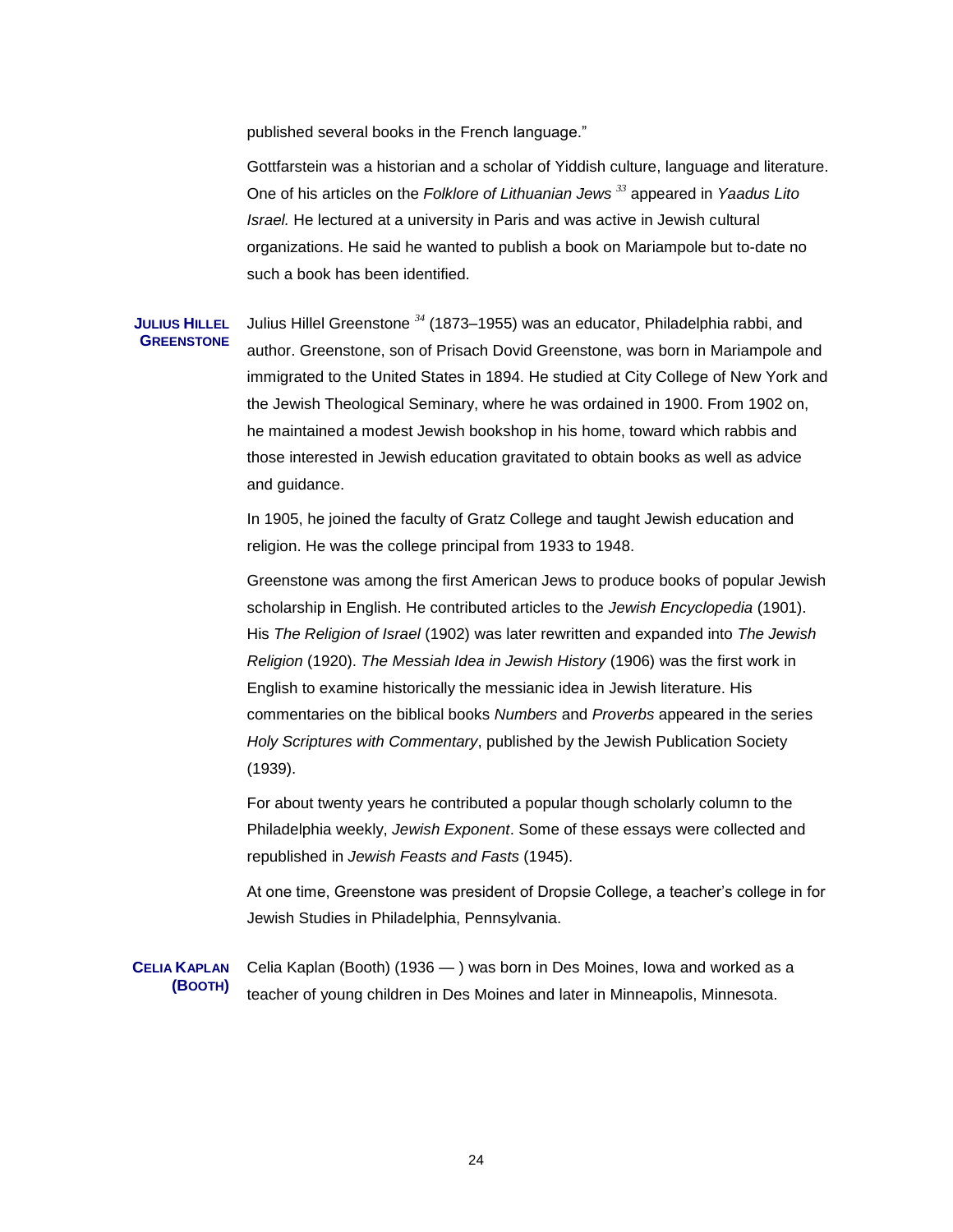published several books in the French language."

Gottfarstein was a historian and a scholar of Yiddish culture, language and literature. One of his articles on the *Folklore of Lithuanian Jews <sup>33</sup>* appeared in *Yaadus Lito Israel.* He lectured at a university in Paris and was active in Jewish cultural organizations. He said he wanted to publish a book on Mariampole but to-date no such a book has been identified.

# **JULIUS HILLEL GREENSTONE** Julius Hillel Greenstone *<sup>34</sup>* (1873–1955) was an educator, Philadelphia rabbi, and author. Greenstone, son of Prisach Dovid Greenstone, was born in Mariampole and immigrated to the United States in 1894. He studied at City College of New York and the Jewish Theological Seminary, where he was ordained in 1900. From 1902 on, he maintained a modest Jewish bookshop in his home, toward which rabbis and those interested in Jewish education gravitated to obtain books as well as advice and guidance.

In 1905, he joined the faculty of Gratz College and taught Jewish education and religion. He was the college principal from 1933 to 1948.

Greenstone was among the first American Jews to produce books of popular Jewish scholarship in English. He contributed articles to the *Jewish Encyclopedia* (1901). His *The Religion of Israel* (1902) was later rewritten and expanded into *The Jewish Religion* (1920). *The Messiah Idea in Jewish History* (1906) was the first work in English to examine historically the messianic idea in Jewish literature. His commentaries on the biblical books *Numbers* and *Proverbs* appeared in the series *Holy Scriptures with Commentary*, published by the Jewish Publication Society (1939).

For about twenty years he contributed a popular though scholarly column to the Philadelphia weekly, *Jewish Exponent*. Some of these essays were collected and republished in *Jewish Feasts and Fasts* (1945).

At one time, Greenstone was president of Dropsie College, a teacher's college in for Jewish Studies in Philadelphia, Pennsylvania.

**CELIA KAPLAN (BOOTH)** Celia Kaplan (Booth) (1936 — ) was born in Des Moines, Iowa and worked as a teacher of young children in Des Moines and later in Minneapolis, Minnesota.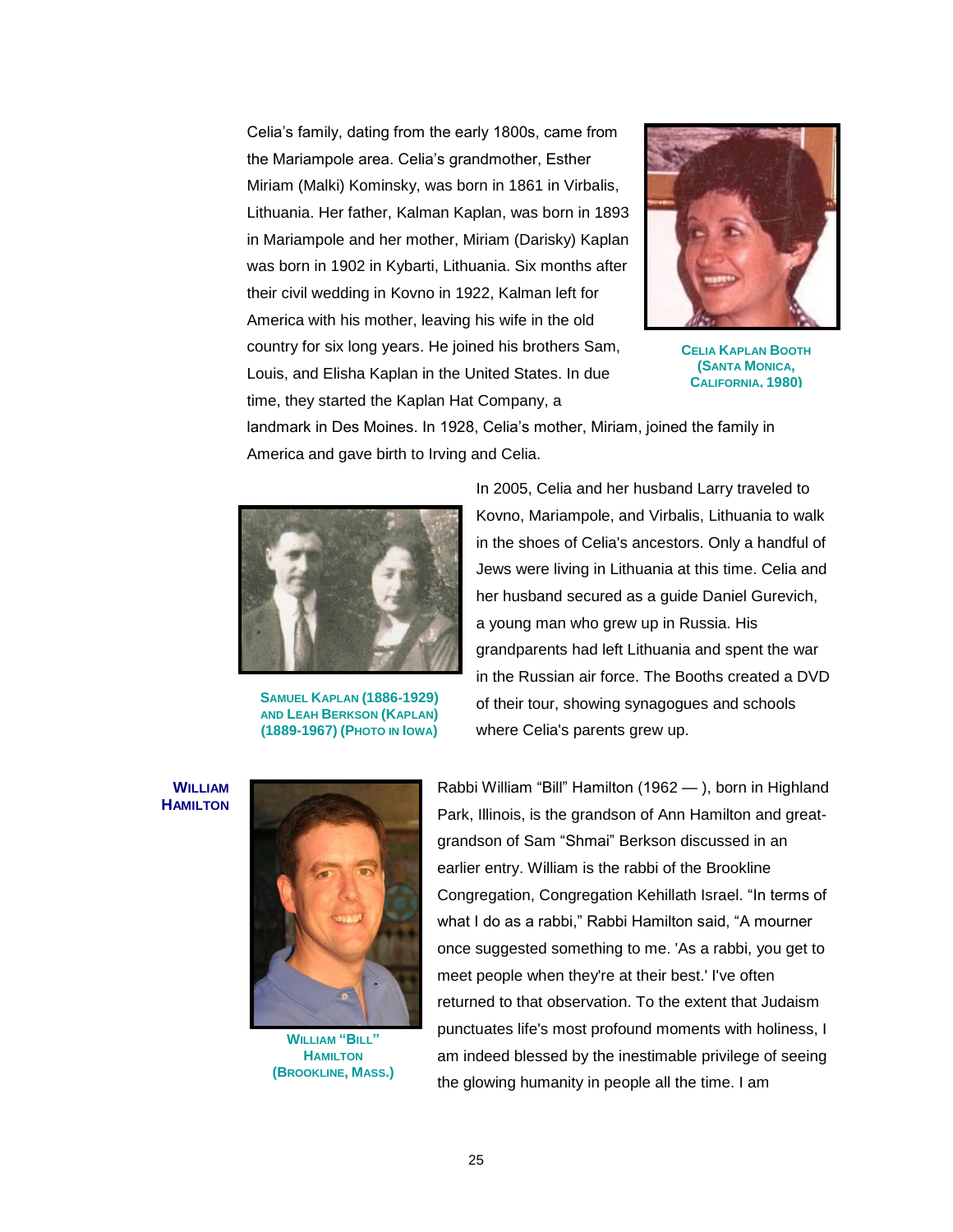Celia's family, dating from the early 1800s, came from the Mariampole area. Celia's grandmother, Esther Miriam (Malki) Kominsky, was born in 1861 in Virbalis, Lithuania. Her father, Kalman Kaplan, was born in 1893 in Mariampole and her mother, Miriam (Darisky) Kaplan was born in 1902 in Kybarti, Lithuania. Six months after their civil wedding in Kovno in 1922, Kalman left for America with his mother, leaving his wife in the old country for six long years. He joined his brothers Sam, Louis, and Elisha Kaplan in the United States. In due time, they started the Kaplan Hat Company, a



**CELIA KAPLAN BOOTH (SANTA MONICA, CALIFORNIA, 1980)**

landmark in Des Moines. In 1928, Celia's mother, Miriam, joined the family in America and gave birth to Irving and Celia.



**SAMUEL KAPLAN (1886-1929) AND LEAH BERKSON (KAPLAN) (1889-1967) (PHOTO IN IOWA)**

In 2005, Celia and her husband Larry traveled to Kovno, Mariampole, and Virbalis, Lithuania to walk in the shoes of Celia's ancestors. Only a handful of Jews were living in Lithuania at this time. Celia and her husband secured as a guide Daniel Gurevich, a young man who grew up in Russia. His grandparents had left Lithuania and spent the war in the Russian air force. The Booths created a DVD of their tour, showing synagogues and schools where Celia's parents grew up.

**WILLIAM HAMILTON**



**WILLIAM "BILL" HAMILTON (BROOKLINE, MASS.)**

Rabbi William "Bill" Hamilton (1962 — ), born in Highland Park, Illinois, is the grandson of Ann Hamilton and greatgrandson of Sam "Shmai" Berkson discussed in an earlier entry. William is the rabbi of the Brookline Congregation, Congregation Kehillath Israel. "In terms of what I do as a rabbi," Rabbi Hamilton said, "A mourner once suggested something to me. 'As a rabbi, you get to meet people when they're at their best.' I've often returned to that observation. To the extent that Judaism punctuates life's most profound moments with holiness, I am indeed blessed by the inestimable privilege of seeing the glowing humanity in people all the time. I am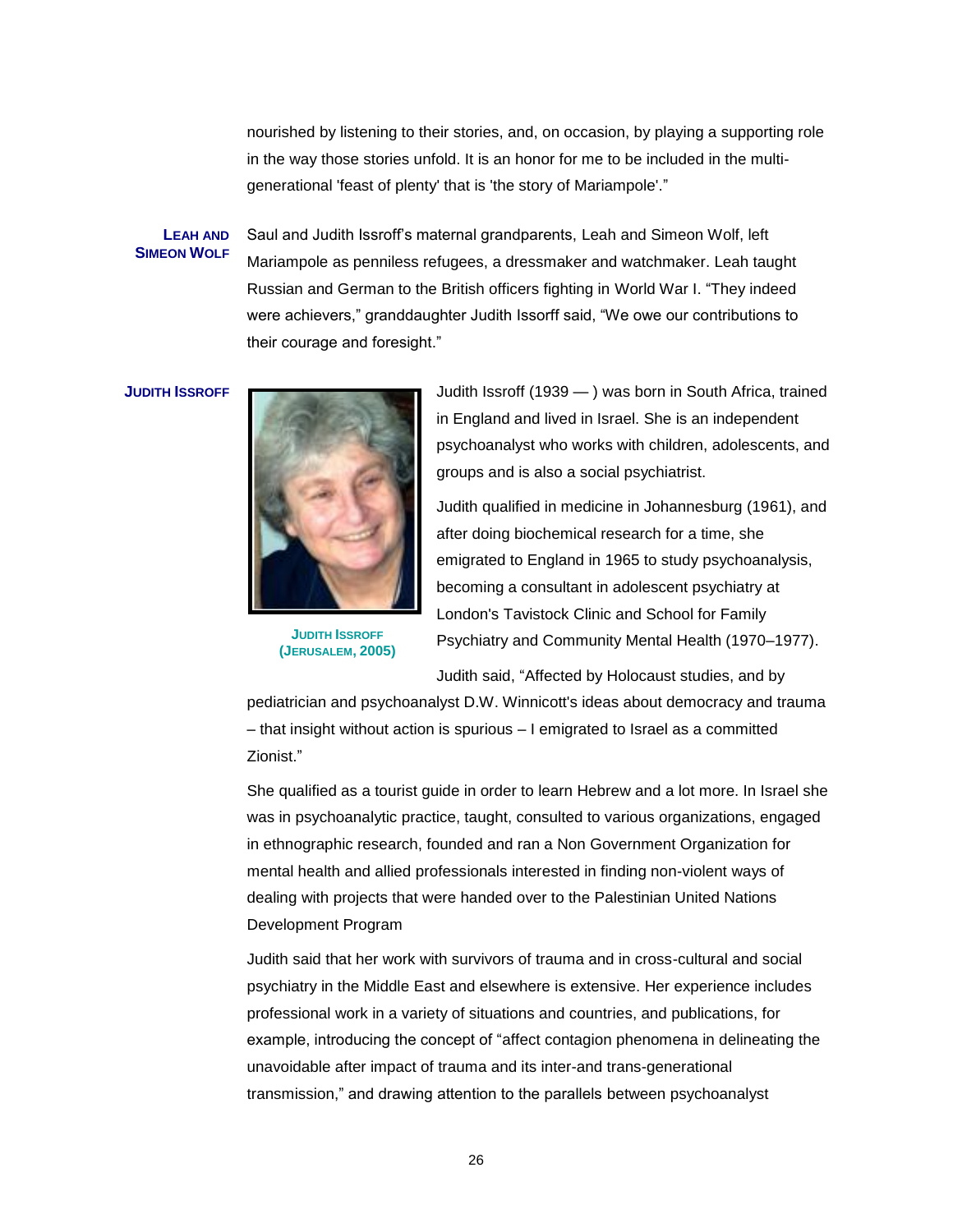nourished by listening to their stories, and, on occasion, by playing a supporting role in the way those stories unfold. It is an honor for me to be included in the multigenerational 'feast of plenty' that is 'the story of Mariampole'."

#### **LEAH AND SIMEON WOLF**

Saul and Judith Issroff's maternal grandparents, Leah and Simeon Wolf, left Mariampole as penniless refugees, a dressmaker and watchmaker. Leah taught Russian and German to the British officers fighting in World War I. "They indeed were achievers," granddaughter Judith Issorff said, "We owe our contributions to their courage and foresight."



**JUDITH ISSROFF (JERUSALEM, 2005)**

**JUDITH ISSROFF I I I I Judith Issroff (1939 — )** was born in South Africa, trained in England and lived in Israel. She is an independent psychoanalyst who works with children, adolescents, and groups and is also a social psychiatrist.

> Judith qualified in medicine in Johannesburg (1961), and after doing biochemical research for a time, she emigrated to England in 1965 to study psychoanalysis, becoming a consultant in adolescent psychiatry at London's Tavistock Clinic and School for Family Psychiatry and Community Mental Health (1970–1977).

Judith said, "Affected by Holocaust studies, and by

pediatrician and psychoanalyst D.W. Winnicott's ideas about democracy and trauma – that insight without action is spurious – I emigrated to Israel as a committed Zionist.‖

She qualified as a tourist guide in order to learn Hebrew and a lot more. In Israel she was in psychoanalytic practice, taught, consulted to various organizations, engaged in ethnographic research, founded and ran a Non Government Organization for mental health and allied professionals interested in finding non-violent ways of dealing with projects that were handed over to the Palestinian United Nations Development Program

Judith said that her work with survivors of trauma and in cross-cultural and social psychiatry in the Middle East and elsewhere is extensive. Her experience includes professional work in a variety of situations and countries, and publications, for example, introducing the concept of "affect contagion phenomena in delineating the unavoidable after impact of trauma and its inter-and trans-generational transmission," and drawing attention to the parallels between psychoanalyst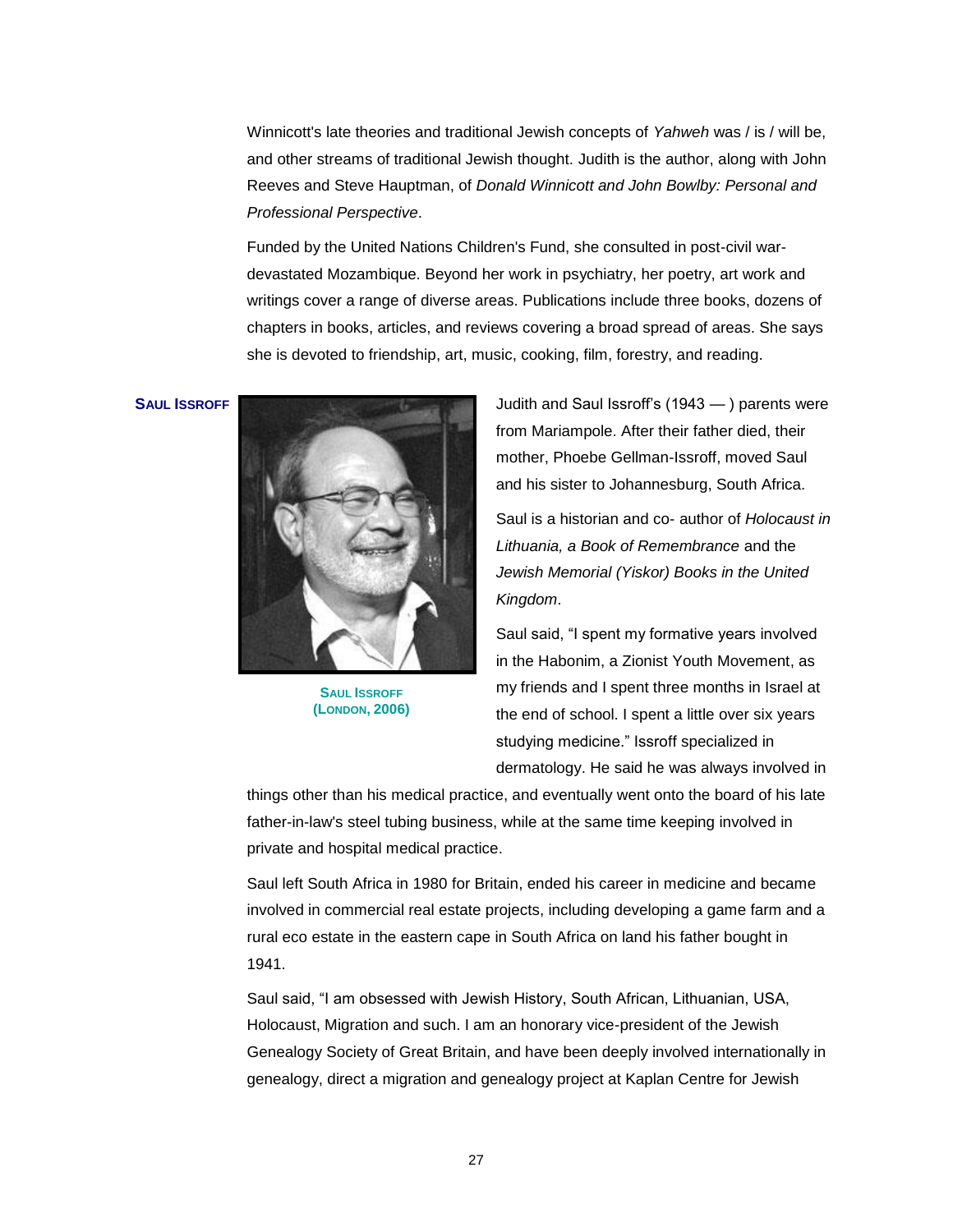Winnicott's late theories and traditional Jewish concepts of *Yahweh* was / is / will be, and other streams of traditional Jewish thought. Judith is the author, along with John Reeves and Steve Hauptman, of *Donald Winnicott and John Bowlby: Personal and Professional Perspective*.

Funded by the United Nations Children's Fund, she consulted in post-civil wardevastated Mozambique. Beyond her work in psychiatry, her poetry, art work and writings cover a range of diverse areas. Publications include three books, dozens of chapters in books, articles, and reviews covering a broad spread of areas. She says she is devoted to friendship, art, music, cooking, film, forestry, and reading.



**SAUL ISSROFF (LONDON, 2006)**

**SAUL ISSROFF Internal Contract of Temperature August 2015** Judith and Saul Issroff's (1943 — ) parents were from Mariampole. After their father died, their mother, Phoebe Gellman-Issroff, moved Saul and his sister to Johannesburg, South Africa.

> Saul is a historian and co- author of *Holocaust in Lithuania, a Book of Remembrance* and the *Jewish Memorial (Yiskor) Books in the United Kingdom*.

Saul said, "I spent my formative years involved in the Habonim, a Zionist Youth Movement, as my friends and I spent three months in Israel at the end of school. I spent a little over six years studying medicine." Issroff specialized in dermatology. He said he was always involved in

things other than his medical practice, and eventually went onto the board of his late father-in-law's steel tubing business, while at the same time keeping involved in private and hospital medical practice.

Saul left South Africa in 1980 for Britain, ended his career in medicine and became involved in commercial real estate projects, including developing a game farm and a rural eco estate in the eastern cape in South Africa on land his father bought in 1941.

Saul said, "I am obsessed with Jewish History, South African, Lithuanian, USA, Holocaust, Migration and such. I am an honorary vice-president of the Jewish Genealogy Society of Great Britain, and have been deeply involved internationally in genealogy, direct a migration and genealogy project at Kaplan Centre for Jewish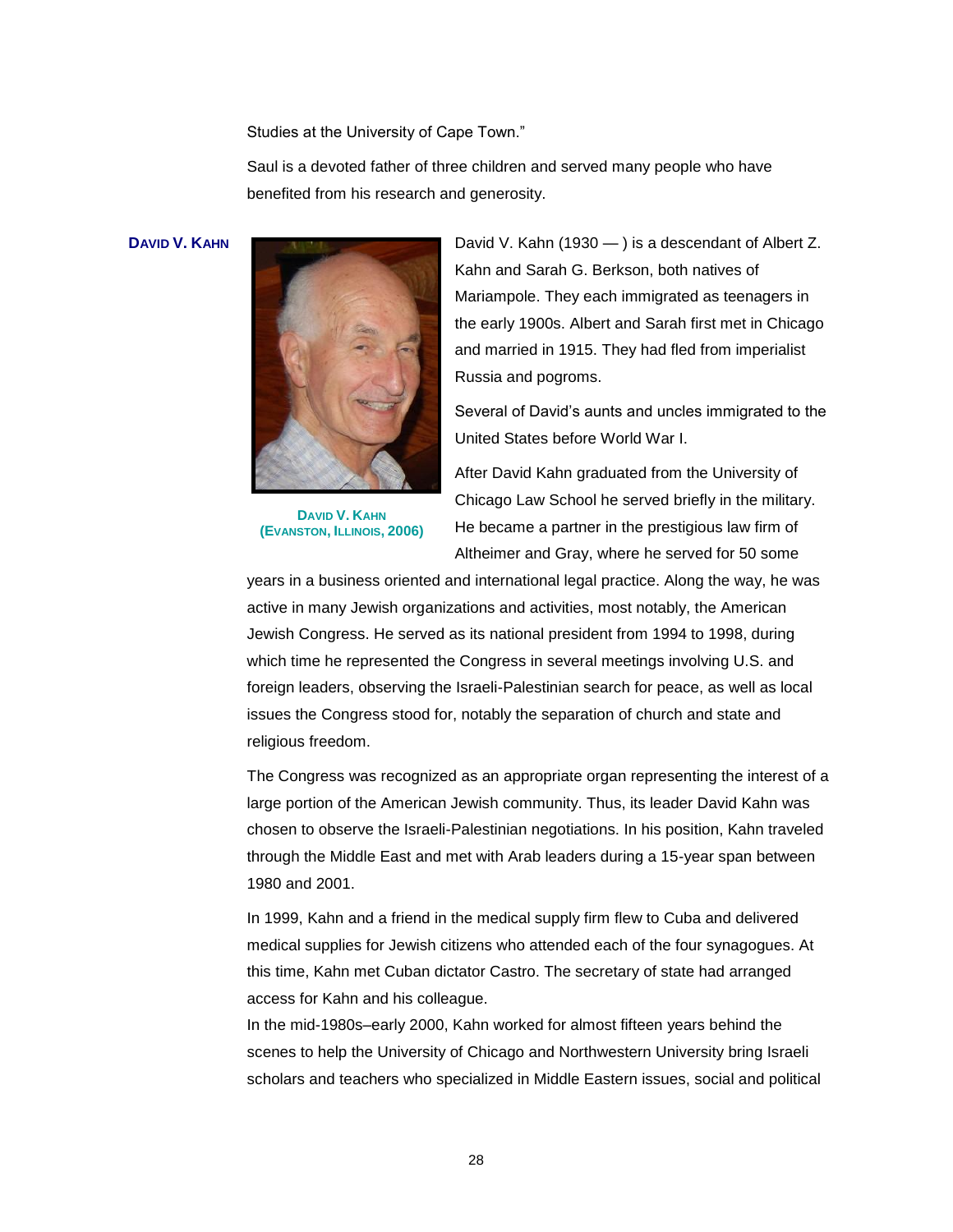Studies at the University of Cape Town."

Saul is a devoted father of three children and served many people who have benefited from his research and generosity.



**DAVID V. KAHN (EVANSTON, ILLINOIS, 2006)**

**DAVID V. KAHN DAVID V. KAHN David V. Kahn** (1930 — ) is a descendant of Albert Z. Kahn and Sarah G. Berkson, both natives of Mariampole. They each immigrated as teenagers in the early 1900s. Albert and Sarah first met in Chicago and married in 1915. They had fled from imperialist Russia and pogroms.

> Several of David's aunts and uncles immigrated to the United States before World War I.

After David Kahn graduated from the University of Chicago Law School he served briefly in the military. He became a partner in the prestigious law firm of Altheimer and Gray, where he served for 50 some

years in a business oriented and international legal practice. Along the way, he was active in many Jewish organizations and activities, most notably, the American Jewish Congress. He served as its national president from 1994 to 1998, during which time he represented the Congress in several meetings involving U.S. and foreign leaders, observing the Israeli-Palestinian search for peace, as well as local issues the Congress stood for, notably the separation of church and state and religious freedom.

The Congress was recognized as an appropriate organ representing the interest of a large portion of the American Jewish community. Thus, its leader David Kahn was chosen to observe the Israeli-Palestinian negotiations. In his position, Kahn traveled through the Middle East and met with Arab leaders during a 15-year span between 1980 and 2001.

In 1999, Kahn and a friend in the medical supply firm flew to Cuba and delivered medical supplies for Jewish citizens who attended each of the four synagogues. At this time, Kahn met Cuban dictator Castro. The secretary of state had arranged access for Kahn and his colleague.

In the mid-1980s–early 2000, Kahn worked for almost fifteen years behind the scenes to help the University of Chicago and Northwestern University bring Israeli scholars and teachers who specialized in Middle Eastern issues, social and political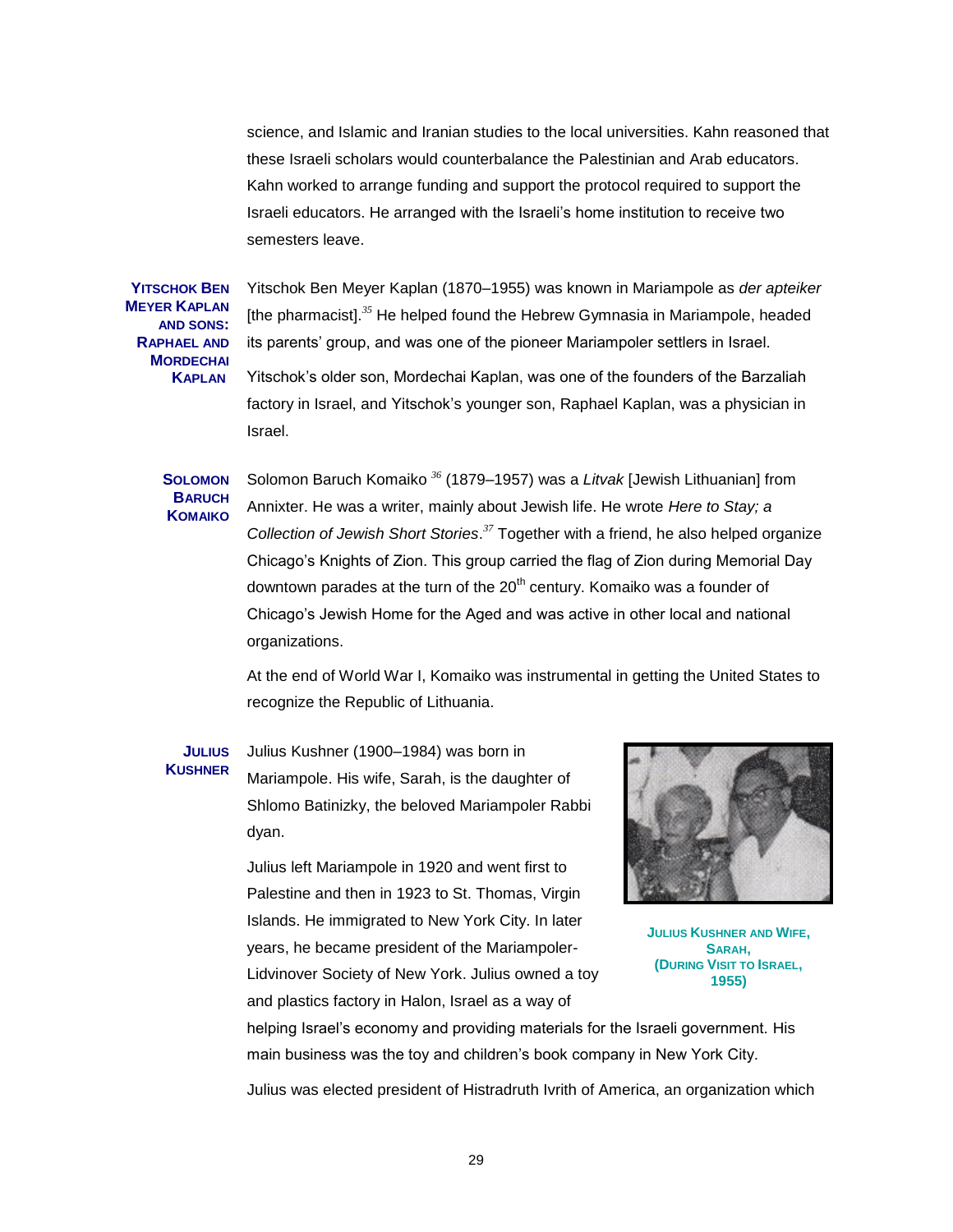science, and Islamic and Iranian studies to the local universities. Kahn reasoned that these Israeli scholars would counterbalance the Palestinian and Arab educators. Kahn worked to arrange funding and support the protocol required to support the Israeli educators. He arranged with the Israeli's home institution to receive two semesters leave.

**YITSCHOK BEN MEYER KAPLAN AND SONS: RAPHAEL AND MORDECHAI KAPLAN** 

Yitschok Ben Meyer Kaplan (1870–1955) was known in Mariampole as *der apteiker* [the pharmacist].*<sup>35</sup>* He helped found the Hebrew Gymnasia in Mariampole, headed its parents' group, and was one of the pioneer Mariampoler settlers in Israel. Yitschok's older son, Mordechai Kaplan, was one of the founders of the Barzaliah factory in Israel, and Yitschok's younger son, Raphael Kaplan, was a physician in Israel.

## **SOLOMON BARUCH KOMAIKO**

Solomon Baruch Komaiko *<sup>36</sup>* (1879–1957) was a *Litvak* [Jewish Lithuanian] from Annixter. He was a writer, mainly about Jewish life. He wrote *[Here to Stay; a](http://www.bolerium.com/cgi-bin/bol48/111674.html?id=mLjiCIAs)  [Collection of Jewish Short Stories](http://www.bolerium.com/cgi-bin/bol48/111674.html?id=mLjiCIAs)*. *<sup>37</sup>* Together with a friend, he also helped organize Chicago's Knights of Zion. This group carried the flag of Zion during Memorial Day downtown parades at the turn of the  $20<sup>th</sup>$  century. Komaiko was a founder of Chicago's Jewish Home for the Aged and was active in other local and national organizations.

At the end of World War I, Komaiko was instrumental in getting the United States to recognize the Republic of Lithuania.

#### **JULIUS KUSHNER** Julius Kushner (1900–1984) was born in Mariampole. His wife, Sarah, is the daughter of Shlomo Batinizky, the beloved Mariampoler Rabbi dyan.

Julius left Mariampole in 1920 and went first to Palestine and then in 1923 to St. Thomas, Virgin Islands. He immigrated to New York City. In later years, he became president of the Mariampoler-Lidvinover Society of New York. Julius owned a toy and plastics factory in Halon, Israel as a way of



**JULIUS KUSHNER AND WIFE, SARAH, (DURING VISIT TO ISRAEL, 1955)**

helping Israel's economy and providing materials for the Israeli government. His main business was the toy and children's book company in New York City.

Julius was elected president of Histradruth Ivrith of America, an organization which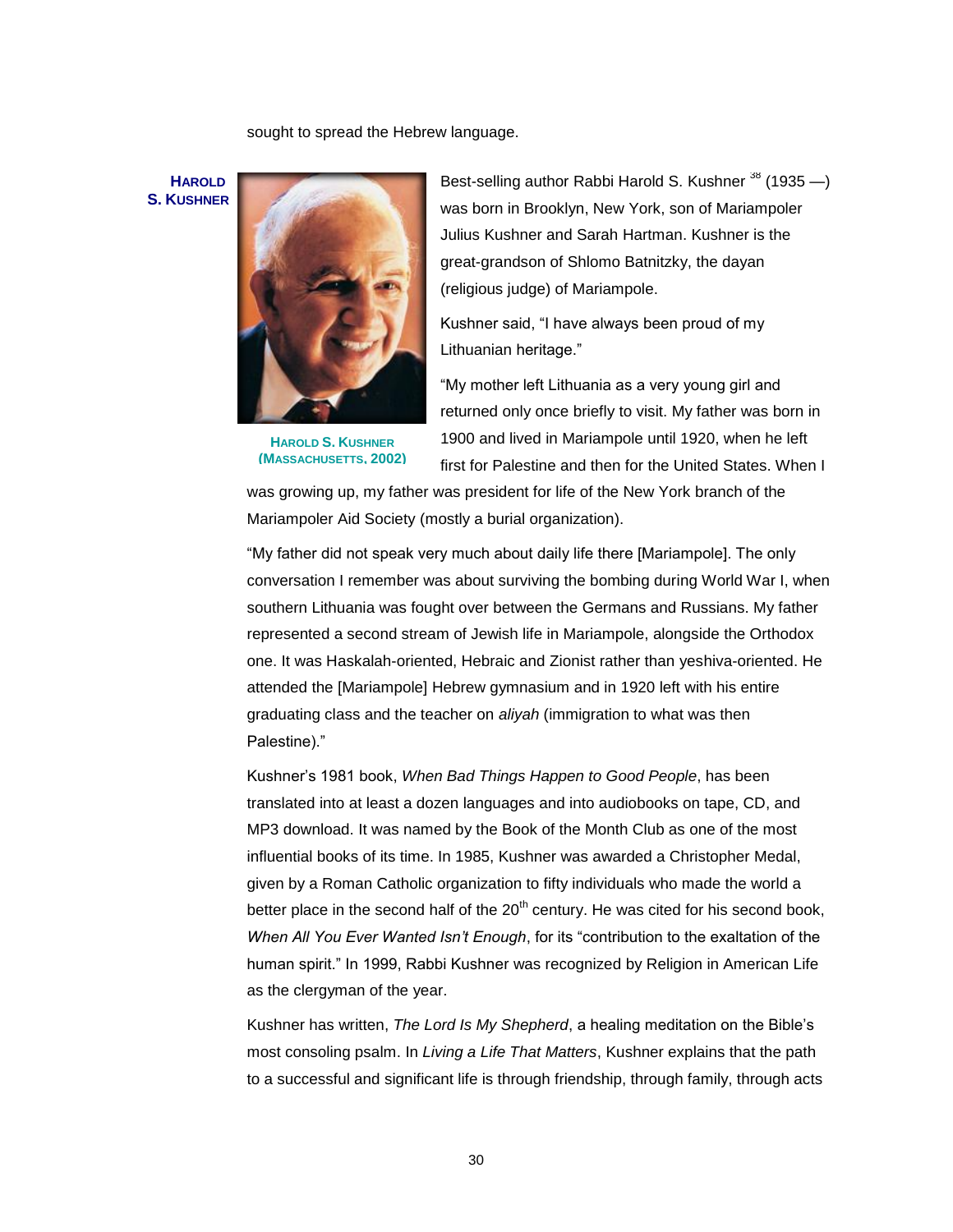sought to spread the Hebrew language.

**HAROLD S. KUSHNER**



**HAROLD S. KUSHNER (MASSACHUSETTS, 2002)**

Best-selling author Rabbi Harold S. Kushner  $^{38}$  (1935  $-$ ) was born in Brooklyn, New York, son of Mariampoler Julius Kushner and Sarah Hartman. Kushner is the great-grandson of Shlomo Batnitzky, the dayan (religious judge) of Mariampole.

Kushner said, "I have always been proud of my Lithuanian heritage."

"My mother left Lithuania as a very young girl and returned only once briefly to visit. My father was born in 1900 and lived in Mariampole until 1920, when he left first for Palestine and then for the United States. When I

was growing up, my father was president for life of the New York branch of the Mariampoler Aid Society (mostly a burial organization).

―My father did not speak very much about daily life there [Mariampole]. The only conversation I remember was about surviving the bombing during World War I, when southern Lithuania was fought over between the Germans and Russians. My father represented a second stream of Jewish life in Mariampole, alongside the Orthodox one. It was Haskalah-oriented, Hebraic and Zionist rather than yeshiva-oriented. He attended the [Mariampole] Hebrew gymnasium and in 1920 left with his entire graduating class and the teacher on *aliyah* (immigration to what was then Palestine)."

Kushner's 1981 book, *When Bad Things Happen to Good People*, has been translated into at least a dozen languages and into audiobooks on tape, CD, and MP3 download. It was named by the Book of the Month Club as one of the most influential books of its time. In 1985, Kushner was awarded a Christopher Medal, given by a Roman Catholic organization to fifty individuals who made the world a better place in the second half of the  $20<sup>th</sup>$  century. He was cited for his second book, *When All You Ever Wanted Isn't Enough*, for its "contribution to the exaltation of the human spirit.‖ In 1999, Rabbi Kushner was recognized by Religion in American Life as the clergyman of the year.

Kushner has written, *The Lord Is My Shepherd*, a healing meditation on the Bible's most consoling psalm. In *Living a Life That Matters*, Kushner explains that the path to a successful and significant life is through friendship, through family, through acts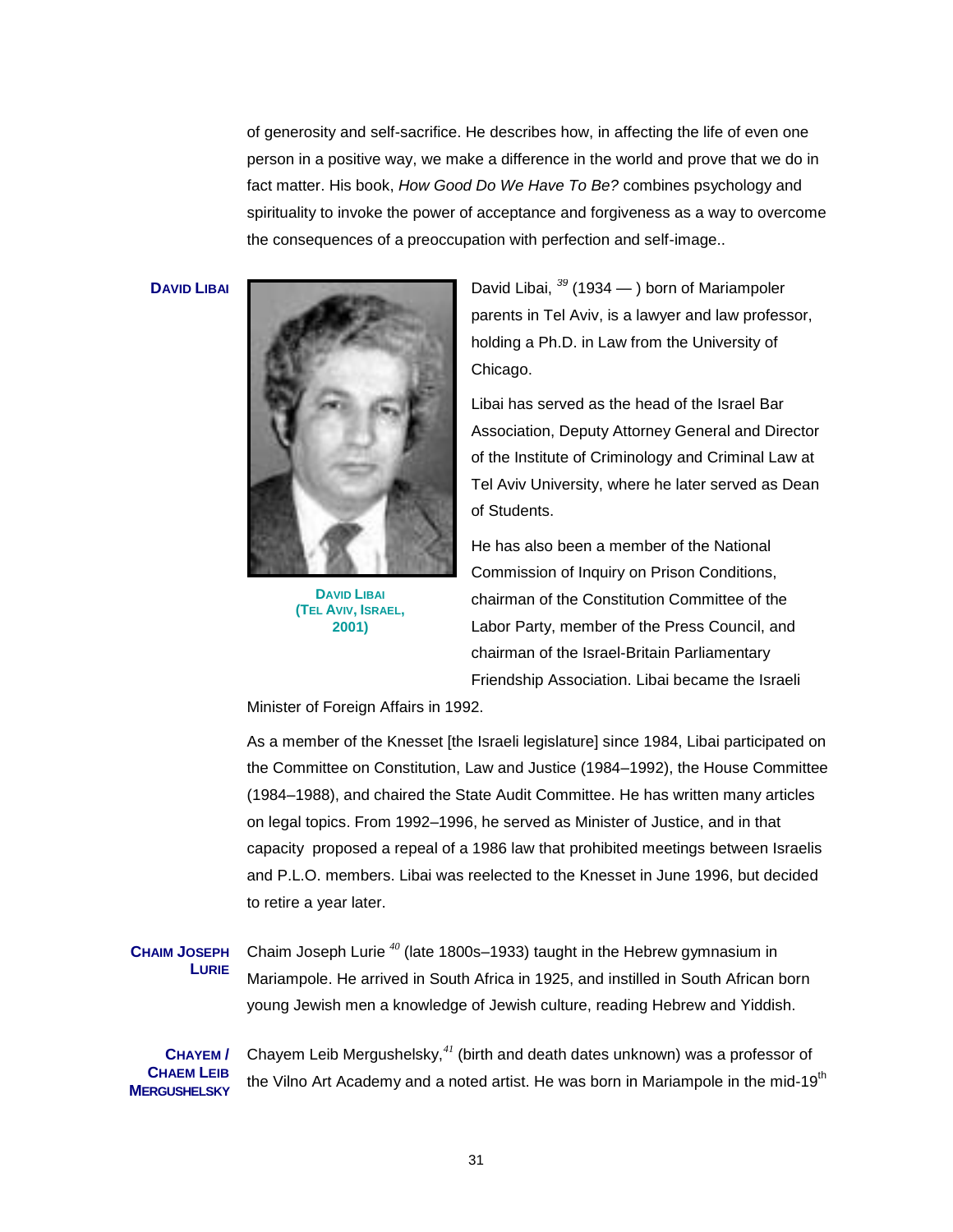of generosity and self-sacrifice. He describes how, in affecting the life of even one person in a positive way, we make a difference in the world and prove that we do in fact matter. His book, *How Good Do We Have To Be?* combines psychology and spirituality to invoke the power of acceptance and forgiveness as a way to overcome the consequences of a preoccupation with perfection and self-image..



**DAVID LIBAI (TEL AVIV, ISRAEL, 2001)**

**DAVID LIBAI** David Libai, <sup>39</sup> (1934 — ) born of Mariampoler parents in Tel Aviv, is a lawyer and law professor, holding a Ph.D. in Law from the University of Chicago.

> Libai has served as the head of the Israel Bar Association, Deputy Attorney General and Director of the Institute of Criminology and Criminal Law at Tel Aviv University, where he later served as Dean of Students.

He has also been a member of the National Commission of Inquiry on Prison Conditions, chairman of the Constitution Committee of the Labor Party, member of the Press Council, and chairman of the Israel-Britain Parliamentary Friendship Association. Libai became the Israeli

Minister of Foreign Affairs in 1992.

As a member of the Knesset [the Israeli legislature] since 1984, Libai participated on the Committee on Constitution, Law and Justice (1984–1992), the House Committee (1984–1988), and chaired the State Audit Committee. He has written many articles on legal topics. From 1992–1996, he served as Minister of Justice, and in that capacity proposed a repeal of a 1986 law that prohibited meetings between Israelis and P.L.O. members. Libai was reelected to the Knesset in June 1996, but decided to retire a year later.

**CHAIM JOSEPH LURIE** Chaim Joseph Lurie *<sup>40</sup>* (late 1800s–1933) taught in the Hebrew gymnasium in Mariampole. He arrived in South Africa in 1925, and instilled in South African born young Jewish men a knowledge of Jewish culture, reading Hebrew and Yiddish.

**CHAYEM / CHAEM LEIB MERGUSHELSKY** Chayem Leib Mergushelsky,*<sup>41</sup>* (birth and death dates unknown) was a professor of the Vilno Art Academy and a noted artist. He was born in Mariampole in the mid-19<sup>th</sup>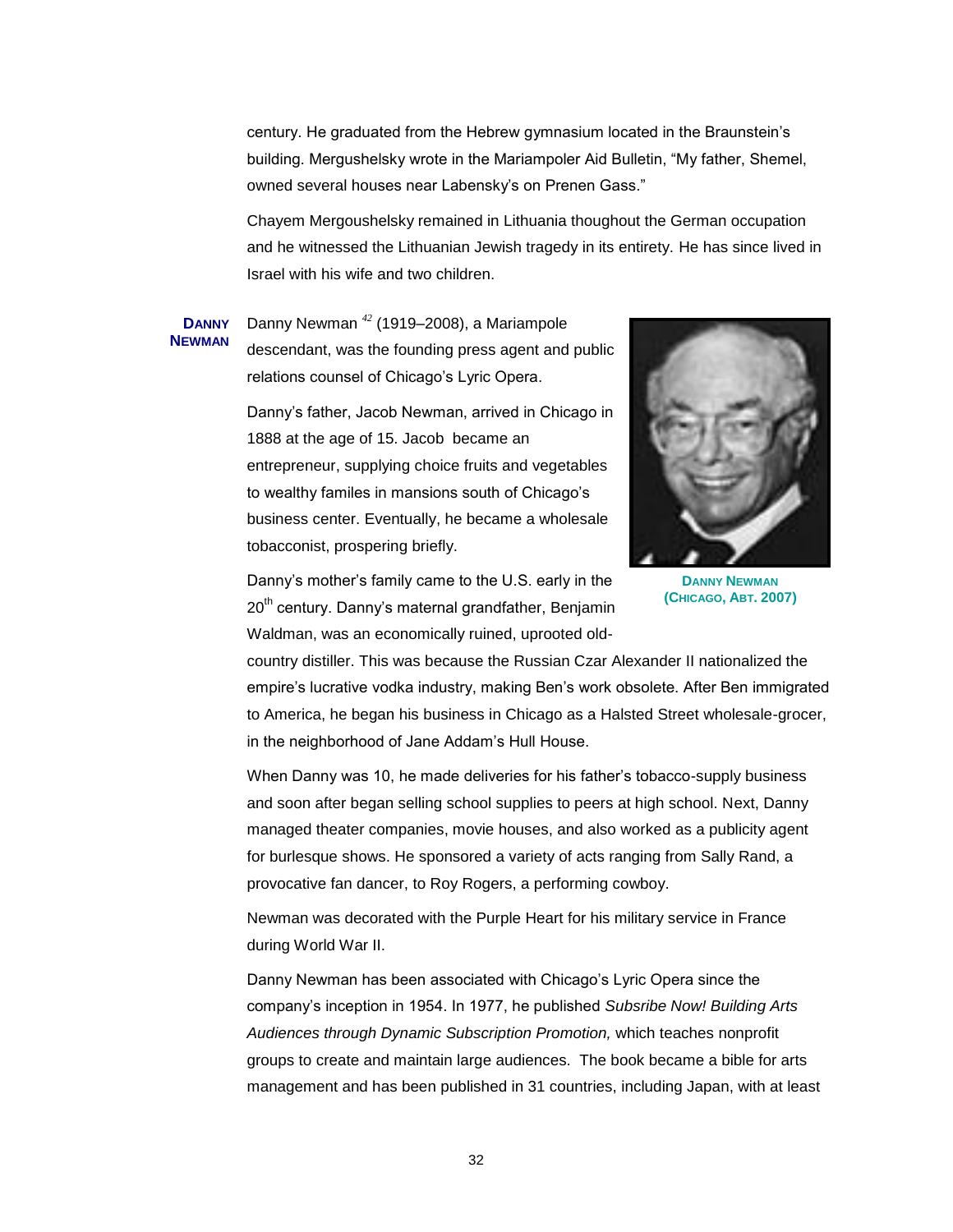century. He graduated from the Hebrew gymnasium located in the Braunstein's building. Mergushelsky wrote in the Mariampoler Aid Bulletin, "My father, Shemel, owned several houses near Labensky's on Prenen Gass."

Chayem Mergoushelsky remained in Lithuania thoughout the German occupation and he witnessed the Lithuanian Jewish tragedy in its entirety. He has since lived in Israel with his wife and two children.

#### **DANNY NEWMAN** Danny Newman *<sup>42</sup>* (1919–2008), a Mariampole descendant, was the founding press agent and public relations counsel of Chicago's Lyric Opera.

Danny's father, Jacob Newman, arrived in Chicago in 1888 at the age of 15. Jacob became an entrepreneur, supplying choice fruits and vegetables to wealthy familes in mansions south of Chicago's business center. Eventually, he became a wholesale tobacconist, prospering briefly.



**DANNY NEWMAN (CHICAGO, ABT. 2007)**

Danny's mother's family came to the U.S. early in the 20<sup>th</sup> century. Danny's maternal grandfather, Benjamin Waldman, was an economically ruined, uprooted old-

country distiller. This was because the Russian Czar Alexander II nationalized the empire's lucrative vodka industry, making Ben's work obsolete. After Ben immigrated to America, he began his business in Chicago as a Halsted Street wholesale-grocer, in the neighborhood of Jane Addam's Hull House.

When Danny was 10, he made deliveries for his father's tobacco-supply business and soon after began selling school supplies to peers at high school. Next, Danny managed theater companies, movie houses, and also worked as a publicity agent for burlesque shows. He sponsored a variety of acts ranging from Sally Rand, a provocative fan dancer, to Roy Rogers, a performing cowboy.

Newman was decorated with the Purple Heart for his military service in France during World War II.

Danny Newman has been associated with Chicago's Lyric Opera since the company's inception in 1954. In 1977, he published *Subsribe Now! Building Arts Audiences through Dynamic Subscription Promotion,* which teaches nonprofit groups to create and maintain large audiences. The book became a bible for arts management and has been published in 31 countries, including Japan, with at least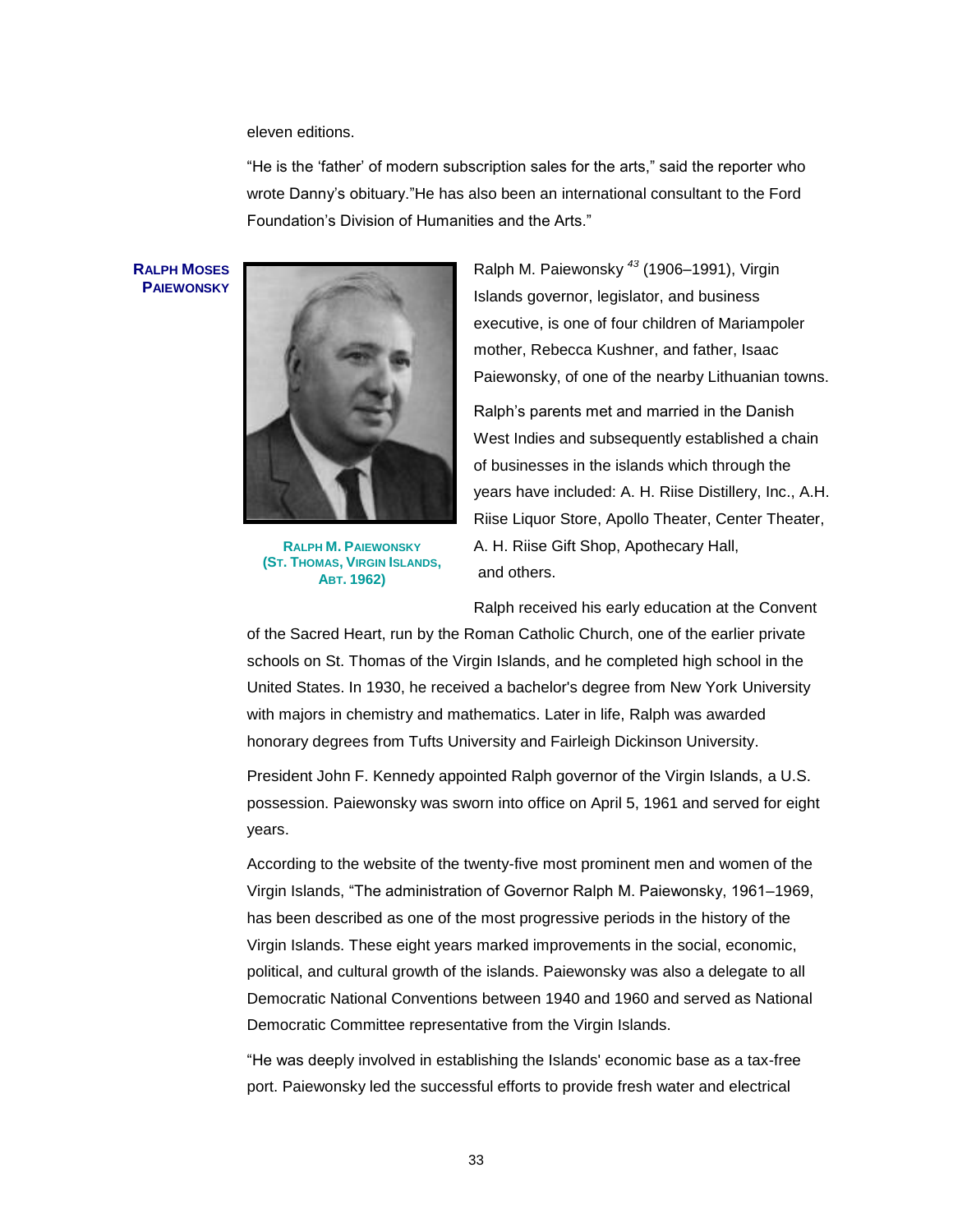eleven editions.

―He is the ‗father' of modern subscription sales for the arts,‖ said the reporter who wrote Danny's obituary."He has also been an international consultant to the Ford Foundation's Division of Humanities and the Arts."

**RALPH MOSES PAIEWONSKY**



**RALPH M. PAIEWONSKY (ST. THOMAS, VIRGIN ISLANDS, ABT. 1962)**

Ralph M. Paiewonsky *<sup>43</sup>* (1906–1991), Virgin Islands governor, legislator, and business executive, is one of four children of Mariampoler mother, Rebecca Kushner, and father, Isaac Paiewonsky, of one of the nearby Lithuanian towns.

Ralph's parents met and married in the Danish West Indies and subsequently established a chain of businesses in the islands which through the years have included: A. H. Riise Distillery, Inc., A.H. Riise Liquor Store, Apollo Theater, Center Theater, A. H. Riise Gift Shop, Apothecary Hall, and others.

Ralph received his early education at the Convent

of the Sacred Heart, run by the Roman Catholic Church, one of the earlier private schools on St. Thomas of the Virgin Islands, and he completed high school in the United States. In 1930, he received a bachelor's degree from New York University with majors in chemistry and mathematics. Later in life, Ralph was awarded [honorary degrees](http://en.wikipedia.org/wiki/Honorary_degree) from [Tufts University](http://en.wikipedia.org/wiki/Tufts_University) and [Fairleigh Dickinson University.](http://en.wikipedia.org/wiki/Fairleigh_Dickinson_University)

President John F. Kennedy appointed Ralph governor of the Virgin Islands, a U.S. possession. Paiewonsky was sworn into office on April 5, 1961 and served for eight years.

According to the website of the twenty-five most prominent men and women of the Virgin Islands, "The administration of Governor Ralph M. Paiewonsky, 1961–1969, has been described as one of the most progressive periods in the history of the Virgin Islands. These eight years marked improvements in the social, economic, political, and cultural growth of the islands. Paiewonsky was also a delegate to all [Democratic National Conventions](http://en.wikipedia.org/wiki/Democratic_National_Conventions) between 1940 and 1960 and served as National Democratic Committee representative from the Virgin Islands.

―He was deeply involved in establishing the Islands' economic base as a tax-free port. Paiewonsky led the successful efforts to provide fresh water and electrical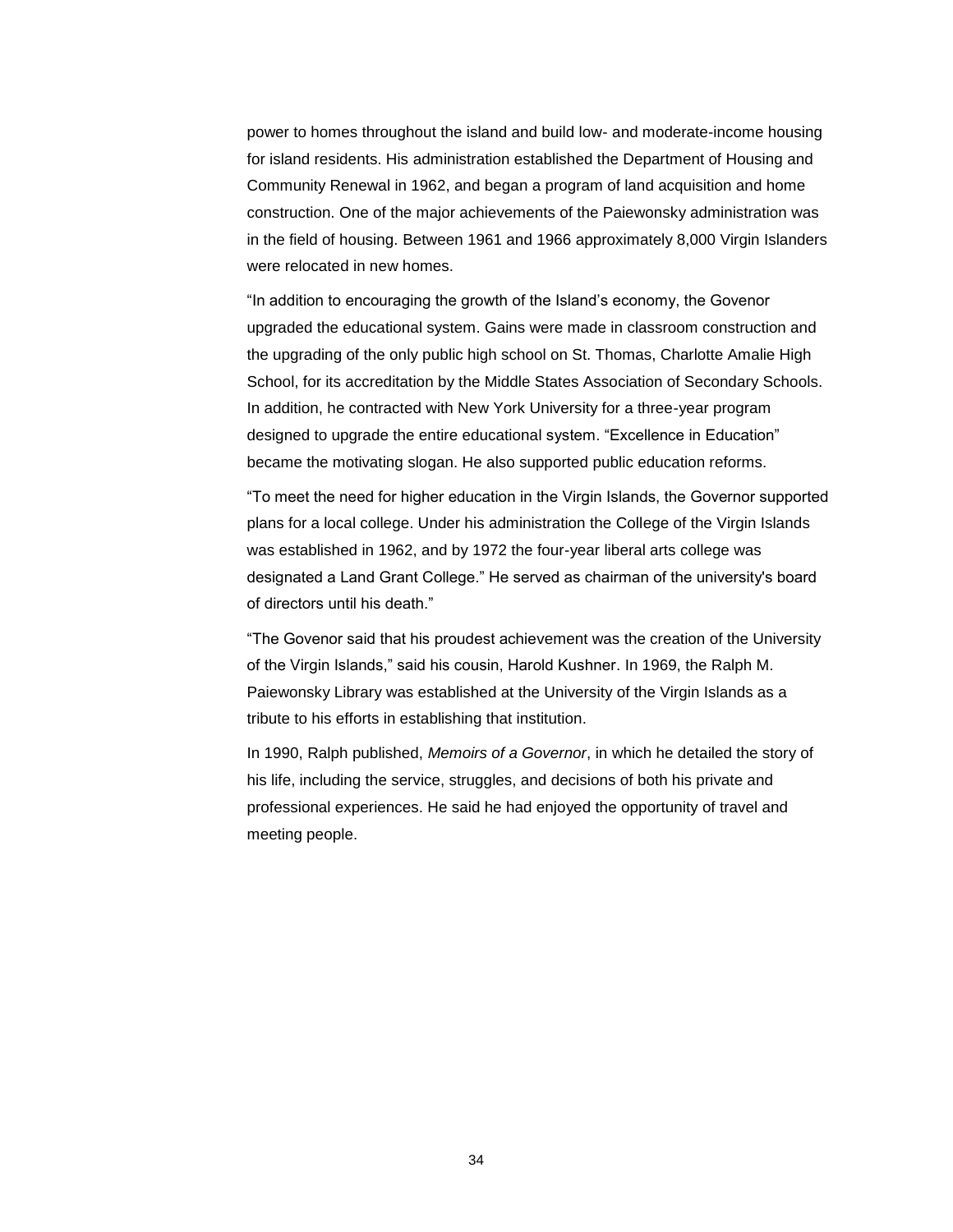power to homes throughout the island and build low- and moderate-income housing for island residents. His administration established the Department of Housing and Community Renewal in 1962, and began a program of land acquisition and home construction. One of the major achievements of the Paiewonsky administration was in the field of housing. Between 1961 and 1966 approximately 8,000 Virgin Islanders were relocated in new homes.

"In addition to encouraging the growth of the Island's economy, the Govenor upgraded the educational system. Gains were made in classroom construction and the upgrading of the only public high school on St. Thomas, Charlotte Amalie High School, for its accreditation by the Middle States Association of Secondary Schools. In addition, he contracted with New York University for a three-year program designed to upgrade the entire educational system. "Excellence in Education" became the motivating slogan. He also supported public education reforms.

―To meet the need for higher education in the Virgin Islands, the Governor supported plans for a local college. Under his administration the College of the Virgin Islands was established in 1962, and by 1972 the four-year liberal arts college was designated a Land Grant College." He served as chairman of the university's board of directors until his death."

―The Govenor said that his proudest achievement was the creation of the University of the Virgin Islands," said his cousin, Harold Kushner. In 1969, the Ralph M. Paiewonsky Library was established at the University of the Virgin Islands as a tribute to his efforts in establishing that institution.

In 1990, Ralph published, *Memoirs of a Governor*, in which he detailed the story of his life, including the service, struggles, and decisions of both his private and professional experiences. He said he had enjoyed the opportunity of travel and meeting people.

34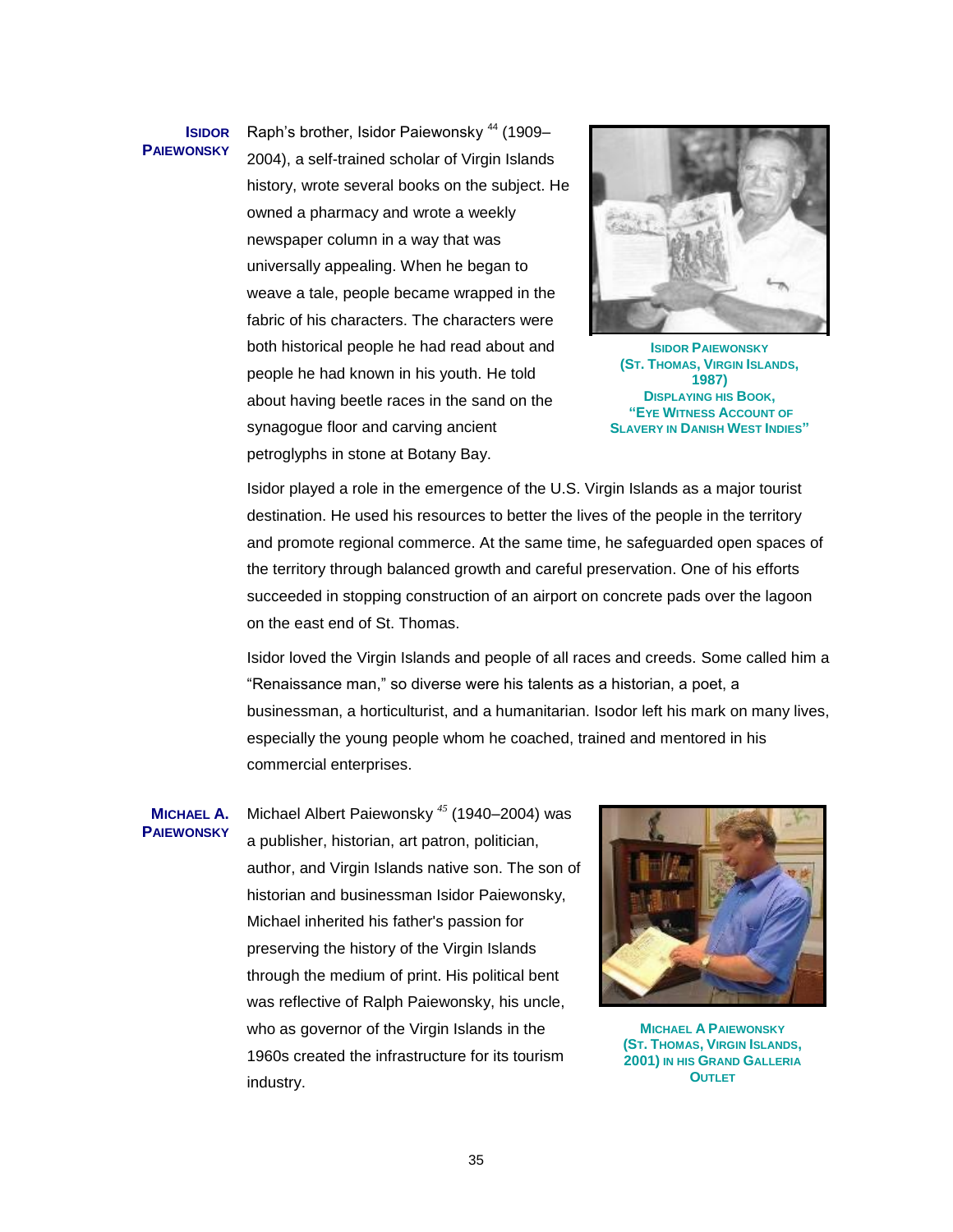### **ISIDOR PAIEWONSKY**

Raph's brother, Isidor Paiewonsky<sup>44</sup> (1909– 2004), a self-trained scholar of Virgin Islands history, wrote several books on the subject. He owned a pharmacy and wrote a weekly newspaper column in a way that was universally appealing. When he began to weave a tale, people became wrapped in the fabric of his characters. The characters were both historical people he had read about and people he had known in his youth. He told about having beetle races in the sand on the synagogue floor and carving ancient petroglyphs in stone at Botany Bay.



**ISIDOR PAIEWONSKY (ST. THOMAS, VIRGIN ISLANDS, 1987) DISPLAYING HIS BOOK, "EYE WITNESS ACCOUNT OF SLAVERY IN DANISH WEST INDIES"**

Isidor played a role in the emergence of the U.S. Virgin Islands as a major tourist destination. He used his resources to better the lives of the people in the territory and promote regional commerce. At the same time, he safeguarded open spaces of the territory through balanced growth and careful preservation. One of his efforts succeeded in stopping construction of an airport on concrete pads over the lagoon on the east end of St. Thomas.

Isidor loved the Virgin Islands and people of all races and creeds. Some called him a "Renaissance man," so diverse were his talents as a historian, a poet, a businessman, a horticulturist, and a humanitarian. Isodor left his mark on many lives, especially the young people whom he coached, trained and mentored in his commercial enterprises.

#### **MICHAEL A. PAIEWONSKY**

Michael Albert Paiewonsky *<sup>45</sup>* (1940–2004) was a publisher, historian, art patron, politician, author, and Virgin Islands native son. The son of historian and businessman Isidor Paiewonsky, Michael inherited his father's passion for preserving the history of the Virgin Islands through the medium of print. His political bent was reflective of Ralph Paiewonsky, his uncle, who as governor of the Virgin Islands in the 1960s created the infrastructure for its tourism industry.



**MICHAEL A PAIEWONSKY (ST. THOMAS, VIRGIN ISLANDS, 2001) IN HIS GRAND GALLERIA OUTLET**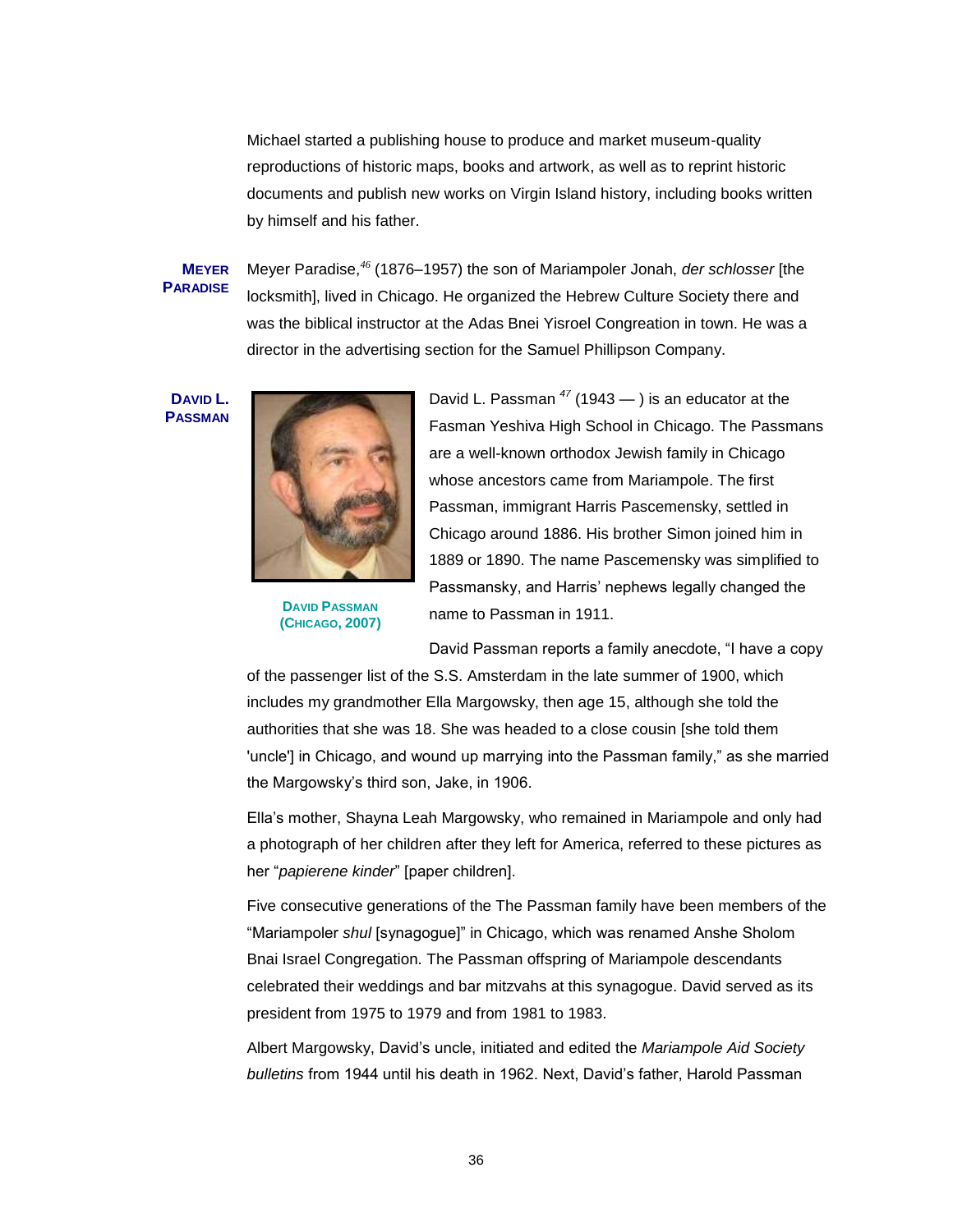Michael started a publishing house to produce and market museum-quality reproductions of historic maps, books and artwork, as well as to reprint historic documents and publish new works on Virgin Island history, including books written by himself and his father.

## **MEYER PARADISE**

Meyer Paradise,*<sup>46</sup>* (1876–1957) the son of Mariampoler Jonah, *der schlosser* [the locksmith], lived in Chicago. He organized the Hebrew Culture Society there and was the biblical instructor at the Adas Bnei Yisroel Congreation in town. He was a director in the advertising section for the Samuel Phillipson Company.

**DAVID L. PASSMAN**



**DAVID PASSMAN (CHICAGO, 2007)** David L. Passman *<sup>47</sup>* (1943 — ) is an educator at the Fasman Yeshiva High School in Chicago. The Passmans are a well-known orthodox Jewish family in Chicago whose ancestors came from Mariampole. The first Passman, immigrant Harris Pascemensky, settled in Chicago around 1886. His brother Simon joined him in 1889 or 1890. The name Pascemensky was simplified to Passmansky, and Harris' nephews legally changed the name to Passman in 1911.

David Passman reports a family anecdote, "I have a copy

of the passenger list of the S.S. Amsterdam in the late summer of 1900, which includes my grandmother Ella Margowsky, then age 15, although she told the authorities that she was 18. She was headed to a close cousin [she told them 'uncle'] in Chicago, and wound up marrying into the Passman family," as she married the Margowsky's third son, Jake, in 1906.

Ella's mother, Shayna Leah Margowsky, who remained in Mariampole and only had a photograph of her children after they left for America, referred to these pictures as her "*papierene kinder*" [paper children].

Five consecutive generations of the The Passman family have been members of the ―Mariampoler *shul* [synagogue]‖ in Chicago, which was renamed Anshe Sholom Bnai Israel Congregation. The Passman offspring of Mariampole descendants celebrated their weddings and bar mitzvahs at this synagogue. David served as its president from 1975 to 1979 and from 1981 to 1983.

Albert Margowsky, David's uncle, initiated and edited the *Mariampole Aid Society bulletins* from 1944 until his death in 1962. Next, David's father, Harold Passman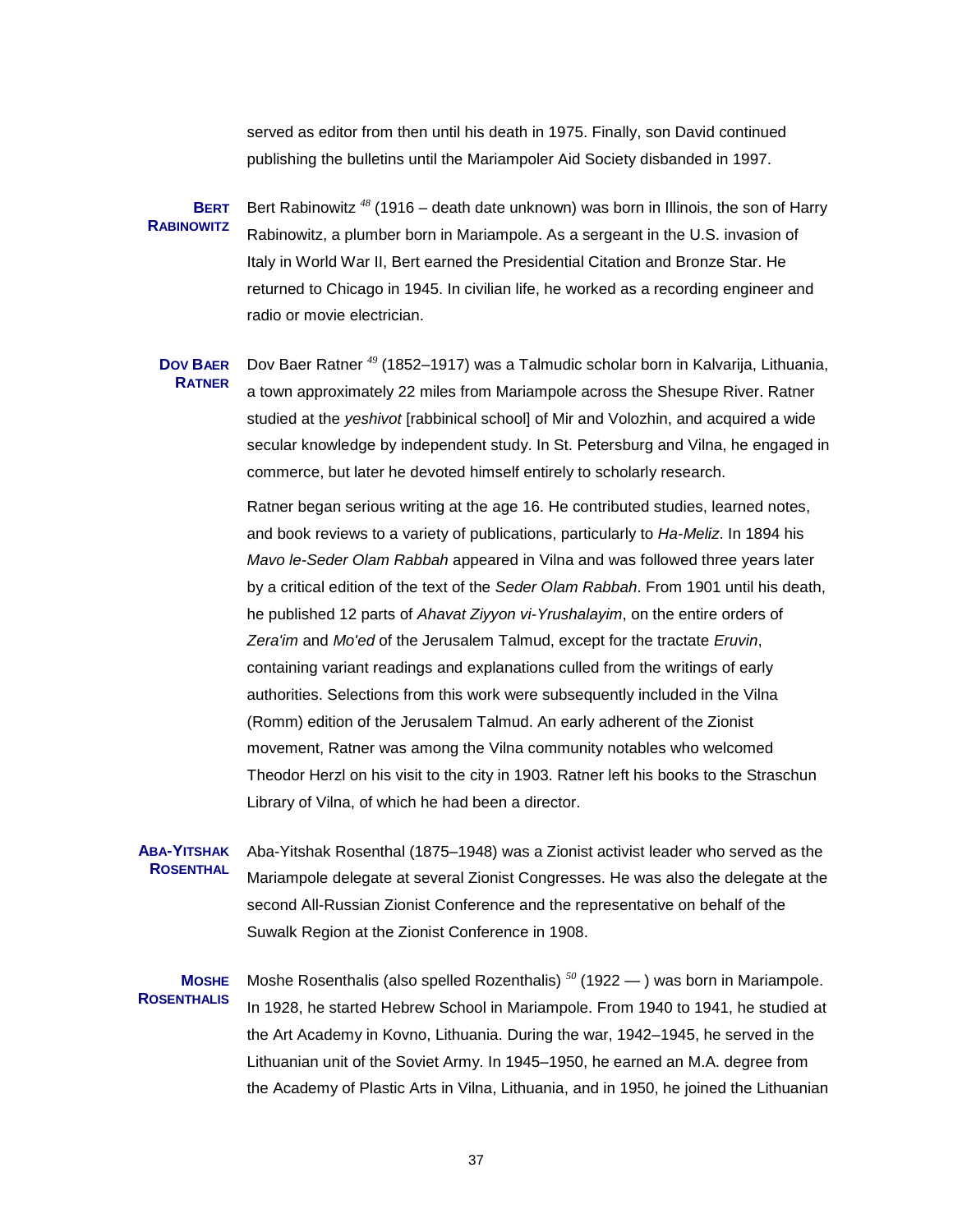served as editor from then until his death in 1975. Finally, son David continued publishing the bulletins until the Mariampoler Aid Society disbanded in 1997.

**BERT**  Bert Rabinowitz *<sup>48</sup>* (1916 – death date unknown) was born in Illinois, the son of Harry **RABINOWITZ** Rabinowitz, a plumber born in Mariampole. As a sergeant in the U.S. invasion of Italy in World War II, Bert earned the Presidential Citation and Bronze Star. He returned to Chicago in 1945. In civilian life, he worked as a recording engineer and radio or movie electrician.

**DOV BAER RATNER** Dov Baer Ratner *<sup>49</sup>* (1852–1917) was a Talmudic scholar born in Kalvarija, Lithuania, a town approximately 22 miles from Mariampole across the Shesupe River. Ratner studied at the *yeshivot* [rabbinical school] of Mir and Volozhin, and acquired a wide secular knowledge by independent study. In St. Petersburg and Vilna, he engaged in commerce, but later he devoted himself entirely to scholarly research.

> Ratner began serious writing at the age 16. He contributed studies, learned notes, and book reviews to a variety of publications, particularly to *Ha-Meliz*. In 1894 his *Mavo le-Seder Olam Rabbah* appeared in Vilna and was followed three years later by a critical edition of the text of the *Seder Olam Rabbah*. From 1901 until his death, he published 12 parts of *Ahavat Ziyyon vi-Yrushalayim*, on the entire orders of *Zera'im* and *Mo'ed* of the Jerusalem Talmud, except for the tractate *Eruvin*, containing variant readings and explanations culled from the writings of early authorities. Selections from this work were subsequently included in the Vilna (Romm) edition of the Jerusalem Talmud. An early adherent of the Zionist movement, Ratner was among the Vilna community notables who welcomed Theodor Herzl on his visit to the city in 1903. Ratner left his books to the Straschun Library of Vilna, of which he had been a director.

**ABA-YITSHAK ROSENTHAL** Aba-Yitshak Rosenthal (1875–1948) was a Zionist activist leader who served as the Mariampole delegate at several Zionist Congresses. He was also the delegate at the second All-Russian Zionist Conference and the representative on behalf of the Suwalk Region at the Zionist Conference in 1908.

**MOSHE ROSENTHALIS** Moshe Rosenthalis (also spelled Rozenthalis) *<sup>50</sup>* (1922 — ) was born in Mariampole. In 1928, he started Hebrew School in Mariampole. From 1940 to 1941, he studied at the Art Academy in Kovno, Lithuania. During the war, 1942–1945, he served in the Lithuanian unit of the Soviet Army. In 1945–1950, he earned an M.A. degree from the Academy of Plastic Arts in Vilna, Lithuania, and in 1950, he joined the Lithuanian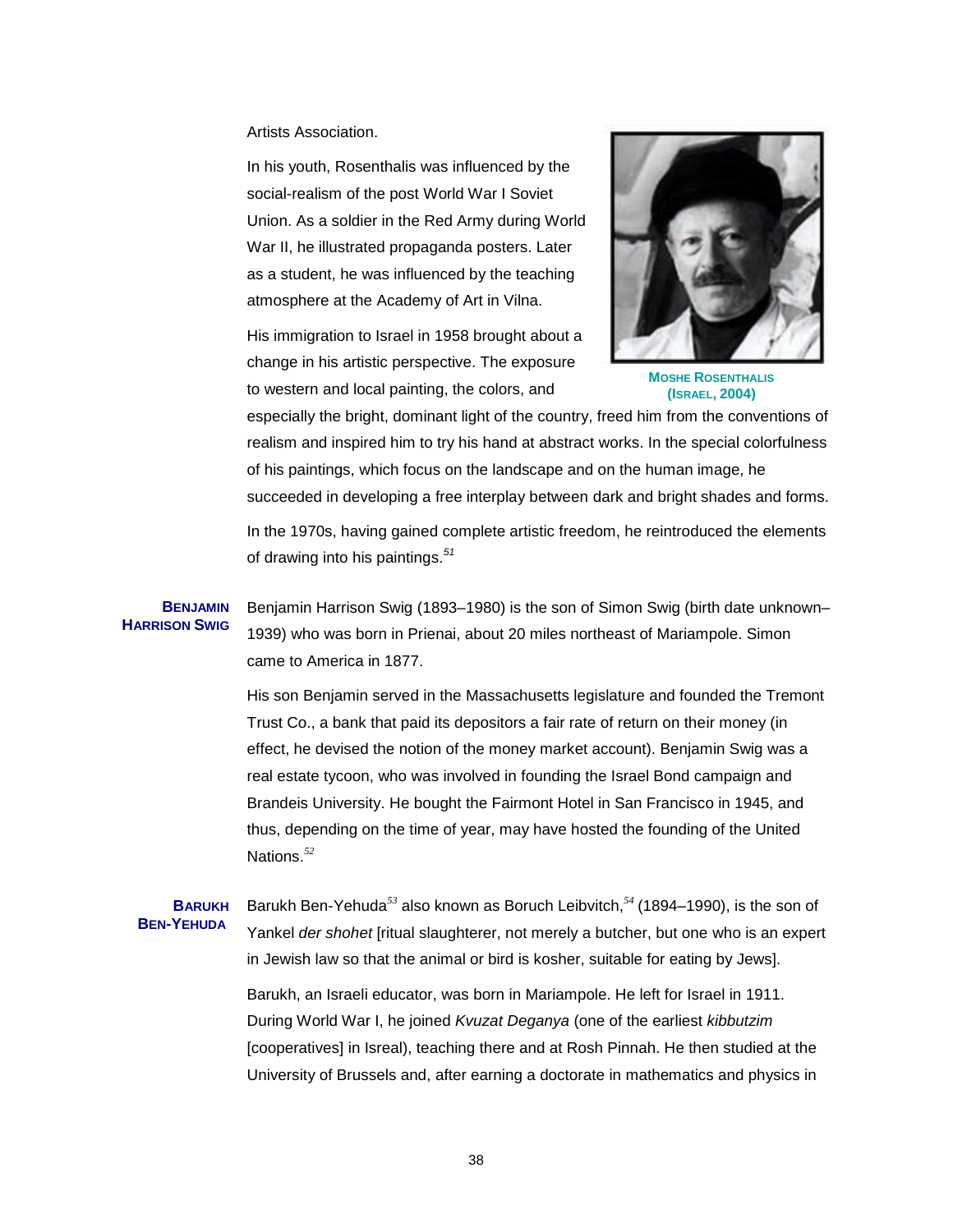Artists Association.

In his youth, Rosenthalis was influenced by the social-realism of the post World War I Soviet Union. As a soldier in the Red Army during World War II, he illustrated propaganda posters. Later as a student, he was influenced by the teaching atmosphere at the Academy of Art in Vilna.

His immigration to Israel in 1958 brought about a change in his artistic perspective. The exposure to western and local painting, the colors, and



**MOSHE ROSENTHALIS (ISRAEL, 2004)**

especially the bright, dominant light of the country, freed him from the conventions of realism and inspired him to try his hand at abstract works. In the special colorfulness of his paintings, which focus on the landscape and on the human image, he succeeded in developing a free interplay between dark and bright shades and forms.

In the 1970s, having gained complete artistic freedom, he reintroduced the elements of drawing into his paintings.*<sup>51</sup>*

**BENJAMIN HARRISON SWIG** Benjamin Harrison Swig (1893–1980) is the son of Simon Swig (birth date unknown– 1939) who was born in Prienai, about 20 miles northeast of Mariampole. Simon came to America in 1877.

> His son Benjamin served in the Massachusetts legislature and founded the Tremont Trust Co., a bank that paid its depositors a fair rate of return on their money (in effect, he devised the notion of the money market account). Benjamin Swig was a real estate tycoon, who was involved in founding the Israel Bond campaign and Brandeis University. He bought the Fairmont Hotel in San Francisco in 1945, and thus, depending on the time of year, may have hosted the founding of the United Nations.*<sup>52</sup>*

#### **BARUKH BEN-YEHUDA**  Barukh Ben-Yehuda*<sup>53</sup>* also known as Boruch Leibvitch,*<sup>54</sup>* (1894–1990), is the son of Yankel *der shohet* [ritual slaughterer, not merely a butcher, but one who is an expert in Jewish law so that the animal or bird is kosher, suitable for eating by Jews].

Barukh, an Israeli educator, was born in Mariampole. He left for Israel in 1911. During World War I, he joined *Kvuzat Deganya* (one of the earliest *kibbutzim* [cooperatives] in Isreal), teaching there and at Rosh Pinnah. He then studied at the University of Brussels and, after earning a doctorate in mathematics and physics in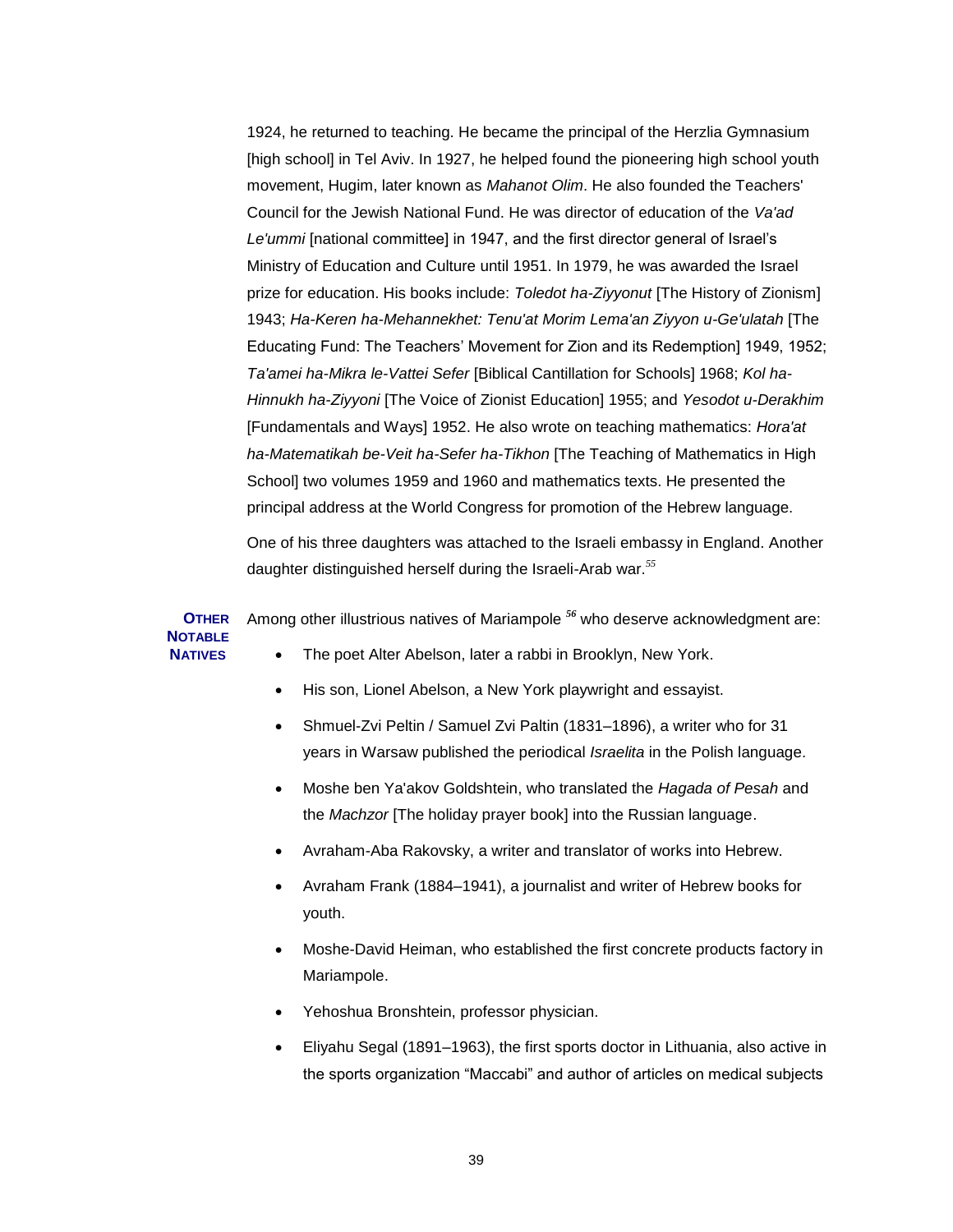1924, he returned to teaching. He became the principal of the Herzlia Gymnasium [high school] in Tel Aviv. In 1927, he helped found the pioneering high school youth movement, Hugim, later known as *Mahanot Olim*. He also founded the Teachers' Council for the Jewish National Fund. He was director of education of the *Va'ad Le'ummi* [national committee] in 1947, and the first director general of Israel's Ministry of Education and Culture until 1951. In 1979, he was awarded the Israel prize for education. His books include: *Toledot ha-Ziyyonut* [The History of Zionism] 1943; *Ha-Keren ha-Mehannekhet: Tenu'at Morim Lema'an Ziyyon u-Ge'ulatah* [The Educating Fund: The Teachers' Movement for Zion and its Redemption] 1949, 1952; *Ta'amei ha-Mikra le-Vattei Sefer* [Biblical Cantillation for Schools] 1968; *Kol ha-Hinnukh ha-Ziyyoni* [The Voice of Zionist Education] 1955; and *Yesodot u-Derakhim* [Fundamentals and Ways] 1952. He also wrote on teaching mathematics: *Hora'at ha-Matematikah be-Veit ha-Sefer ha-Tikhon* [The Teaching of Mathematics in High School] two volumes 1959 and 1960 and mathematics texts. He presented the principal address at the World Congress for promotion of the Hebrew language.

One of his three daughters was attached to the Israeli embassy in England. Another daughter distinguished herself during the Israeli-Arab war.*<sup>55</sup>*

**OTHER NOTABLE**  Among other illustrious natives of Mariampole *<sup>56</sup>* who deserve acknowledgment are:

The poet Alter Abelson, later a rabbi in Brooklyn, New York.

**NATIVES** 

- His son, Lionel Abelson, a New York playwright and essayist.
- Shmuel-Zvi Peltin / Samuel Zvi Paltin (1831–1896), a writer who for 31 years in Warsaw published the periodical *Israelita* in the Polish language.
- Moshe ben Ya'akov Goldshtein, who translated the *Hagada of Pesah* and the *Machzor* [The holiday prayer book] into the Russian language.
- Avraham-Aba Rakovsky, a writer and translator of works into Hebrew.
- Avraham Frank (1884–1941), a journalist and writer of Hebrew books for youth.
- Moshe-David Heiman, who established the first concrete products factory in Mariampole.
- Yehoshua Bronshtein, professor physician.
- Eliyahu Segal (1891–1963), the first sports doctor in Lithuania, also active in the sports organization "Maccabi" and author of articles on medical subjects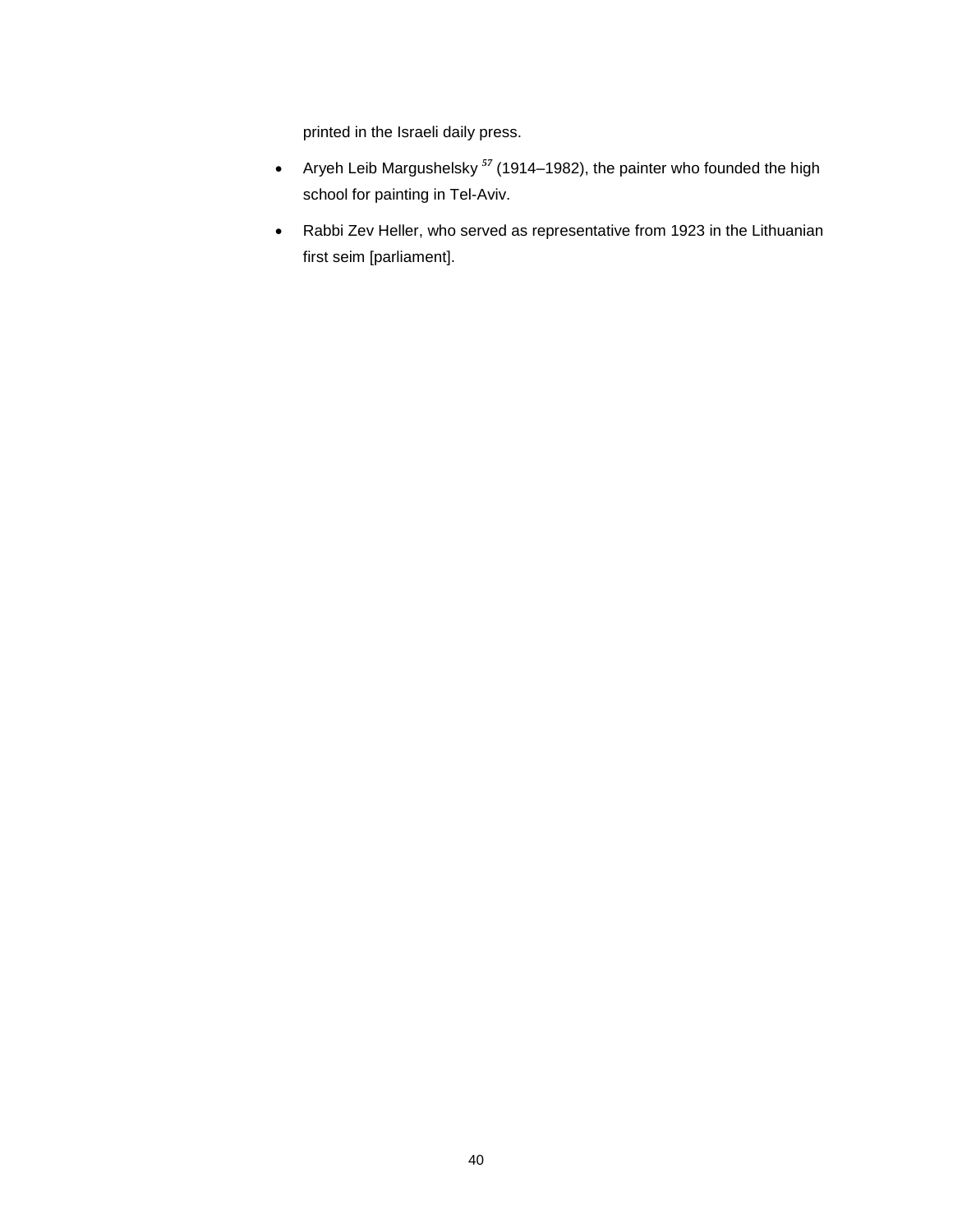printed in the Israeli daily press.

- Aryeh Leib Margushelsky *<sup>57</sup>* (1914–1982), the painter who founded the high school for painting in Tel-Aviv.
- Rabbi Zev Heller, who served as representative from 1923 in the Lithuanian first seim [parliament].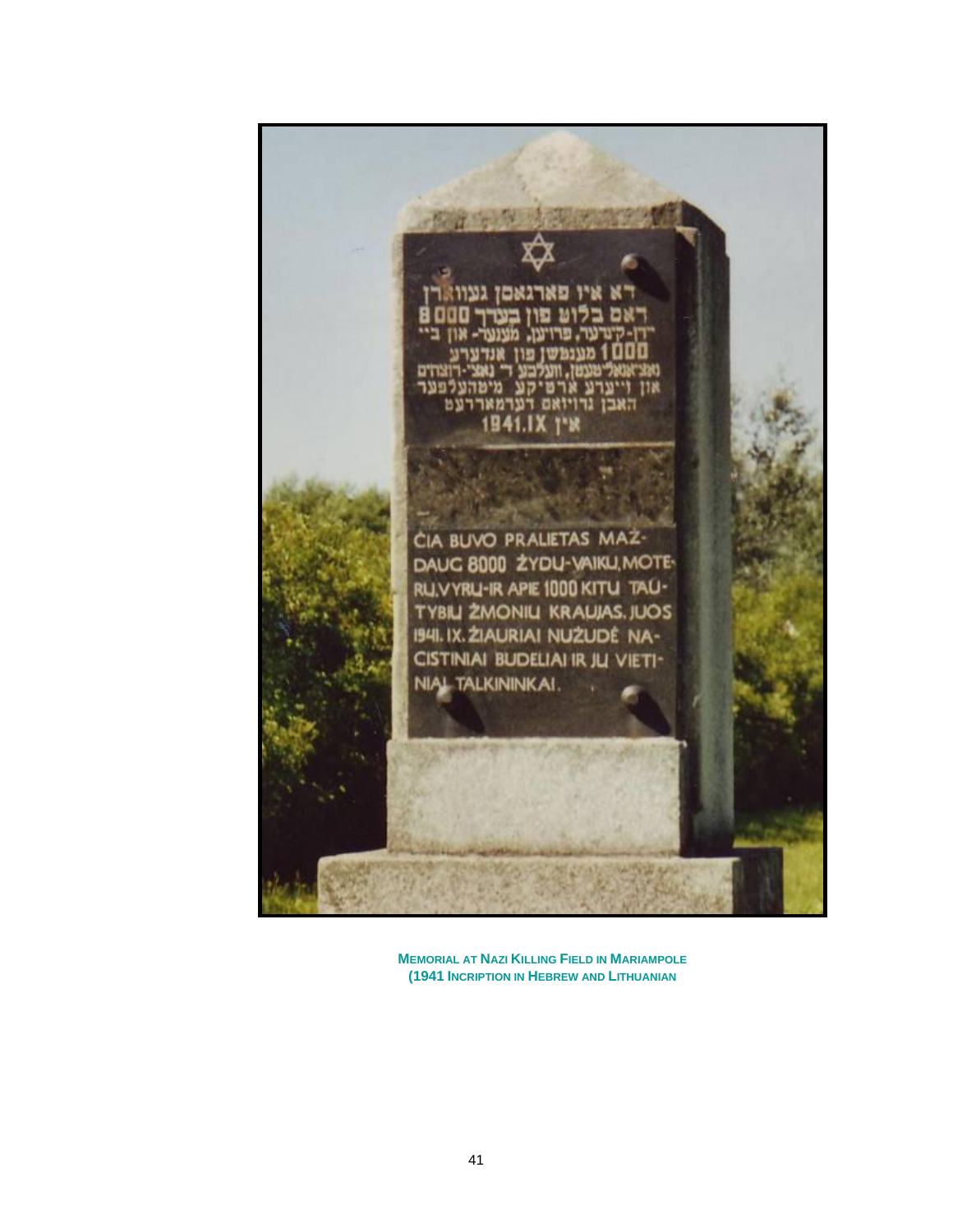

**MEMORIAL AT NAZI KILLING FIELD IN MARIAMPOLE (1941 INCRIPTION IN HEBREW AND LITHUANIAN**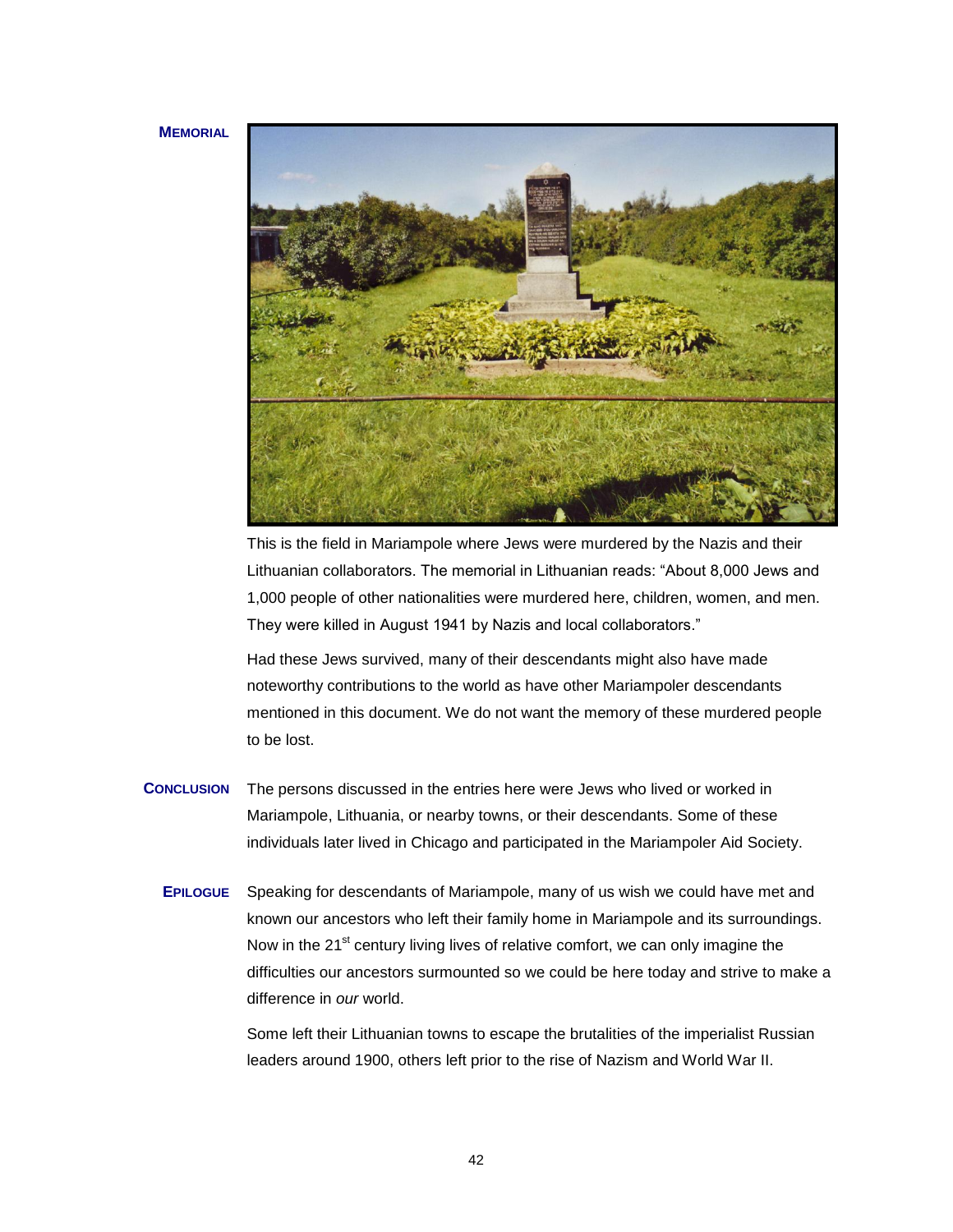#### **MEMORIAL**



This is the field in Mariampole where Jews were murdered by the Nazis and their Lithuanian collaborators. The memorial in Lithuanian reads: "About 8,000 Jews and 1,000 people of other nationalities were murdered here, children, women, and men. They were killed in August 1941 by Nazis and local collaborators."

Had these Jews survived, many of their descendants might also have made noteworthy contributions to the world as have other Mariampoler descendants mentioned in this document. We do not want the memory of these murdered people to be lost.

- **CONCLUSION** The persons discussed in the entries here were Jews who lived or worked in Mariampole, Lithuania, or nearby towns, or their descendants. Some of these individuals later lived in Chicago and participated in the Mariampoler Aid Society.
	- **EPILOGUE** Speaking for descendants of Mariampole, many of us wish we could have met and known our ancestors who left their family home in Mariampole and its surroundings. Now in the 21<sup>st</sup> century living lives of relative comfort, we can only imagine the difficulties our ancestors surmounted so we could be here today and strive to make a difference in *our* world.

Some left their Lithuanian towns to escape the brutalities of the imperialist Russian leaders around 1900, others left prior to the rise of Nazism and World War II.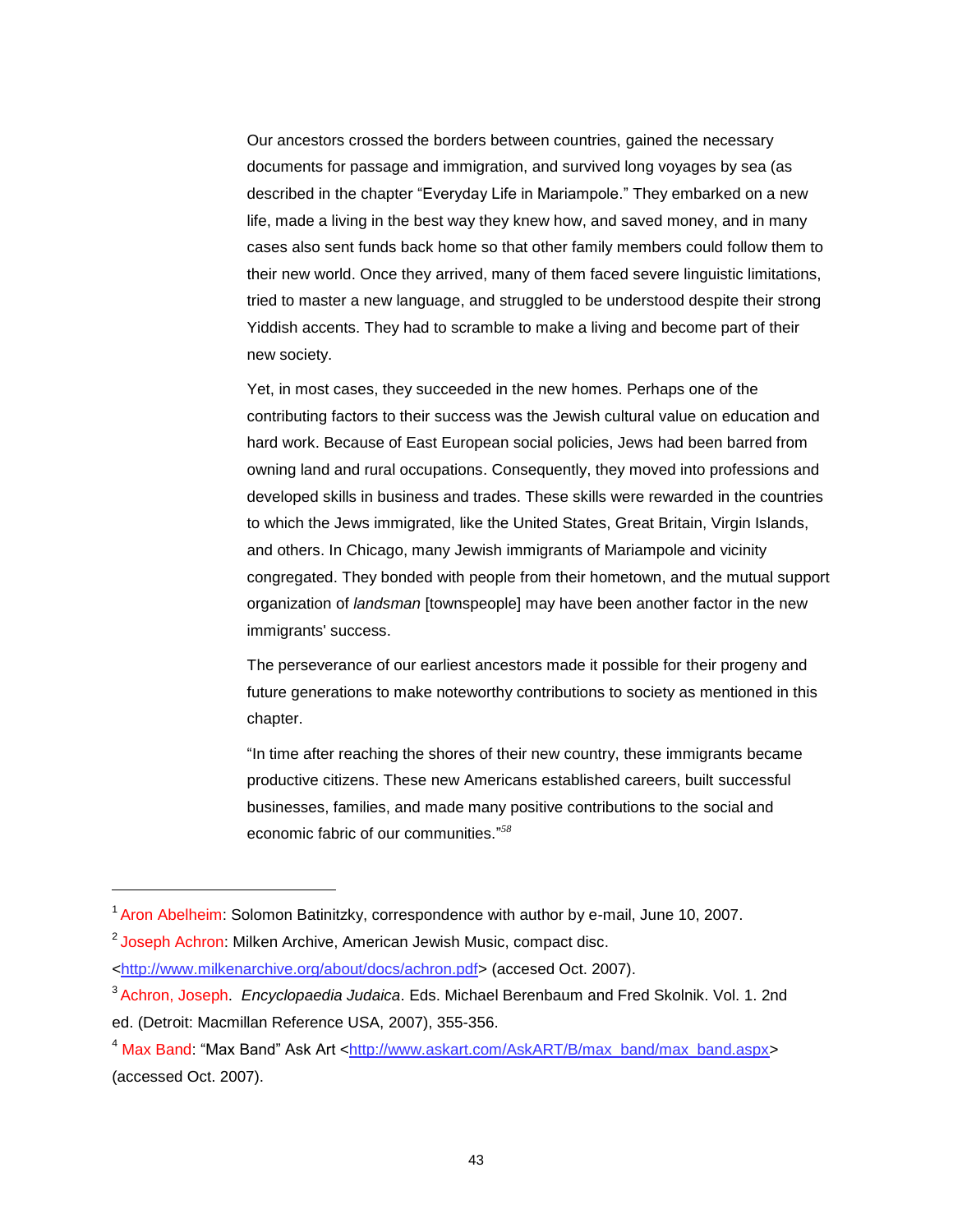Our ancestors crossed the borders between countries, gained the necessary documents for passage and immigration, and survived long voyages by sea (as described in the chapter "Everyday Life in Mariampole." They embarked on a new life, made a living in the best way they knew how, and saved money, and in many cases also sent funds back home so that other family members could follow them to their new world. Once they arrived, many of them faced severe linguistic limitations, tried to master a new language, and struggled to be understood despite their strong Yiddish accents. They had to scramble to make a living and become part of their new society.

Yet, in most cases, they succeeded in the new homes. Perhaps one of the contributing factors to their success was the Jewish cultural value on education and hard work. Because of East European social policies, Jews had been barred from owning land and rural occupations. Consequently, they moved into professions and developed skills in business and trades. These skills were rewarded in the countries to which the Jews immigrated, like the United States, Great Britain, Virgin Islands, and others. In Chicago, many Jewish immigrants of Mariampole and vicinity congregated. They bonded with people from their hometown, and the mutual support organization of *landsman* [townspeople] may have been another factor in the new immigrants' success.

The perseverance of our earliest ancestors made it possible for their progeny and future generations to make noteworthy contributions to society as mentioned in this chapter.

"In time after reaching the shores of their new country, these immigrants became productive citizens. These new Americans established careers, built successful businesses, families, and made many positive contributions to the social and economic fabric of our communities."<sup>58</sup>

l

<sup>&</sup>lt;sup>1</sup> Aron Abelheim: Solomon Batinitzky, correspondence with author by e-mail, June 10, 2007.

<sup>&</sup>lt;sup>2</sup> Joseph Achron: Milken Archive, American Jewish Music, compact disc.

[<sup>&</sup>lt;http://www.milkenarchive.org/about/docs/achron.pdf>](http://www.milkenarchive.org/about/docs/achron.pdf) (accesed Oct. 2007).

<sup>3</sup> Achron, Joseph. *Encyclopaedia Judaica*. Eds. Michael Berenbaum and Fred Skolnik. Vol. 1. 2nd ed. (Detroit: Macmillan Reference USA, 2007), 355-356.

<sup>&</sup>lt;sup>4</sup> Max Band: "Max Band" Ask Art [<http://www.askart.com/AskART/B/max\\_band/max\\_band.aspx>](http://www.askart.com/AskART/B/max_band/max_band.aspx) (accessed Oct. 2007).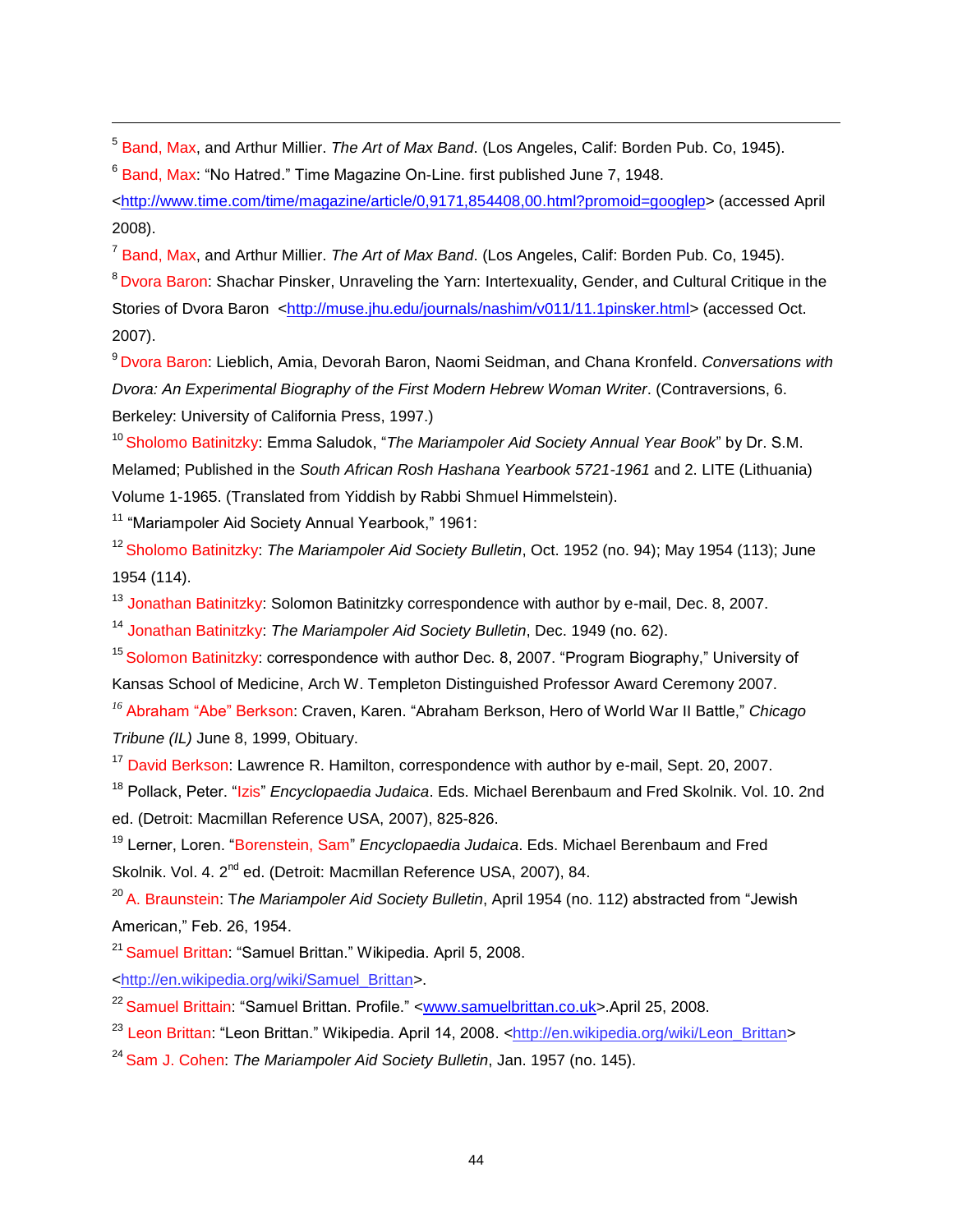5 Band, Max, and Arthur Millier. *The Art of Max Band*. (Los Angeles, Calif: Borden Pub. Co, 1945).

<sup>6</sup> Band, Max: "No Hatred." Time Magazine On-Line. first published June 7, 1948.

[<http://www.time.com/time/magazine/article/0,9171,854408,00.html?promoid=googlep>](http://www.time.com/time/magazine/article/0,9171,854408,00.html?promoid=googlep) (accessed April 2008).

7 Band, Max, and Arthur Millier. *The Art of Max Band*. (Los Angeles, Calif: Borden Pub. Co, 1945).

<sup>8</sup> Dvora Baron: Shachar Pinsker, Unraveling the Yarn: Intertexuality, Gender, and Cultural Critique in the Stories of Dvora Baron [<http://muse.jhu.edu/journals/nashim/v011/11.1pinsker.html>](http://muse.jhu.edu/journals/nashim/v011/11.1pinsker.html) (accessed Oct. 2007).

<sup>9</sup> Dvora Baron: Lieblich, Amia, Devorah Baron, Naomi Seidman, and Chana Kronfeld. *Conversations with Dvora: An Experimental Biography of the First Modern Hebrew Woman Writer*. (Contraversions, 6. Berkeley: University of California Press, 1997.)

<sup>10</sup> Sholomo Batinitzky: Emma Saludok, "The Mariampoler Aid Society Annual Year Book" by Dr. S.M. Melamed; Published in the *South African Rosh Hashana Yearbook 5721-1961* and 2. LITE (Lithuania) Volume 1-1965. (Translated from Yiddish by Rabbi Shmuel Himmelstein).

 $11$  "Mariampoler Aid Society Annual Yearbook," 1961:

l

<sup>12</sup> Sholomo Batinitzky: *The Mariampoler Aid Society Bulletin*, Oct. 1952 (no. 94); May 1954 (113); June 1954 (114).

<sup>13</sup> Jonathan Batinitzky: Solomon Batinitzky correspondence with author by e-mail, Dec. 8, 2007.

<sup>14</sup> Jonathan Batinitzky: *The Mariampoler Aid Society Bulletin*, Dec. 1949 (no. 62).

<sup>15</sup> Solomon Batinitzky: correspondence with author Dec. 8, 2007. "Program Biography," University of Kansas School of Medicine, Arch W. Templeton Distinguished Professor Award Ceremony 2007.

<sup>16</sup> Abraham "Abe" Berkson: Craven, Karen. "Abraham Berkson, Hero of World War II Battle," Chicago *Tribune (IL)* June 8, 1999, Obituary.

<sup>17</sup> David Berkson: Lawrence R. Hamilton, correspondence with author by e-mail, Sept. 20, 2007.

<sup>18</sup> Pollack, Peter. "Izis" *Encyclopaedia Judaica*. Eds. Michael Berenbaum and Fred Skolnik. Vol. 10. 2nd ed. (Detroit: Macmillan Reference USA, 2007), 825-826.

<sup>19</sup> Lerner, Loren. "Borenstein, Sam" *Encyclopaedia Judaica*. Eds. Michael Berenbaum and Fred Skolnik. Vol. 4. 2<sup>nd</sup> ed. (Detroit: Macmillan Reference USA, 2007), 84.

<sup>20</sup> A. Braunstein: The Mariampoler Aid Society Bulletin, April 1954 (no. 112) abstracted from "Jewish American,‖ Feb. 26, 1954.

<sup>21</sup> Samuel Brittan: "Samuel Brittan." Wikipedia. April 5, 2008.

[<http://en.wikipedia.org/wiki/Samuel\\_Brittan>](http://en.wikipedia.org/wiki/Samuel_Brittan).

<sup>22</sup> Samuel Brittain: "Samuel Brittan, Profile." [<www.samuelbrittan.co.uk>](file:///C:\Documents%20and%20Settings\Sunnie%20Gordon\Desktop\www.samuelbrittan.co.uk).April 25, 2008.

<sup>23</sup> Leon Brittan: "Leon Brittan." Wikipedia. April 14, 2008. [<http://en.wikipedia.org/wiki/Leon\\_Brittan>](http://en.wikipedia.org/wiki/Leon_Brittan)

<sup>24</sup> Sam J. Cohen: *The Mariampoler Aid Society Bulletin*, Jan. 1957 (no. 145).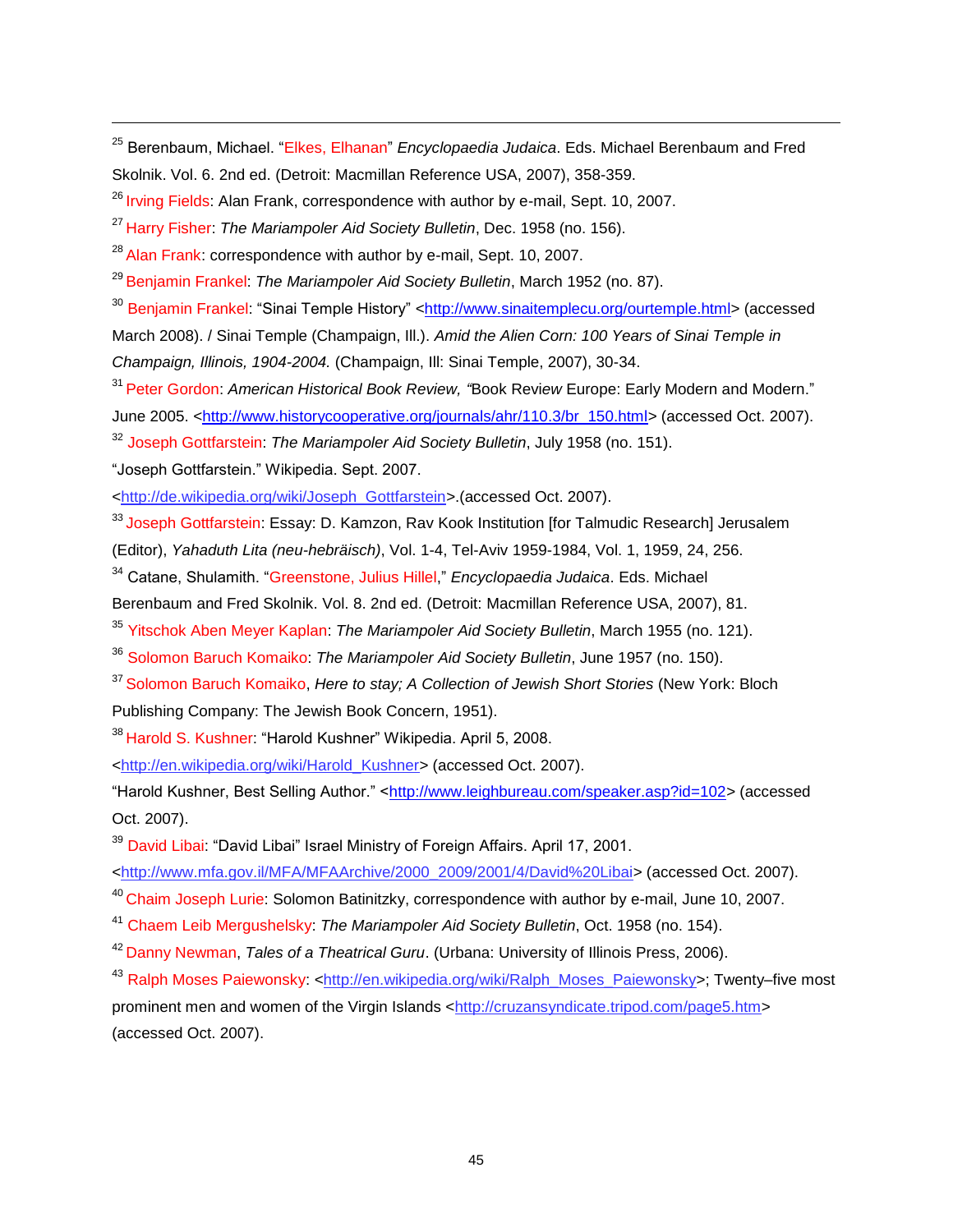<sup>25</sup> Berenbaum, Michael. "Elkes, Elhanan" *Encyclopaedia Judaica*. Eds. Michael Berenbaum and Fred Skolnik. Vol. 6. 2nd ed. (Detroit: Macmillan Reference USA, 2007), 358-359.

 $26$  Irving Fields: Alan Frank, correspondence with author by e-mail, Sept. 10, 2007.

<sup>27</sup> Harry Fisher: *The Mariampoler Aid Society Bulletin*, Dec. 1958 (no. 156).

 $^{28}$  Alan Frank: correspondence with author by e-mail, Sept. 10, 2007.

<sup>29</sup> Benjamin Frankel: *The Mariampoler Aid Society Bulletin*, March 1952 (no. 87).

<sup>30</sup> Benjamin Frankel: "Sinai Temple History" [<http://www.sinaitemplecu.org/ourtemple.html>](http://www.sinaitemplecu.org/ourtemple.html) (accessed March 2008). / Sinai Temple (Champaign, Ill.). *Amid the Alien Corn: 100 Years of Sinai Temple in* 

*Champaign, Illinois, 1904-2004.* (Champaign, Ill: Sinai Temple, 2007), 30-34.

<sup>31</sup> Peter Gordon: American Historical Book Review, "Book Review Europe: Early Modern and Modern."

June 2005. [<http://www.historycooperative.org/journals/ahr/110.3/br\\_150.html>](http://www.historycooperative.org/journals/ahr/110.3/br_150.html) (accessed Oct. 2007).

<sup>32</sup> Joseph Gottfarstein: *The Mariampoler Aid Society Bulletin*, July 1958 (no. 151).

―Joseph Gottfarstein.‖ Wikipedia. Sept. 2007.

l

[<http://de.wikipedia.org/wiki/Joseph\\_Gottfarstein>](http://de.wikipedia.org/wiki/Joseph_Gottfarstein).(accessed Oct. 2007).

<sup>33</sup> Joseph Gottfarstein: Essay: D. Kamzon, Rav Kook Institution [for Talmudic Research] Jerusalem

(Editor), *Yahaduth Lita (neu-hebräisch)*, Vol. 1-4, Tel-Aviv 1959-1984, Vol. 1, 1959, 24, 256.

<sup>34</sup> Catane. Shulamith. "Greenstone, Julius Hillel," *Encyclopaedia Judaica*. Eds. Michael

Berenbaum and Fred Skolnik. Vol. 8. 2nd ed. (Detroit: Macmillan Reference USA, 2007), 81.

<sup>35</sup> Yitschok Aben Meyer Kaplan: *The Mariampoler Aid Society Bulletin*, March 1955 (no. 121).

<sup>36</sup> Solomon Baruch Komaiko: *The Mariampoler Aid Society Bulletin*, June 1957 (no. 150).

<sup>37</sup> Solomon Baruch Komaiko, *Here to stay; A Collection of Jewish Short Stories* (New York: Bloch Publishing Company: The Jewish Book Concern, 1951).

<sup>38</sup> Harold S. Kushner: "Harold Kushner" Wikipedia. April 5, 2008.

<http://en.wikipedia.org/wiki/Harold\_Kushner> (accessed Oct. 2007).

―Harold Kushner, Best Selling Author.‖ [<http://www.leighbureau.com/speaker.asp?id=102>](http://www.leighbureau.com/speaker.asp?id=102) (accessed Oct. 2007).

<sup>39</sup> David Libai: "David Libai" Israel Ministry of Foreign Affairs. April 17, 2001.

<http://www.mfa.gov.il/MFA/MFAArchive/2000\_2009/2001/4/David%20Libai> (accessed Oct. 2007).

<sup>40</sup> Chaim Joseph Lurie: Solomon Batinitzky, correspondence with author by e-mail, June 10, 2007.

<sup>41</sup> Chaem Leib Mergushelsky: *The Mariampoler Aid Society Bulletin*, Oct. 1958 (no. 154).

<sup>42</sup> Danny Newman, *Tales of a Theatrical Guru*. (Urbana: University of Illinois Press, 2006).

<sup>43</sup> Ralph Moses Paiewonsky: [<http://en.wikipedia.org/wiki/Ralph\\_Moses\\_Paiewonsky>](http://en.wikipedia.org/wiki/Ralph_Moses_Paiewonsky); Twenty–five most prominent men and women of the Virgin Islands [<http://cruzansyndicate.tripod.com/page5.htm>](http://cruzansyndicate.tripod.com/page5.htm) (accessed Oct. 2007).